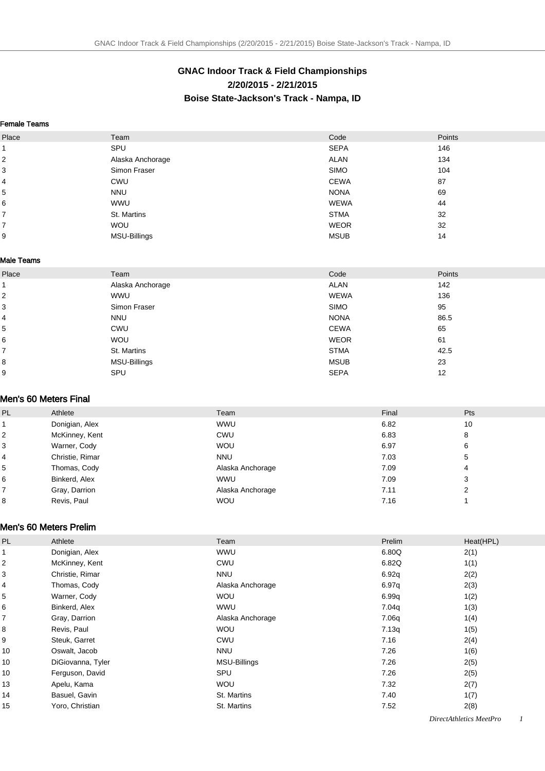# **GNAC Indoor Track & Field Championships 2/20/2015 - 2/21/2015 Boise State-Jackson's Track - Nampa, ID**

#### Female Teams

| Place          | Team                | Code        | Points |
|----------------|---------------------|-------------|--------|
| 1              | SPU                 | <b>SEPA</b> | 146    |
| 2              | Alaska Anchorage    | <b>ALAN</b> | 134    |
| 3              | Simon Fraser        | <b>SIMO</b> | 104    |
| 4              | <b>CWU</b>          | <b>CEWA</b> | 87     |
| 5              | <b>NNU</b>          | <b>NONA</b> | 69     |
| 6              | <b>WWU</b>          | <b>WEWA</b> | 44     |
| $\overline{7}$ | St. Martins         | <b>STMA</b> | 32     |
| 7              | <b>WOU</b>          | <b>WEOR</b> | 32     |
| 9              | <b>MSU-Billings</b> | <b>MSUB</b> | 14     |

#### Male Teams

| Place          | Team             | Code        | Points |
|----------------|------------------|-------------|--------|
| -1             | Alaska Anchorage | <b>ALAN</b> | 142    |
| $\overline{2}$ | <b>WWU</b>       | <b>WEWA</b> | 136    |
| 3              | Simon Fraser     | <b>SIMO</b> | 95     |
| 4              | <b>NNU</b>       | <b>NONA</b> | 86.5   |
| 5              | <b>CWU</b>       | <b>CEWA</b> | 65     |
| 6              | <b>WOU</b>       | <b>WEOR</b> | 61     |
| $\overline{7}$ | St. Martins      | <b>STMA</b> | 42.5   |
| 8              | MSU-Billings     | <b>MSUB</b> | 23     |
| 9              | SPU              | <b>SEPA</b> | 12     |

#### Men's 60 Meters Final

| PL | Athlete         | Team             | Final | Pts |
|----|-----------------|------------------|-------|-----|
|    | Donigian, Alex  | <b>WWU</b>       | 6.82  | 10  |
| 2  | McKinney, Kent  | CWU              | 6.83  | 8   |
| 3  | Warner, Cody    | <b>WOU</b>       | 6.97  | 6   |
| 4  | Christie, Rimar | <b>NNU</b>       | 7.03  | 5   |
| 5  | Thomas, Cody    | Alaska Anchorage | 7.09  | 4   |
| 6  | Binkerd, Alex   | <b>WWU</b>       | 7.09  | 3   |
|    | Gray, Darrion   | Alaska Anchorage | 7.11  |     |
| 8  | Revis, Paul     | <b>WOU</b>       | 7.16  |     |

#### Men's 60 Meters Prelim

| <b>PL</b>               | Athlete           | Team             | Prelim | Heat(HPL) |
|-------------------------|-------------------|------------------|--------|-----------|
|                         | Donigian, Alex    | <b>WWU</b>       | 6.80Q  | 2(1)      |
| $\overline{\mathbf{c}}$ | McKinney, Kent    | CWU              | 6.82Q  | 1(1)      |
| 3                       | Christie, Rimar   | <b>NNU</b>       | 6.92q  | 2(2)      |
| $\overline{4}$          | Thomas, Cody      | Alaska Anchorage | 6.97q  | 2(3)      |
| 5                       | Warner, Cody      | <b>WOU</b>       | 6.99q  | 1(2)      |
| 6                       | Binkerd, Alex     | <b>WWU</b>       | 7.04q  | 1(3)      |
| $\overline{7}$          | Gray, Darrion     | Alaska Anchorage | 7.06q  | 1(4)      |
| 8                       | Revis, Paul       | <b>WOU</b>       | 7.13q  | 1(5)      |
| 9                       | Steuk, Garret     | CWU              | 7.16   | 2(4)      |
| 10                      | Oswalt, Jacob     | <b>NNU</b>       | 7.26   | 1(6)      |
| 10                      | DiGiovanna, Tyler | MSU-Billings     | 7.26   | 2(5)      |
| 10                      | Ferguson, David   | SPU              | 7.26   | 2(5)      |
| 13                      | Apelu, Kama       | <b>WOU</b>       | 7.32   | 2(7)      |
| 14                      | Basuel, Gavin     | St. Martins      | 7.40   | 1(7)      |
| 15                      | Yoro, Christian   | St. Martins      | 7.52   | 2(8)      |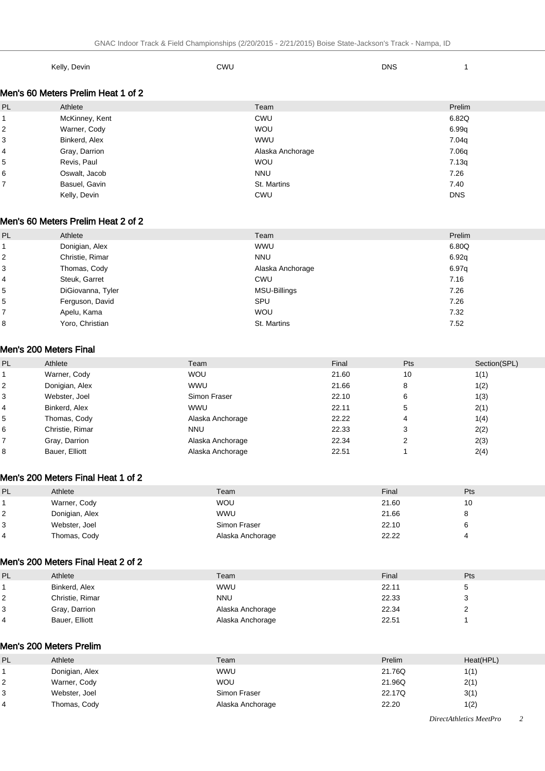| Kelly, Devin | <b>CWU</b> | <b>DNS</b> |  |
|--------------|------------|------------|--|
|              |            |            |  |

### Men's 60 Meters Prelim Heat 1 of 2

| PL             | Athlete        | Team             | Prelim     |
|----------------|----------------|------------------|------------|
|                | McKinney, Kent | CWU              | 6.82Q      |
| $\mathbf 2$    | Warner, Cody   | <b>WOU</b>       | 6.99q      |
| 3              | Binkerd, Alex  | <b>WWU</b>       | 7.04g      |
| $\overline{4}$ | Gray, Darrion  | Alaska Anchorage | 7.06g      |
| 5              | Revis, Paul    | <b>WOU</b>       | 7.13q      |
| 6              | Oswalt, Jacob  | <b>NNU</b>       | 7.26       |
| $\overline{7}$ | Basuel, Gavin  | St. Martins      | 7.40       |
|                | Kelly, Devin   | <b>CWU</b>       | <b>DNS</b> |

#### Men's 60 Meters Prelim Heat 2 of 2

| PL | Athlete           | Team             | Prelim |
|----|-------------------|------------------|--------|
|    | Donigian, Alex    | <b>WWU</b>       | 6.80Q  |
| 2  | Christie, Rimar   | <b>NNU</b>       | 6.92q  |
| 3  | Thomas, Cody      | Alaska Anchorage | 6.97q  |
| 4  | Steuk, Garret     | CWU              | 7.16   |
| 5  | DiGiovanna, Tyler | MSU-Billings     | 7.26   |
| 5  | Ferguson, David   | SPU              | 7.26   |
|    | Apelu, Kama       | <b>WOU</b>       | 7.32   |
| 8  | Yoro, Christian   | St. Martins      | 7.52   |

#### Men's 200 Meters Final

| PL | Athlete         | Team             | Final | Pts    | Section(SPL) |
|----|-----------------|------------------|-------|--------|--------------|
|    | Warner, Cody    | <b>WOU</b>       | 21.60 | 10     | 1(1)         |
|    | Donigian, Alex  | <b>WWU</b>       | 21.66 | 8      | 1(2)         |
| 3  | Webster, Joel   | Simon Fraser     | 22.10 | 6      | 1(3)         |
|    | Binkerd, Alex   | <b>WWU</b>       | 22.11 | 5      | 2(1)         |
| 5  | Thomas, Cody    | Alaska Anchorage | 22.22 | 4      | 1(4)         |
| 6  | Christie, Rimar | <b>NNU</b>       | 22.33 | 3      | 2(2)         |
|    | Gray, Darrion   | Alaska Anchorage | 22.34 | າ<br>∠ | 2(3)         |
| 8  | Bauer, Elliott  | Alaska Anchorage | 22.51 |        | 2(4)         |

### Men's 200 Meters Final Heat 1 of 2

| PL | Athlete        | Team             | Final | Pts |
|----|----------------|------------------|-------|-----|
|    | Warner, Cody   | <b>WOU</b>       | 21.60 |     |
|    | Donigian, Alex | <b>WWU</b>       | 21.66 |     |
|    | Webster, Joel  | Simon Fraser     | 22.10 |     |
|    | Thomas, Cody   | Alaska Anchorage | 22.22 |     |

#### Men's 200 Meters Final Heat 2 of 2

| PL | Athlete         | Team             | Final | Pts |
|----|-----------------|------------------|-------|-----|
|    | Binkerd, Alex   | <b>WWU</b>       | 22.11 | 5   |
|    | Christie, Rimar | NNU              | 22.33 | رب  |
| 3  | Gray, Darrion   | Alaska Anchorage | 22.34 |     |
|    | Bauer, Elliott  | Alaska Anchorage | 22.51 |     |

### Men's 200 Meters Prelim

| PL | Athlete        | Team             | Prelim | Heat(HPL) |
|----|----------------|------------------|--------|-----------|
|    | Donigian, Alex | <b>WWU</b>       | 21.76Q | 1(1)      |
|    | Warner, Cody   | <b>WOU</b>       | 21.96Q | 2(1)      |
|    | Webster, Joel  | Simon Fraser     | 22.17Q | 3(1)      |
|    | Thomas, Cody   | Alaska Anchorage | 22.20  | 1(2)      |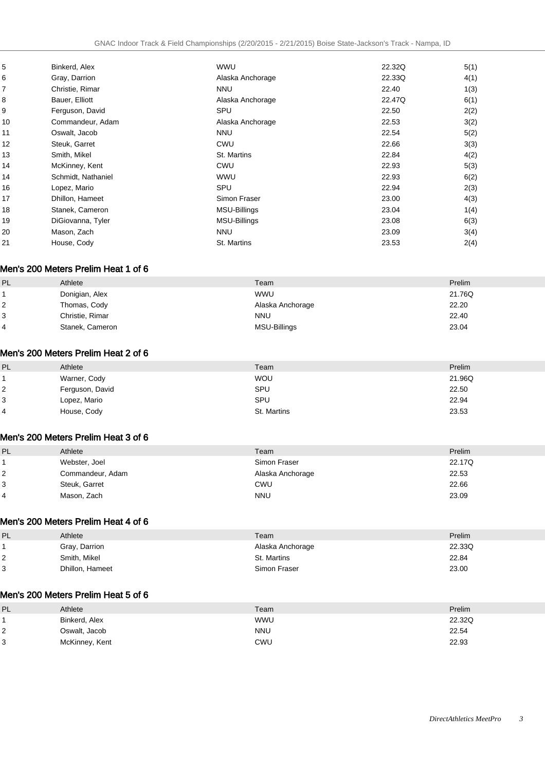| 5  | Binkerd, Alex      | <b>WWU</b>       | 22.32Q | 5(1) |
|----|--------------------|------------------|--------|------|
| 6  | Gray, Darrion      | Alaska Anchorage | 22.33Q | 4(1) |
| 7  | Christie, Rimar    | <b>NNU</b>       | 22.40  | 1(3) |
| 8  | Bauer, Elliott     | Alaska Anchorage | 22.47Q | 6(1) |
| 9  | Ferguson, David    | SPU              | 22.50  | 2(2) |
| 10 | Commandeur, Adam   | Alaska Anchorage | 22.53  | 3(2) |
| 11 | Oswalt, Jacob      | <b>NNU</b>       | 22.54  | 5(2) |
| 12 | Steuk, Garret      | CWU              | 22.66  | 3(3) |
| 13 | Smith, Mikel       | St. Martins      | 22.84  | 4(2) |
| 14 | McKinney, Kent     | CWU              | 22.93  | 5(3) |
| 14 | Schmidt, Nathaniel | <b>WWU</b>       | 22.93  | 6(2) |
| 16 | Lopez, Mario       | SPU              | 22.94  | 2(3) |
| 17 | Dhillon, Hameet    | Simon Fraser     | 23.00  | 4(3) |
| 18 | Stanek, Cameron    | MSU-Billings     | 23.04  | 1(4) |
| 19 | DiGiovanna, Tyler  | MSU-Billings     | 23.08  | 6(3) |
| 20 | Mason, Zach        | <b>NNU</b>       | 23.09  | 3(4) |
| 21 | House, Cody        | St. Martins      | 23.53  | 2(4) |

### Men's 200 Meters Prelim Heat 1 of 6

| PL | Athlete         | Team             | Prelim |
|----|-----------------|------------------|--------|
|    | Donigian, Alex  | <b>WWU</b>       | 21.76Q |
|    | Thomas, Cody    | Alaska Anchorage | 22.20  |
| 3  | Christie, Rimar | <b>NNU</b>       | 22.40  |
|    | Stanek, Cameron | MSU-Billings     | 23.04  |

#### Men's 200 Meters Prelim Heat 2 of 6

| PL | Athlete         | Team        | Prelim |
|----|-----------------|-------------|--------|
|    | Warner, Cody    | <b>WOU</b>  | 21.96Q |
| 2  | Ferguson, David | SPU         | 22.50  |
| 3  | Lopez, Mario    | SPU         | 22.94  |
| 4  | House, Cody     | St. Martins | 23.53  |

#### Men's 200 Meters Prelim Heat 3 of 6

| PL | Athlete          | Team             | Prelim |
|----|------------------|------------------|--------|
|    | Webster, Joel    | Simon Fraser     | 22.17Q |
| 2  | Commandeur, Adam | Alaska Anchorage | 22.53  |
| 3  | Steuk, Garret    | CWU              | 22.66  |
|    | Mason, Zach      | <b>NNU</b>       | 23.09  |

### Men's 200 Meters Prelim Heat 4 of 6

| PL | Athlete         | Team             | Prelim |
|----|-----------------|------------------|--------|
|    | Gray, Darrion   | Alaska Anchorage | 22.33Q |
|    | Smith, Mikel    | St. Martins      | 22.84  |
|    | Dhillon, Hameet | Simon Fraser     | 23.00  |

#### Men's 200 Meters Prelim Heat 5 of 6

| $\mathbf{p}$<br>- | Athlete        | Team       | Prelim |
|-------------------|----------------|------------|--------|
|                   | Binkerd, Alex  | <b>WWU</b> | 22.32Q |
|                   | Oswalt, Jacob  | <b>NNU</b> | 22.54  |
|                   | McKinney, Kent | CWU        | 22.93  |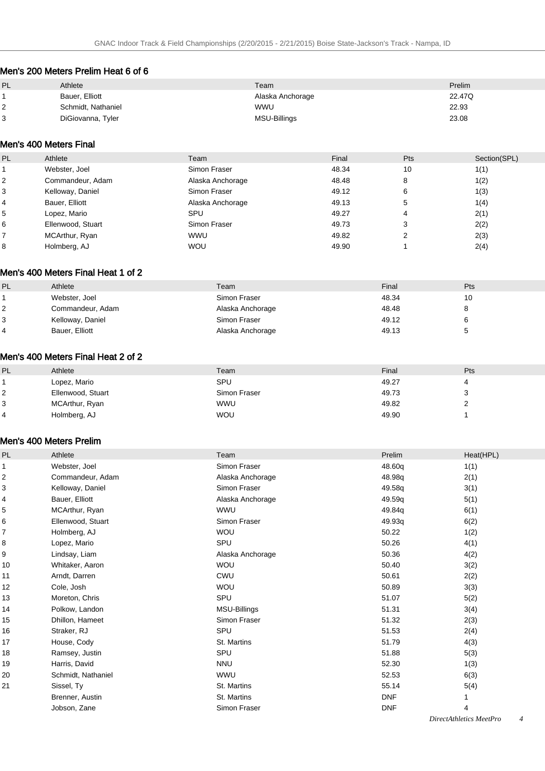### Men's 200 Meters Prelim Heat 6 of 6

| PL      | Athlete            | Team             | Prelim |
|---------|--------------------|------------------|--------|
|         | Bauer, Elliott     | Alaska Anchorage | 22.47Q |
| ົ<br>ے  | Schmidt, Nathaniel | <b>WWU</b>       | 22.93  |
| っ<br>C. | DiGiovanna, Tyler  | MSU-Billings     | 23.08  |

### Men's 400 Meters Final

| PL | Athlete           | Team             | Final | Pts | Section(SPL) |
|----|-------------------|------------------|-------|-----|--------------|
|    | Webster, Joel     | Simon Fraser     | 48.34 | 10  | 1(1)         |
|    | Commandeur, Adam  | Alaska Anchorage | 48.48 | 8   | 1(2)         |
|    | Kelloway, Daniel  | Simon Fraser     | 49.12 | 6   | 1(3)         |
|    | Bauer, Elliott    | Alaska Anchorage | 49.13 | 5   | 1(4)         |
| 5  | Lopez, Mario      | SPU              | 49.27 | 4   | 2(1)         |
| 6  | Ellenwood, Stuart | Simon Fraser     | 49.73 | 3   | 2(2)         |
|    | MCArthur, Ryan    | <b>WWU</b>       | 49.82 | ◠   | 2(3)         |
|    | Holmberg, AJ      | <b>WOU</b>       | 49.90 |     | 2(4)         |

### Men's 400 Meters Final Heat 1 of 2

| PL | Athlete          | Team             | Final | Pts |
|----|------------------|------------------|-------|-----|
|    | Webster, Joel    | Simon Fraser     | 48.34 |     |
|    | Commandeur, Adam | Alaska Anchorage | 48.48 |     |
| 3  | Kelloway, Daniel | Simon Fraser     | 49.12 |     |
|    | Bauer, Elliott   | Alaska Anchorage | 49.13 |     |

#### Men's 400 Meters Final Heat 2 of 2

| PL | Athlete           | Team         | Final | Pts |
|----|-------------------|--------------|-------|-----|
|    | Lopez, Mario      | SPU          | 49.27 |     |
| 2  | Ellenwood, Stuart | Simon Fraser | 49.73 | ຈ   |
| 3  | MCArthur, Ryan    | <b>WWU</b>   | 49.82 |     |
| 4  | Holmberg, AJ      | <b>WOU</b>   | 49.90 |     |
|    |                   |              |       |     |

#### Men's 400 Meters Prelim

| PL | Athlete            | Team             | Prelim     | Heat(HPL) |
|----|--------------------|------------------|------------|-----------|
| 1  | Webster, Joel      | Simon Fraser     | 48.60q     | 1(1)      |
| 2  | Commandeur, Adam   | Alaska Anchorage | 48.98g     | 2(1)      |
| 3  | Kelloway, Daniel   | Simon Fraser     | 49.58q     | 3(1)      |
| 4  | Bauer, Elliott     | Alaska Anchorage | 49.59q     | 5(1)      |
| 5  | MCArthur, Ryan     | <b>WWU</b>       | 49.84q     | 6(1)      |
| 6  | Ellenwood, Stuart  | Simon Fraser     | 49.93q     | 6(2)      |
| 7  | Holmberg, AJ       | <b>WOU</b>       | 50.22      | 1(2)      |
| 8  | Lopez, Mario       | SPU              | 50.26      | 4(1)      |
| 9  | Lindsay, Liam      | Alaska Anchorage | 50.36      | 4(2)      |
| 10 | Whitaker, Aaron    | <b>WOU</b>       | 50.40      | 3(2)      |
| 11 | Arndt, Darren      | CWU              | 50.61      | 2(2)      |
| 12 | Cole, Josh         | <b>WOU</b>       | 50.89      | 3(3)      |
| 13 | Moreton, Chris     | SPU              | 51.07      | 5(2)      |
| 14 | Polkow, Landon     | MSU-Billings     | 51.31      | 3(4)      |
| 15 | Dhillon, Hameet    | Simon Fraser     | 51.32      | 2(3)      |
| 16 | Straker, RJ        | SPU              | 51.53      | 2(4)      |
| 17 | House, Cody        | St. Martins      | 51.79      | 4(3)      |
| 18 | Ramsey, Justin     | SPU              | 51.88      | 5(3)      |
| 19 | Harris, David      | <b>NNU</b>       | 52.30      | 1(3)      |
| 20 | Schmidt, Nathaniel | <b>WWU</b>       | 52.53      | 6(3)      |
| 21 | Sissel, Ty         | St. Martins      | 55.14      | 5(4)      |
|    | Brenner, Austin    | St. Martins      | <b>DNF</b> | 1         |
|    | Jobson, Zane       | Simon Fraser     | <b>DNF</b> | 4         |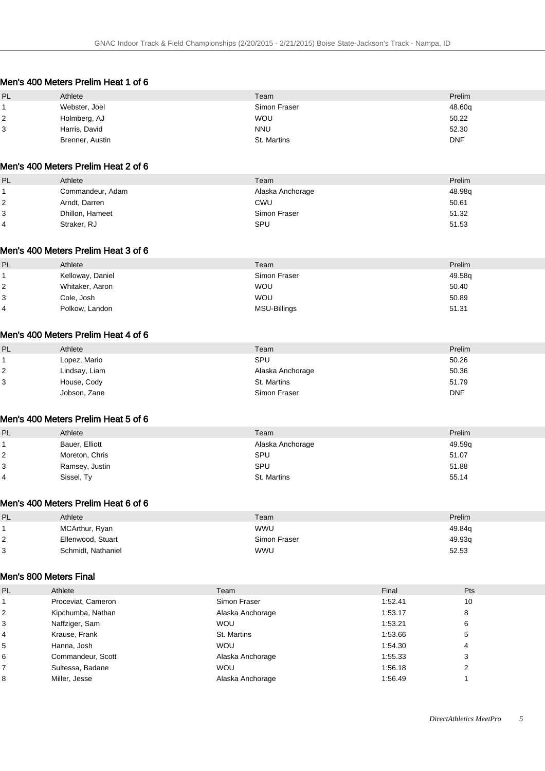#### Men's 400 Meters Prelim Heat 1 of 6

| PL | Athlete         | Team         | Prelim     |
|----|-----------------|--------------|------------|
|    | Webster, Joel   | Simon Fraser | 48.60q     |
|    | Holmberg, AJ    | <b>WOU</b>   | 50.22      |
| 3  | Harris, David   | <b>NNU</b>   | 52.30      |
|    | Brenner, Austin | St. Martins  | <b>DNF</b> |

### Men's 400 Meters Prelim Heat 2 of 6

| PL | Athlete          | Team             | Prelim |
|----|------------------|------------------|--------|
|    | Commandeur, Adam | Alaska Anchorage | 48.98q |
|    | Arndt, Darren    | CWU              | 50.61  |
| 3  | Dhillon, Hameet  | Simon Fraser     | 51.32  |
| 4  | Straker, RJ      | SPU              | 51.53  |

#### Men's 400 Meters Prelim Heat 3 of 6

| PL             | Athlete          | Team         | Prelim |
|----------------|------------------|--------------|--------|
|                | Kelloway, Daniel | Simon Fraser | 49.58q |
| 2              | Whitaker, Aaron  | <b>WOU</b>   | 50.40  |
| 3              | Cole, Josh       | <b>WOU</b>   | 50.89  |
| $\overline{4}$ | Polkow, Landon   | MSU-Billings | 51.31  |

#### Men's 400 Meters Prelim Heat 4 of 6

| PL | Athlete       | Team             | Prelim     |
|----|---------------|------------------|------------|
|    | Lopez, Mario  | <b>SPU</b>       | 50.26      |
| 2  | Lindsay, Liam | Alaska Anchorage | 50.36      |
| 3  | House, Cody   | St. Martins      | 51.79      |
|    | Jobson, Zane  | Simon Fraser     | <b>DNF</b> |

#### Men's 400 Meters Prelim Heat 5 of 6

| <b>PL</b> | Athlete        | Team             | Prelim |
|-----------|----------------|------------------|--------|
|           | Bauer, Elliott | Alaska Anchorage | 49.59q |
|           | Moreton, Chris | SPU              | 51.07  |
| 3         | Ramsey, Justin | SPU              | 51.88  |
| 4         | Sissel, Ty     | St. Martins      | 55.14  |

#### Men's 400 Meters Prelim Heat 6 of 6

| PL | Athlete            | Team         | Prelim |
|----|--------------------|--------------|--------|
|    | MCArthur, Ryan     | <b>WWU</b>   | 49.84q |
|    | Ellenwood, Stuart  | Simon Fraser | 49.93q |
| 3  | Schmidt, Nathaniel | <b>WWU</b>   | 52.53  |

#### Men's 800 Meters Final

| <b>PL</b>      | Athlete            | Team             | Final   | Pts |
|----------------|--------------------|------------------|---------|-----|
|                | Proceviat, Cameron | Simon Fraser     | 1:52.41 | 10  |
| 2              | Kipchumba, Nathan  | Alaska Anchorage | 1:53.17 | 8   |
| 3              | Naffziger, Sam     | <b>WOU</b>       | 1:53.21 | 6   |
| $\overline{4}$ | Krause, Frank      | St. Martins      | 1:53.66 | 5   |
| 5              | Hanna, Josh        | <b>WOU</b>       | 1:54.30 | 4   |
| 6              | Commandeur, Scott  | Alaska Anchorage | 1:55.33 | 3   |
|                | Sultessa, Badane   | <b>WOU</b>       | 1:56.18 |     |
| 8              | Miller, Jesse      | Alaska Anchorage | 1:56.49 |     |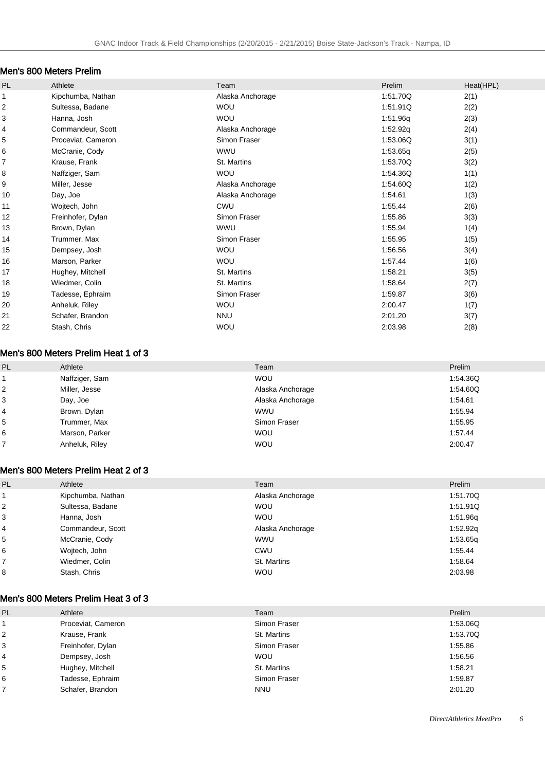### Men's 800 Meters Prelim

| PL                      | Athlete            | Team             | Prelim   | Heat(HPL) |
|-------------------------|--------------------|------------------|----------|-----------|
|                         | Kipchumba, Nathan  | Alaska Anchorage | 1:51.70Q | 2(1)      |
| $\overline{\mathbf{c}}$ | Sultessa, Badane   | <b>WOU</b>       | 1:51.91Q | 2(2)      |
| 3                       | Hanna, Josh        | <b>WOU</b>       | 1:51.96q | 2(3)      |
| 4                       | Commandeur, Scott  | Alaska Anchorage | 1:52.92q | 2(4)      |
| 5                       | Proceviat, Cameron | Simon Fraser     | 1:53.06Q | 3(1)      |
| 6                       | McCranie, Cody     | <b>WWU</b>       | 1:53.65q | 2(5)      |
| $\overline{7}$          | Krause, Frank      | St. Martins      | 1:53.70Q | 3(2)      |
| 8                       | Naffziger, Sam     | <b>WOU</b>       | 1:54.36Q | 1(1)      |
| 9                       | Miller, Jesse      | Alaska Anchorage | 1:54.60Q | 1(2)      |
| 10                      | Day, Joe           | Alaska Anchorage | 1:54.61  | 1(3)      |
| 11                      | Wojtech, John      | <b>CWU</b>       | 1:55.44  | 2(6)      |
| 12                      | Freinhofer, Dylan  | Simon Fraser     | 1:55.86  | 3(3)      |
| 13                      | Brown, Dylan       | <b>WWU</b>       | 1:55.94  | 1(4)      |
| 14                      | Trummer, Max       | Simon Fraser     | 1:55.95  | 1(5)      |
| 15                      | Dempsey, Josh      | <b>WOU</b>       | 1:56.56  | 3(4)      |
| 16                      | Marson, Parker     | <b>WOU</b>       | 1:57.44  | 1(6)      |
| 17                      | Hughey, Mitchell   | St. Martins      | 1:58.21  | 3(5)      |
| 18                      | Wiedmer, Colin     | St. Martins      | 1:58.64  | 2(7)      |
| 19                      | Tadesse, Ephraim   | Simon Fraser     | 1:59.87  | 3(6)      |
| 20                      | Anheluk, Riley     | <b>WOU</b>       | 2:00.47  | 1(7)      |
| 21                      | Schafer, Brandon   | <b>NNU</b>       | 2:01.20  | 3(7)      |
| 22                      | Stash, Chris       | WOU              | 2:03.98  | 2(8)      |
|                         |                    |                  |          |           |

#### Men's 800 Meters Prelim Heat 1 of 3

| PL             | Athlete        | Team             | Prelim   |
|----------------|----------------|------------------|----------|
|                | Naffziger, Sam | <b>WOU</b>       | 1:54.36Q |
| $\overline{2}$ | Miller, Jesse  | Alaska Anchorage | 1:54.60Q |
| 3              | Day, Joe       | Alaska Anchorage | 1:54.61  |
| 4              | Brown, Dylan   | <b>WWU</b>       | 1:55.94  |
| 5              | Trummer, Max   | Simon Fraser     | 1:55.95  |
| 6              | Marson, Parker | <b>WOU</b>       | 1:57.44  |
|                | Anheluk, Riley | <b>WOU</b>       | 2:00.47  |

### Men's 800 Meters Prelim Heat 2 of 3

| PL             | Athlete           | Team             | Prelim   |
|----------------|-------------------|------------------|----------|
|                | Kipchumba, Nathan | Alaska Anchorage | 1.51.70Q |
| $\overline{c}$ | Sultessa, Badane  | <b>WOU</b>       | 1.51.91Q |
| 3              | Hanna, Josh       | <b>WOU</b>       | 1:51.96g |
| 4              | Commandeur, Scott | Alaska Anchorage | 1:52.92q |
| 5              | McCranie, Cody    | <b>WWU</b>       | 1:53.65g |
| 6              | Wojtech, John     | CWU              | 1:55.44  |
| 7              | Wiedmer, Colin    | St. Martins      | 1:58.64  |
| 8              | Stash, Chris      | <b>WOU</b>       | 2:03.98  |

### Men's 800 Meters Prelim Heat 3 of 3

| PL             | Athlete            | Team         | Prelim   |
|----------------|--------------------|--------------|----------|
|                | Proceviat, Cameron | Simon Fraser | 1:53.06Q |
| 2              | Krause, Frank      | St. Martins  | 1:53.70Q |
| 3              | Freinhofer, Dylan  | Simon Fraser | 1:55.86  |
| $\overline{4}$ | Dempsey, Josh      | <b>WOU</b>   | 1:56.56  |
| 5              | Hughey, Mitchell   | St. Martins  | 1:58.21  |
| 6              | Tadesse, Ephraim   | Simon Fraser | 1:59.87  |
|                | Schafer, Brandon   | <b>NNU</b>   | 2:01.20  |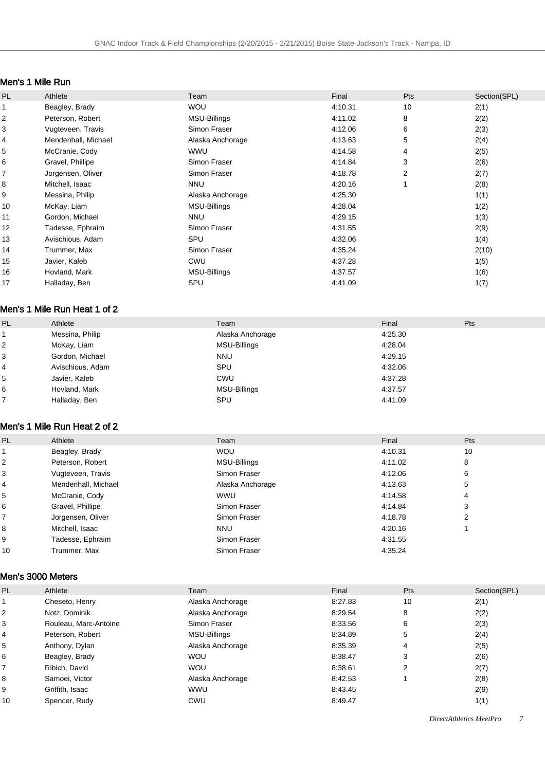#### Men's 1 Mile Run

| PL | Athlete             | Team                | Final   | <b>Pts</b> | Section(SPL) |
|----|---------------------|---------------------|---------|------------|--------------|
|    | Beagley, Brady      | <b>WOU</b>          | 4:10.31 | 10         | 2(1)         |
| 2  | Peterson, Robert    | MSU-Billings        | 4:11.02 | 8          | 2(2)         |
| 3  | Vugteveen, Travis   | Simon Fraser        | 4:12.06 | 6          | 2(3)         |
| 4  | Mendenhall, Michael | Alaska Anchorage    | 4:13.63 | 5          | 2(4)         |
| 5  | McCranie, Cody      | WWU                 | 4:14.58 | 4          | 2(5)         |
| 6  | Gravel, Phillipe    | Simon Fraser        | 4:14.84 | 3          | 2(6)         |
| 7  | Jorgensen, Oliver   | Simon Fraser        | 4:18.78 | 2          | 2(7)         |
| 8  | Mitchell, Isaac     | <b>NNU</b>          | 4:20.16 |            | 2(8)         |
| 9  | Messina, Philip     | Alaska Anchorage    | 4:25.30 |            | 1(1)         |
| 10 | McKay, Liam         | <b>MSU-Billings</b> | 4:28.04 |            | 1(2)         |
| 11 | Gordon, Michael     | <b>NNU</b>          | 4:29.15 |            | 1(3)         |
| 12 | Tadesse, Ephraim    | Simon Fraser        | 4:31.55 |            | 2(9)         |
| 13 | Avischious, Adam    | SPU                 | 4:32.06 |            | 1(4)         |
| 14 | Trummer, Max        | Simon Fraser        | 4:35.24 |            | 2(10)        |
| 15 | Javier, Kaleb       | <b>CWU</b>          | 4:37.28 |            | 1(5)         |
| 16 | Hovland, Mark       | <b>MSU-Billings</b> | 4:37.57 |            | 1(6)         |
| 17 | Halladay, Ben       | SPU                 | 4:41.09 |            | 1(7)         |
|    |                     |                     |         |            |              |

### Men's 1 Mile Run Heat 1 of 2

| PL | Athlete          | Team             | Final   | Pts |
|----|------------------|------------------|---------|-----|
|    | Messina, Philip  | Alaska Anchorage | 4:25.30 |     |
| 2  | McKay, Liam      | MSU-Billings     | 4:28.04 |     |
| 3  | Gordon, Michael  | <b>NNU</b>       | 4:29.15 |     |
| 4  | Avischious, Adam | SPU              | 4:32.06 |     |
| 5  | Javier, Kaleb    | <b>CWU</b>       | 4:37.28 |     |
| 6  | Hovland, Mark    | MSU-Billings     | 4:37.57 |     |
|    | Halladay, Ben    | SPU              | 4:41.09 |     |

### Men's 1 Mile Run Heat 2 of 2

| PL | Athlete             | Team             | Final   | <b>Pts</b> |
|----|---------------------|------------------|---------|------------|
|    | Beagley, Brady      | <b>WOU</b>       | 4:10.31 | 10         |
| 2  | Peterson, Robert    | MSU-Billings     | 4:11.02 | 8          |
| 3  | Vugteveen, Travis   | Simon Fraser     | 4:12.06 | 6          |
| 4  | Mendenhall, Michael | Alaska Anchorage | 4:13.63 | 5          |
| 5  | McCranie, Cody      | <b>WWU</b>       | 4:14.58 | 4          |
| 6  | Gravel, Phillipe    | Simon Fraser     | 4:14.84 | 3          |
|    | Jorgensen, Oliver   | Simon Fraser     | 4:18.78 | 2          |
| 8  | Mitchell, Isaac     | <b>NNU</b>       | 4:20.16 |            |
| 9  | Tadesse, Ephraim    | Simon Fraser     | 4:31.55 |            |
| 10 | Trummer, Max        | Simon Fraser     | 4:35.24 |            |

#### Men's 3000 Meters

| <b>PL</b> | Athlete               | Team                | Final   | <b>Pts</b> | Section(SPL) |
|-----------|-----------------------|---------------------|---------|------------|--------------|
|           | Cheseto, Henry        | Alaska Anchorage    | 8:27.83 | 10         | 2(1)         |
| 2         | Notz, Dominik         | Alaska Anchorage    | 8:29.54 | 8          | 2(2)         |
| 3         | Rouleau, Marc-Antoine | Simon Fraser        | 8:33.56 | 6          | 2(3)         |
| 4         | Peterson, Robert      | <b>MSU-Billings</b> | 8:34.89 | 5          | 2(4)         |
| 5         | Anthony, Dylan        | Alaska Anchorage    | 8:35.39 | 4          | 2(5)         |
| 6         | Beagley, Brady        | <b>WOU</b>          | 8:38.47 | 3          | 2(6)         |
|           | Ribich, David         | <b>WOU</b>          | 8:38.61 | 2          | 2(7)         |
| 8         | Samoei, Victor        | Alaska Anchorage    | 8:42.53 |            | 2(8)         |
| 9         | Griffith, Isaac       | <b>WWU</b>          | 8:43.45 |            | 2(9)         |
| 10        | Spencer, Rudy         | CWU                 | 8:49.47 |            | 1(1)         |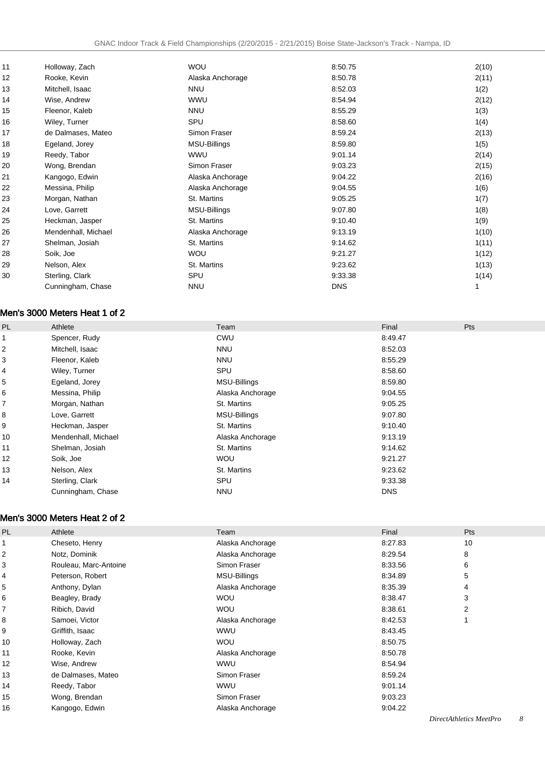| 11 | Holloway, Zach      | <b>WOU</b>       | 8:50.75    | 2(10) |
|----|---------------------|------------------|------------|-------|
| 12 | Rooke, Kevin        | Alaska Anchorage | 8:50.78    | 2(11) |
| 13 | Mitchell, Isaac     | <b>NNU</b>       | 8:52.03    | 1(2)  |
| 14 | Wise, Andrew        | <b>WWU</b>       | 8:54.94    | 2(12) |
| 15 | Fleenor, Kaleb      | <b>NNU</b>       | 8:55.29    | 1(3)  |
| 16 | Wiley, Turner       | SPU              | 8:58.60    | 1(4)  |
| 17 | de Dalmases, Mateo  | Simon Fraser     | 8:59.24    | 2(13) |
| 18 | Egeland, Jorey      | MSU-Billings     | 8:59.80    | 1(5)  |
| 19 | Reedy, Tabor        | WWU              | 9:01.14    | 2(14) |
| 20 | Wong, Brendan       | Simon Fraser     | 9:03.23    | 2(15) |
| 21 | Kangogo, Edwin      | Alaska Anchorage | 9:04.22    | 2(16) |
| 22 | Messina, Philip     | Alaska Anchorage | 9:04.55    | 1(6)  |
| 23 | Morgan, Nathan      | St. Martins      | 9:05.25    | 1(7)  |
| 24 | Love, Garrett       | MSU-Billings     | 9:07.80    | 1(8)  |
| 25 | Heckman, Jasper     | St. Martins      | 9:10.40    | 1(9)  |
| 26 | Mendenhall, Michael | Alaska Anchorage | 9:13.19    | 1(10) |
| 27 | Shelman, Josiah     | St. Martins      | 9:14.62    | 1(11) |
| 28 | Soik, Joe           | <b>WOU</b>       | 9:21.27    | 1(12) |
| 29 | Nelson, Alex        | St. Martins      | 9:23.62    | 1(13) |
| 30 | Sterling, Clark     | SPU              | 9:33.38    | 1(14) |
|    | Cunningham, Chase   | <b>NNU</b>       | <b>DNS</b> |       |
|    |                     |                  |            |       |

### Men's 3000 Meters Heat 1 of 2

| PL | Athlete             | Team                | Final      | Pts |
|----|---------------------|---------------------|------------|-----|
|    | Spencer, Rudy       | CWU                 | 8:49.47    |     |
| 2  | Mitchell, Isaac     | <b>NNU</b>          | 8:52.03    |     |
| 3  | Fleenor, Kaleb      | <b>NNU</b>          | 8:55.29    |     |
| 4  | Wiley, Turner       | SPU                 | 8:58.60    |     |
| 5  | Egeland, Jorey      | MSU-Billings        | 8:59.80    |     |
| 6  | Messina, Philip     | Alaska Anchorage    | 9:04.55    |     |
| 7  | Morgan, Nathan      | St. Martins         | 9:05.25    |     |
| 8  | Love, Garrett       | <b>MSU-Billings</b> | 9:07.80    |     |
| 9  | Heckman, Jasper     | St. Martins         | 9:10.40    |     |
| 10 | Mendenhall, Michael | Alaska Anchorage    | 9:13.19    |     |
| 11 | Shelman, Josiah     | St. Martins         | 9:14.62    |     |
| 12 | Soik, Joe           | <b>WOU</b>          | 9:21.27    |     |
| 13 | Nelson, Alex        | St. Martins         | 9:23.62    |     |
| 14 | Sterling, Clark     | SPU                 | 9:33.38    |     |
|    | Cunningham, Chase   | <b>NNU</b>          | <b>DNS</b> |     |

#### Men's 3000 Meters Heat 2 of 2

| PL | Athlete               | Team             | Final   | Pts |
|----|-----------------------|------------------|---------|-----|
|    | Cheseto, Henry        | Alaska Anchorage | 8:27.83 | 10  |
| 2  | Notz, Dominik         | Alaska Anchorage | 8:29.54 | 8   |
| 3  | Rouleau, Marc-Antoine | Simon Fraser     | 8:33.56 | 6   |
| 4  | Peterson, Robert      | MSU-Billings     | 8:34.89 | 5   |
| 5  | Anthony, Dylan        | Alaska Anchorage | 8:35.39 | 4   |
| 6  | Beagley, Brady        | <b>WOU</b>       | 8:38.47 | 3   |
| 7  | Ribich, David         | <b>WOU</b>       | 8:38.61 | 2   |
| 8  | Samoei, Victor        | Alaska Anchorage | 8:42.53 |     |
| 9  | Griffith, Isaac       | <b>WWU</b>       | 8:43.45 |     |
| 10 | Holloway, Zach        | <b>WOU</b>       | 8:50.75 |     |
| 11 | Rooke, Kevin          | Alaska Anchorage | 8:50.78 |     |
| 12 | Wise, Andrew          | <b>WWU</b>       | 8:54.94 |     |
| 13 | de Dalmases, Mateo    | Simon Fraser     | 8:59.24 |     |
| 14 | Reedy, Tabor          | <b>WWU</b>       | 9:01.14 |     |
| 15 | Wong, Brendan         | Simon Fraser     | 9:03.23 |     |
| 16 | Kangogo, Edwin        | Alaska Anchorage | 9:04.22 |     |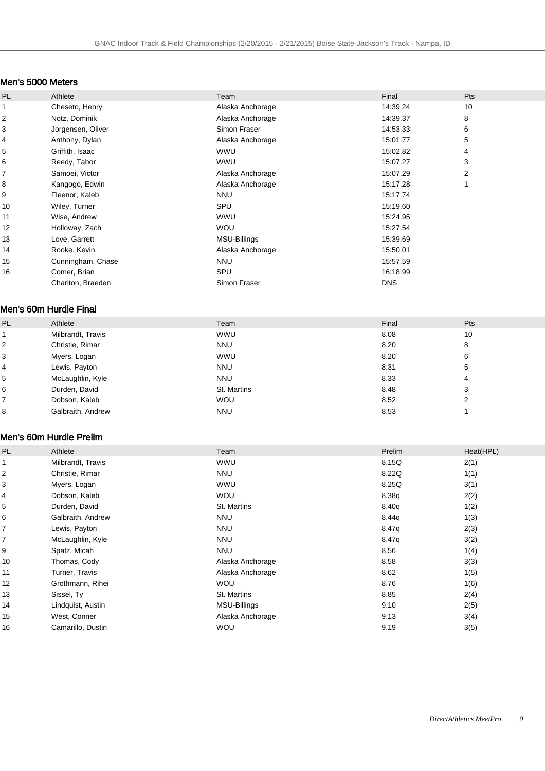### Men's 5000 Meters

| PL | Athlete           | Team             | Final      | Pts |
|----|-------------------|------------------|------------|-----|
| 1  | Cheseto, Henry    | Alaska Anchorage | 14:39.24   | 10  |
| 2  | Notz, Dominik     | Alaska Anchorage | 14:39.37   | 8   |
| 3  | Jorgensen, Oliver | Simon Fraser     | 14:53.33   | 6   |
| 4  | Anthony, Dylan    | Alaska Anchorage | 15:01.77   | 5   |
| 5  | Griffith, Isaac   | <b>WWU</b>       | 15:02.82   | 4   |
| 6  | Reedy, Tabor      | <b>WWU</b>       | 15:07.27   | 3   |
| 7  | Samoei, Victor    | Alaska Anchorage | 15:07.29   | 2   |
| 8  | Kangogo, Edwin    | Alaska Anchorage | 15:17.28   |     |
| 9  | Fleenor, Kaleb    | <b>NNU</b>       | 15:17.74   |     |
| 10 | Wiley, Turner     | SPU              | 15:19.60   |     |
| 11 | Wise, Andrew      | <b>WWU</b>       | 15:24.95   |     |
| 12 | Holloway, Zach    | <b>WOU</b>       | 15:27.54   |     |
| 13 | Love, Garrett     | MSU-Billings     | 15:39.69   |     |
| 14 | Rooke, Kevin      | Alaska Anchorage | 15:50.01   |     |
| 15 | Cunningham, Chase | <b>NNU</b>       | 15:57.59   |     |
| 16 | Comer, Brian      | SPU              | 16:18.99   |     |
|    | Charlton, Braeden | Simon Fraser     | <b>DNS</b> |     |

#### Men's 60m Hurdle Final

| <b>PL</b> | Athlete           | Team        | Final | Pts |
|-----------|-------------------|-------------|-------|-----|
|           | Milbrandt, Travis | <b>WWU</b>  | 8.08  | 10  |
| 2         | Christie, Rimar   | <b>NNU</b>  | 8.20  | 8   |
| 3         | Myers, Logan      | <b>WWU</b>  | 8.20  | 6   |
| 4         | Lewis, Payton     | <b>NNU</b>  | 8.31  | 5   |
| 5         | McLaughlin, Kyle  | <b>NNU</b>  | 8.33  | 4   |
| 6         | Durden, David     | St. Martins | 8.48  | 3   |
|           | Dobson, Kaleb     | <b>WOU</b>  | 8.52  | 2   |
| 8         | Galbraith, Andrew | <b>NNU</b>  | 8.53  |     |

#### Men's 60m Hurdle Prelim

| PL | Athlete           | Team             | Prelim | Heat(HPL) |
|----|-------------------|------------------|--------|-----------|
|    | Milbrandt, Travis | <b>WWU</b>       | 8.15Q  | 2(1)      |
| 2  | Christie, Rimar   | <b>NNU</b>       | 8.22Q  | 1(1)      |
| 3  | Myers, Logan      | <b>WWU</b>       | 8.25Q  | 3(1)      |
| 4  | Dobson, Kaleb     | <b>WOU</b>       | 8.38q  | 2(2)      |
| 5  | Durden, David     | St. Martins      | 8.40q  | 1(2)      |
| 6  | Galbraith, Andrew | <b>NNU</b>       | 8.44q  | 1(3)      |
| 7  | Lewis, Payton     | <b>NNU</b>       | 8.47q  | 2(3)      |
| 7  | McLaughlin, Kyle  | <b>NNU</b>       | 8.47q  | 3(2)      |
| 9  | Spatz, Micah      | <b>NNU</b>       | 8.56   | 1(4)      |
| 10 | Thomas, Cody      | Alaska Anchorage | 8.58   | 3(3)      |
| 11 | Turner, Travis    | Alaska Anchorage | 8.62   | 1(5)      |
| 12 | Grothmann, Rihei  | <b>WOU</b>       | 8.76   | 1(6)      |
| 13 | Sissel, Ty        | St. Martins      | 8.85   | 2(4)      |
| 14 | Lindquist, Austin | MSU-Billings     | 9.10   | 2(5)      |
| 15 | West, Conner      | Alaska Anchorage | 9.13   | 3(4)      |
| 16 | Camarillo, Dustin | <b>WOU</b>       | 9.19   | 3(5)      |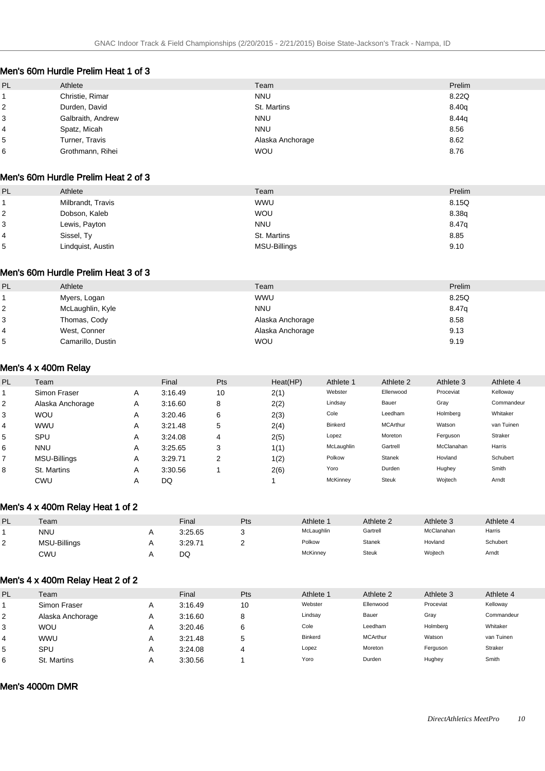#### Men's 60m Hurdle Prelim Heat 1 of 3

| PL             | Athlete           | Team             | Prelim |
|----------------|-------------------|------------------|--------|
|                | Christie, Rimar   | <b>NNU</b>       | 8.22Q  |
| $\overline{2}$ | Durden, David     | St. Martins      | 8.40q  |
| 3              | Galbraith, Andrew | <b>NNU</b>       | 8.44g  |
| $\overline{4}$ | Spatz, Micah      | <b>NNU</b>       | 8.56   |
| 5              | Turner, Travis    | Alaska Anchorage | 8.62   |
| 6              | Grothmann, Rihei  | <b>WOU</b>       | 8.76   |

#### Men's 60m Hurdle Prelim Heat 2 of 3

| PL             | Athlete           | Team         | Prelim |
|----------------|-------------------|--------------|--------|
|                | Milbrandt, Travis | <b>WWU</b>   | 8.15Q  |
| $\overline{2}$ | Dobson, Kaleb     | <b>WOU</b>   | 8.38q  |
| 3              | Lewis, Payton     | <b>NNU</b>   | 8.47q  |
| $\overline{4}$ | Sissel, Ty        | St. Martins  | 8.85   |
| 5              | Lindquist, Austin | MSU-Billings | 9.10   |

#### Men's 60m Hurdle Prelim Heat 3 of 3

| PL | Athlete           | Team             | Prelim |
|----|-------------------|------------------|--------|
|    | Myers, Logan      | WWU              | 8.25Q  |
| ے  | McLaughlin, Kyle  | <b>NNU</b>       | 8.47g  |
| 3  | Thomas, Cody      | Alaska Anchorage | 8.58   |
|    | West, Conner      | Alaska Anchorage | 9.13   |
| 5  | Camarillo, Dustin | <b>WOU</b>       | 9.19   |

#### Men's 4 x 400m Relay

| PL | Team             |   | Final   | Pts | Heat(HP) | Athlete 1  | Athlete 2       | Athlete 3  | Athlete 4      |
|----|------------------|---|---------|-----|----------|------------|-----------------|------------|----------------|
|    | Simon Fraser     | A | 3:16.49 | 10  | 2(1)     | Webster    | Ellenwood       | Proceviat  | Kelloway       |
| 2  | Alaska Anchorage | Α | 3:16.60 | 8   | 2(2)     | Lindsay    | Bauer           | Gray       | Commandeur     |
| 3  | <b>WOU</b>       | Α | 3:20.46 | 6   | 2(3)     | Cole       | Leedham         | Holmberg   | Whitaker       |
| 4  | <b>WWU</b>       | Α | 3:21.48 | 5   | 2(4)     | Binkerd    | <b>MCArthur</b> | Watson     | van Tuinen     |
| 5  | SPU              | Α | 3:24.08 | 4   | 2(5)     | Lopez      | Moreton         | Ferguson   | <b>Straker</b> |
| 6  | <b>NNU</b>       | А | 3:25.65 | 3   | 1(1)     | McLaughlin | Gartrell        | McClanahan | Harris         |
|    | MSU-Billings     | Α | 3:29.71 | 2   | 1(2)     | Polkow     | <b>Stanek</b>   | Hovland    | Schubert       |
| 8  | St. Martins      | Α | 3:30.56 |     | 2(6)     | Yoro       | Durden          | Hughey     | Smith          |
|    | CWU              | А | DQ      |     |          | McKinney   | <b>Steuk</b>    | Wojtech    | Arndt          |

#### Men's 4 x 400m Relay Heat 1 of 2

| PL | Team         | Final   | Pts | Athlete '  | Athlete 2     | Athlete 3  | Athlete 4 |
|----|--------------|---------|-----|------------|---------------|------------|-----------|
|    | NNU          | 3:25.65 |     | McLaughlin | Gartrell      | McClanahan | Harris    |
|    | MSU-Billings | 3:29.71 |     | Polkow     | <b>Stanek</b> | Hovland    | Schubert  |
|    | CWU          | DQ      |     | McKinney   | Steuk         | Wojtech    | Arndt     |

### Men's 4 x 400m Relay Heat 2 of 2

| PL | Team             |   | Final   | Pts    | Athlete 1      | Athlete 2       | Athlete 3 | Athlete 4  |
|----|------------------|---|---------|--------|----------------|-----------------|-----------|------------|
|    | Simon Fraser     |   | 3:16.49 | 10     | Webster        | Ellenwood       | Proceviat | Kelloway   |
| 2  | Alaska Anchorage | A | 3:16.60 | c<br>c | Lindsay        | Bauer           | Gray      | Commandeur |
|    | <b>WOU</b>       | А | 3:20.46 | 6      | Cole           | Leedham         | Holmberg  | Whitaker   |
|    | <b>WWU</b>       |   | 3:21.48 | 5      | <b>Binkerd</b> | <b>MCArthur</b> | Watson    | van Tuinen |
| 5  | SPU              |   | 3:24.08 |        | Lopez          | Moreton         | Ferguson  | Straker    |
|    | St. Martins      |   | 3:30.56 |        | Yoro           | Durden          | Hughey    | Smith      |

#### Men's 4000m DMR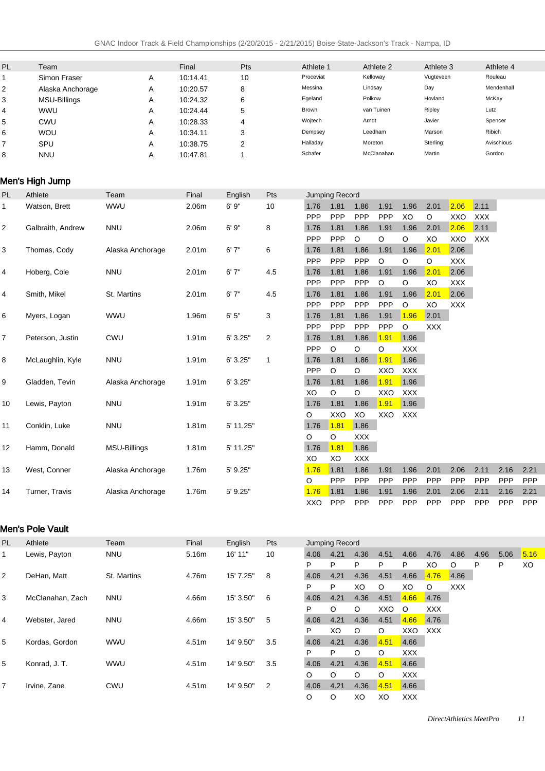| PL | Team                |                  | Final             | Pts            |                | Athlete 1      |            |            | Athlete 2  |            | Athlete 3  |      |        | Athlete 4  |      |
|----|---------------------|------------------|-------------------|----------------|----------------|----------------|------------|------------|------------|------------|------------|------|--------|------------|------|
| 1  | Simon Fraser        | Α                | 10:14.41          | 10             |                | Proceviat      |            |            | Kelloway   |            | Vugteveen  |      |        | Rouleau    |      |
| 2  | Alaska Anchorage    | Α                | 10:20.57          | 8              |                | Messina        |            | Lindsay    |            |            | Day        |      |        | Mendenhall |      |
| 3  | <b>MSU-Billings</b> | Α                | 10:24.32          | 6              |                | Egeland        |            | Polkow     |            |            | Hovland    |      |        | McKay      |      |
| 4  | WWU                 | Α                | 10:24.44          | 5              |                | Brown          |            |            | van Tuinen |            | Ripley     |      | Lutz   |            |      |
| 5  | <b>CWU</b>          | Α                | 10:28.33          | 4              |                | Wojtech        |            | Arndt      |            |            | Javier     |      |        | Spencer    |      |
| 6  | WOU                 | Α                | 10:34.11          | 3              |                | Dempsey        |            |            | Leedham    |            | Marson     |      | Ribich |            |      |
| 7  | SPU                 | Α                | 10:38.75          | $\overline{c}$ |                | Halladay       |            | Moreton    |            |            | Sterling   |      |        | Avischious |      |
| 8  | <b>NNU</b>          | Α                | 10:47.81          | $\mathbf{1}$   |                | Schafer        |            |            | McClanahan |            | Martin     |      |        | Gordon     |      |
|    | Men's High Jump     |                  |                   |                |                |                |            |            |            |            |            |      |        |            |      |
| PL | Athlete             | Team             | Final             | English        | Pts            | Jumping Record |            |            |            |            |            |      |        |            |      |
| 1  | Watson, Brett       | <b>WWU</b>       | 2.06m             | 6'9''          | 10             | 1.76           | 1.81       | 1.86       | 1.91       | 1.96       | 2.01       | 2.06 | 2.11   |            |      |
|    |                     |                  |                   |                |                | <b>PPP</b>     | <b>PPP</b> | <b>PPP</b> | PPP        | XO         | O          | XXO  | XXX    |            |      |
| 2  | Galbraith, Andrew   | <b>NNU</b>       | 2.06m             | 6'9''          | 8              | 1.76           | 1.81       | 1.86       | 1.91       | 1.96       | 2.01       | 2.06 | 2.11   |            |      |
|    |                     |                  |                   |                |                | <b>PPP</b>     | PPP        | O          | O          | O          | XO         | XXO  | XXX    |            |      |
| 3  | Thomas, Cody        | Alaska Anchorage | 2.01 <sub>m</sub> | 6'7''          | 6              | 1.76           | 1.81       | 1.86       | 1.91       | 1.96       | 2.01       | 2.06 |        |            |      |
|    |                     |                  |                   |                |                | <b>PPP</b>     | <b>PPP</b> | PPP        | O          | O          | O          | XXX  |        |            |      |
| 4  | Hoberg, Cole        | <b>NNU</b>       | 2.01 <sub>m</sub> | 6'7''          | 4.5            | 1.76           | 1.81       | 1.86       | 1.91       | 1.96       | 2.01       | 2.06 |        |            |      |
|    |                     |                  |                   |                |                | <b>PPP</b>     | PPP        | <b>PPP</b> | O          | O          | XO         | XXX  |        |            |      |
| 4  | Smith, Mikel        | St. Martins      | 2.01 <sub>m</sub> | 6'7''          | 4.5            | 1.76           | 1.81       | 1.86       | 1.91       | 1.96       | 2.01       | 2.06 |        |            |      |
|    |                     |                  |                   |                |                | PPP            | PPP        | PPP        | PPP        | $\circ$    | XO         | XXX  |        |            |      |
| 6  | Myers, Logan        | <b>WWU</b>       | 1.96m             | 6'5''          | 3              | 1.76           | 1.81       | 1.86       | 1.91       | 1.96       | 2.01       |      |        |            |      |
|    |                     |                  |                   |                |                | PPP            | PPP        | PPP        | PPP        | $\circ$    | <b>XXX</b> |      |        |            |      |
| 7  |                     | CWU              | 1.91 <sub>m</sub> | 6'3.25"        | $\overline{2}$ | 1.76           | 1.81       | 1.86       | 1.91       | 1.96       |            |      |        |            |      |
|    | Peterson, Justin    |                  |                   |                |                | PPP            | O          | $\circ$    | O          | <b>XXX</b> |            |      |        |            |      |
| 8  | McLaughlin, Kyle    | <b>NNU</b>       | 1.91 <sub>m</sub> | 6' 3.25"       | $\mathbf{1}$   | 1.76           | 1.81       | 1.86       | 1.91       | 1.96       |            |      |        |            |      |
|    |                     |                  |                   |                |                | PPP            | O          | O          | XXO        | <b>XXX</b> |            |      |        |            |      |
| 9  | Gladden, Tevin      |                  | 1.91 <sub>m</sub> | 6' 3.25"       |                | 1.76           | 1.81       | 1.86       | 1.91       | 1.96       |            |      |        |            |      |
|    |                     | Alaska Anchorage |                   |                |                | XO             | O          | O          | XXO        | <b>XXX</b> |            |      |        |            |      |
| 10 |                     | <b>NNU</b>       | 1.91 <sub>m</sub> | 6' 3.25"       |                | 1.76           | 1.81       | 1.86       | 1.91       | 1.96       |            |      |        |            |      |
|    | Lewis, Payton       |                  |                   |                |                | O              | XXO        | XO         | XXO        | <b>XXX</b> |            |      |        |            |      |
|    |                     |                  |                   |                |                |                | 1.81       | 1.86       |            |            |            |      |        |            |      |
| 11 | Conklin, Luke       | <b>NNU</b>       | 1.81 <sub>m</sub> | 5' 11.25"      |                | 1.76           |            |            |            |            |            |      |        |            |      |
|    |                     |                  |                   |                |                | O              | O<br>1.81  | XXX        |            |            |            |      |        |            |      |
| 12 | Hamm, Donald        | MSU-Billings     | 1.81 <sub>m</sub> | 5' 11.25"      |                | 1.76           |            | 1.86       |            |            |            |      |        |            |      |
|    |                     |                  |                   |                |                | XO             | XO         | XXX        |            |            |            |      |        |            |      |
| 13 | West, Conner        | Alaska Anchorage | 1.76m             | $5'$ 9.25"     |                | 1.76           | 1.81       | 1.86       | 1.91       | 1.96       | 2.01       | 2.06 | 2.11   | 2.16       | 2.21 |
|    |                     |                  |                   |                |                | O              | PPP        | PPP        | <b>PPP</b> | PPP        | <b>PPP</b> | PPP  | PPP    | PPP        | PPP  |
| 14 | Turner, Travis      | Alaska Anchorage | 1.76m             | 5' 9.25"       |                | 1.76           | 1.81       | 1.86       | 1.91       | 1.96       | 2.01       | 2.06 | 2.11   | 2.16       | 2.21 |
|    |                     |                  |                   |                |                | XXO            | PPP        | PPP        | PPP        | PPP        | PPP        | PPP  | PPP    | PPP        | PPP  |

### Men's Pole Vault

| <b>PL</b>      | Athlete          | Team        | Final | English   | <b>Pts</b> |      | <b>Jumping Record</b> |         |         |            |            |            |      |      |      |
|----------------|------------------|-------------|-------|-----------|------------|------|-----------------------|---------|---------|------------|------------|------------|------|------|------|
| 1.             | Lewis, Payton    | <b>NNU</b>  | 5.16m | 16' 11"   | 10         | 4.06 | 4.21                  | 4.36    | 4.51    | 4.66       | 4.76       | 4.86       | 4.96 | 5.06 | 5.16 |
|                |                  |             |       |           |            | P    | P                     | P       | P       | P          | XO         | $\circ$    | P    | P    | XO   |
| $\overline{2}$ | DeHan, Matt      | St. Martins | 4.76m | 15' 7.25" | 8          | 4.06 | 4.21                  | 4.36    | 4.51    | 4.66       | 4.76       | 4.86       |      |      |      |
|                |                  |             |       |           |            | P    | P                     | XO      | $\circ$ | XO         | $\circ$    | <b>XXX</b> |      |      |      |
| 3              | McClanahan, Zach | <b>NNU</b>  | 4.66m | 15' 3.50" | 6          | 4.06 | 4.21                  | 4.36    | 4.51    | 4.66       | 4.76       |            |      |      |      |
|                |                  |             |       |           |            | P    | $\circ$               | $\circ$ | XXO     | $\circ$    | <b>XXX</b> |            |      |      |      |
| 4              | Webster, Jared   | <b>NNU</b>  | 4.66m | 15' 3.50" | 5          | 4.06 | 4.21                  | 4.36    | 4.51    | 4.66       | 4.76       |            |      |      |      |
|                |                  |             |       |           |            | P    | XO                    | $\circ$ | $\circ$ | XXO        | <b>XXX</b> |            |      |      |      |
| 5              | Kordas, Gordon   | <b>WWU</b>  | 4.51m | 14' 9.50" | 3.5        | 4.06 | 4.21                  | 4.36    | 4.51    | 4.66       |            |            |      |      |      |
|                |                  |             |       |           |            | P    | P                     | $\circ$ | $\circ$ | <b>XXX</b> |            |            |      |      |      |
| 5              | Konrad, J. T.    | <b>WWU</b>  | 4.51m | 14' 9.50" | 3.5        | 4.06 | 4.21                  | 4.36    | 4.51    | 4.66       |            |            |      |      |      |
|                |                  |             |       |           |            | O    | $\circ$               | O       | $\circ$ | <b>XXX</b> |            |            |      |      |      |
| 7              | Irvine, Zane     | CWU         | 4.51m | 14' 9.50" | 2          | 4.06 | 4.21                  | 4.36    | 4.51    | 4.66       |            |            |      |      |      |
|                |                  |             |       |           |            | O    | O                     | XO      | XO      | <b>XXX</b> |            |            |      |      |      |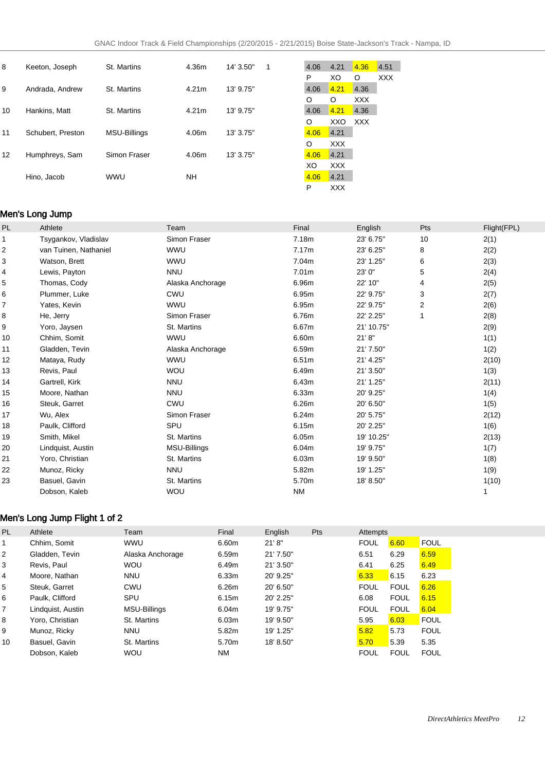| 8  | Keeton, Joseph    | St. Martins  | 4.36m | 14' 3.50" | $\overline{1}$ | 4.06 | 4.21       | 4.36       | 4.51       |
|----|-------------------|--------------|-------|-----------|----------------|------|------------|------------|------------|
|    |                   |              |       |           |                | P    | XO         | $\circ$    | <b>XXX</b> |
| 9  | Andrada, Andrew   | St. Martins  | 4.21m | 13' 9.75" |                | 4.06 | 4.21       | 4.36       |            |
|    |                   |              |       |           |                | O    | $\circ$    | <b>XXX</b> |            |
| 10 | Hankins, Matt     | St. Martins  | 4.21m | 13' 9.75" |                | 4.06 | 4.21       | 4.36       |            |
|    |                   |              |       |           |                | O    | <b>XXO</b> | <b>XXX</b> |            |
| 11 | Schubert. Preston | MSU-Billings | 4.06m | 13' 3.75" |                | 4.06 | 4.21       |            |            |
|    |                   |              |       |           |                | O    | <b>XXX</b> |            |            |
| 12 | Humphreys, Sam    | Simon Fraser | 4.06m | 13' 3.75" |                | 4.06 | 4.21       |            |            |
|    |                   |              |       |           |                | XO   | <b>XXX</b> |            |            |
|    | Hino, Jacob       | <b>WWU</b>   | NΗ    |           |                | 4.06 | 4.21       |            |            |
|    |                   |              |       |           |                | P    | <b>XXX</b> |            |            |

### Men's Long Jump

| PL | Athlete               | Team             | Final     | English    | Pts            | Flight(FPL) |
|----|-----------------------|------------------|-----------|------------|----------------|-------------|
| 1  | Tsygankov, Vladislav  | Simon Fraser     | 7.18m     | 23' 6.75"  | 10             | 2(1)        |
| 2  | van Tuinen, Nathaniel | <b>WWU</b>       | 7.17m     | 23' 6.25"  | 8              | 2(2)        |
| 3  | Watson, Brett         | <b>WWU</b>       | 7.04m     | 23' 1.25"  | 6              | 2(3)        |
| 4  | Lewis, Payton         | <b>NNU</b>       | 7.01m     | 23' 0"     | 5              | 2(4)        |
| 5  | Thomas, Cody          | Alaska Anchorage | 6.96m     | 22' 10"    | 4              | 2(5)        |
| 6  | Plummer, Luke         | <b>CWU</b>       | 6.95m     | 22' 9.75"  | 3              | 2(7)        |
| 7  | Yates, Kevin          | <b>WWU</b>       | 6.95m     | 22' 9.75"  | $\overline{2}$ | 2(6)        |
| 8  | He, Jerry             | Simon Fraser     | 6.76m     | 22' 2.25"  | 1              | 2(8)        |
| 9  | Yoro, Jaysen          | St. Martins      | 6.67m     | 21' 10.75" |                | 2(9)        |
| 10 | Chhim, Somit          | <b>WWU</b>       | 6.60m     | 21' 8''    |                | 1(1)        |
| 11 | Gladden, Tevin        | Alaska Anchorage | 6.59m     | 21' 7.50"  |                | 1(2)        |
| 12 | Mataya, Rudy          | <b>WWU</b>       | 6.51m     | 21' 4.25"  |                | 2(10)       |
| 13 | Revis, Paul           | <b>WOU</b>       | 6.49m     | 21' 3.50"  |                | 1(3)        |
| 14 | Gartrell, Kirk        | <b>NNU</b>       | 6.43m     | 21' 1.25"  |                | 2(11)       |
| 15 | Moore, Nathan         | <b>NNU</b>       | 6.33m     | 20' 9.25"  |                | 1(4)        |
| 16 | Steuk, Garret         | <b>CWU</b>       | 6.26m     | 20' 6.50"  |                | 1(5)        |
| 17 | Wu, Alex              | Simon Fraser     | 6.24m     | 20' 5.75"  |                | 2(12)       |
| 18 | Paulk, Clifford       | SPU              | 6.15m     | 20' 2.25"  |                | 1(6)        |
| 19 | Smith, Mikel          | St. Martins      | 6.05m     | 19' 10.25" |                | 2(13)       |
| 20 | Lindquist, Austin     | MSU-Billings     | 6.04m     | 19' 9.75"  |                | 1(7)        |
| 21 | Yoro, Christian       | St. Martins      | 6.03m     | 19' 9.50"  |                | 1(8)        |
| 22 | Munoz, Ricky          | <b>NNU</b>       | 5.82m     | 19' 1.25"  |                | 1(9)        |
| 23 | Basuel, Gavin         | St. Martins      | 5.70m     | 18' 8.50"  |                | 1(10)       |
|    | Dobson, Kaleb         | <b>WOU</b>       | <b>NM</b> |            |                | 1           |

### Men's Long Jump Flight 1 of 2

| <b>PL</b> | Athlete           | Team                | Final     | English     | <b>Pts</b> | Attempts    |             |             |
|-----------|-------------------|---------------------|-----------|-------------|------------|-------------|-------------|-------------|
|           | Chhim, Somit      | <b>WWU</b>          | 6.60m     | 21' 8''     |            | <b>FOUL</b> | 6.60        | <b>FOUL</b> |
| 2         | Gladden, Tevin    | Alaska Anchorage    | 6.59m     | 21' 7.50"   |            | 6.51        | 6.29        | 6.59        |
| 3         | Revis, Paul       | <b>WOU</b>          | 6.49m     | 21' 3.50"   |            | 6.41        | 6.25        | 6.49        |
| 4         | Moore, Nathan     | <b>NNU</b>          | 6.33m     | 20' 9.25"   |            | 6.33        | 6.15        | 6.23        |
| 5         | Steuk, Garret     | CWU                 | 6.26m     | 20' 6.50"   |            | <b>FOUL</b> | <b>FOUL</b> | 6.26        |
| 6         | Paulk, Clifford   | SPU                 | 6.15m     | $20'$ 2.25" |            | 6.08        | <b>FOUL</b> | 6.15        |
| 7         | Lindquist, Austin | <b>MSU-Billings</b> | 6.04m     | 19' 9.75"   |            | <b>FOUL</b> | <b>FOUL</b> | 6.04        |
| 8         | Yoro, Christian   | St. Martins         | 6.03m     | 19' 9.50"   |            | 5.95        | 6.03        | <b>FOUL</b> |
| 9         | Munoz, Ricky      | <b>NNU</b>          | 5.82m     | 19' 1.25"   |            | 5.82        | 5.73        | <b>FOUL</b> |
| 10        | Basuel, Gavin     | St. Martins         | 5.70m     | 18' 8.50"   |            | 5.70        | 5.39        | 5.35        |
|           | Dobson, Kaleb     | <b>WOU</b>          | <b>NM</b> |             |            | <b>FOUL</b> | <b>FOUL</b> | <b>FOUL</b> |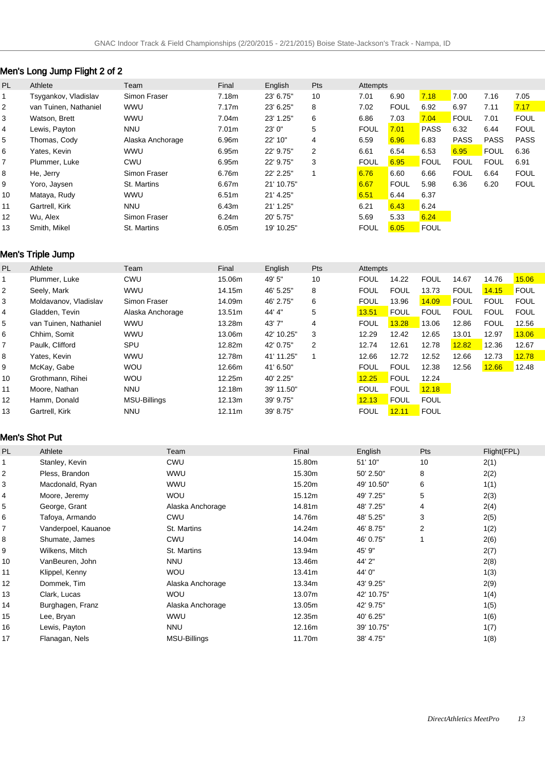# Men's Long Jump Flight 2 of 2

| PL | Athlete               | Team             | Final             | English    | Pts            | Attempts    |             |             |             |             |             |
|----|-----------------------|------------------|-------------------|------------|----------------|-------------|-------------|-------------|-------------|-------------|-------------|
|    | Tsygankov, Vladislav  | Simon Fraser     | 7.18m             | 23' 6.75"  | 10             | 7.01        | 6.90        | 7.18        | 7.00        | 7.16        | 7.05        |
| 2  | van Tuinen. Nathaniel | <b>WWU</b>       | 7.17m             | 23' 6.25"  | 8              | 7.02        | <b>FOUL</b> | 6.92        | 6.97        | 7.11        | 7.17        |
| 3  | Watson, Brett         | <b>WWU</b>       | 7.04m             | 23' 1.25"  | 6              | 6.86        | 7.03        | 7.04        | <b>FOUL</b> | 7.01        | <b>FOUL</b> |
| 4  | Lewis, Payton         | <b>NNU</b>       | 7.01 <sub>m</sub> | 23'0''     | 5              | <b>FOUL</b> | 7.01        | <b>PASS</b> | 6.32        | 6.44        | <b>FOUL</b> |
| 5  | Thomas, Cody          | Alaska Anchorage | 6.96m             | 22' 10"    | 4              | 6.59        | 6.96        | 6.83        | <b>PASS</b> | <b>PASS</b> | <b>PASS</b> |
| 6  | Yates, Kevin          | <b>WWU</b>       | 6.95m             | 22' 9.75"  | $\overline{2}$ | 6.61        | 6.54        | 6.53        | 6.95        | <b>FOUL</b> | 6.36        |
| 7  | Plummer, Luke         | CWU              | 6.95m             | 22' 9.75"  | 3              | <b>FOUL</b> | 6.95        | <b>FOUL</b> | <b>FOUL</b> | <b>FOUL</b> | 6.91        |
| 8  | He, Jerry             | Simon Fraser     | 6.76m             | 22' 2.25"  |                | 6.76        | 6.60        | 6.66        | <b>FOUL</b> | 6.64        | <b>FOUL</b> |
| 9  | Yoro, Jaysen          | St. Martins      | 6.67m             | 21' 10.75" |                | 6.67        | <b>FOUL</b> | 5.98        | 6.36        | 6.20        | <b>FOUL</b> |
| 10 | Mataya, Rudy          | <b>WWU</b>       | 6.51 <sub>m</sub> | 21' 4.25"  |                | 6.51        | 6.44        | 6.37        |             |             |             |
| 11 | Gartrell, Kirk        | <b>NNU</b>       | 6.43m             | 21' 1.25"  |                | 6.21        | 6.43        | 6.24        |             |             |             |
| 12 | Wu. Alex              | Simon Fraser     | 6.24m             | 20' 5.75"  |                | 5.69        | 5.33        | 6.24        |             |             |             |
| 13 | Smith, Mikel          | St. Martins      | 6.05m             | 19' 10.25" |                | <b>FOUL</b> | 6.05        | <b>FOUL</b> |             |             |             |

# Men's Triple Jump

| <b>PL</b> | Athlete               | Team             | Final              | English    | Pts | Attempts    |             |             |             |             |             |
|-----------|-----------------------|------------------|--------------------|------------|-----|-------------|-------------|-------------|-------------|-------------|-------------|
|           | Plummer, Luke         | <b>CWU</b>       | 15.06m             | 49' 5"     | 10  | <b>FOUL</b> | 14.22       | <b>FOUL</b> | 14.67       | 14.76       | 15.06       |
| 2         | Seely, Mark           | <b>WWU</b>       | 14.15m             | 46' 5.25"  | 8   | <b>FOUL</b> | <b>FOUL</b> | 13.73       | <b>FOUL</b> | 14.15       | <b>FOUL</b> |
| 3         | Moldavanov, Vladislav | Simon Fraser     | 14.09m             | 46' 2.75"  | 6   | <b>FOUL</b> | 13.96       | 14.09       | <b>FOUL</b> | <b>FOUL</b> | <b>FOUL</b> |
| 4         | Gladden, Tevin        | Alaska Anchorage | 13.51 <sub>m</sub> | 44' 4"     | 5   | 13.51       | <b>FOUL</b> | <b>FOUL</b> | <b>FOUL</b> | <b>FOUL</b> | <b>FOUL</b> |
| 5         | van Tuinen, Nathaniel | <b>WWU</b>       | 13.28m             | 43'7"      | 4   | <b>FOUL</b> | 13.28       | 13.06       | 12.86       | <b>FOUL</b> | 12.56       |
| 6         | Chhim, Somit          | <b>WWU</b>       | 13.06m             | 42' 10.25" | 3   | 12.29       | 12.42       | 12.65       | 13.01       | 12.97       | 13.06       |
| 7         | Paulk. Clifford       | SPU              | 12.82m             | 42' 0.75"  | 2   | 12.74       | 12.61       | 12.78       | 12.82       | 12.36       | 12.67       |
| 8         | Yates. Kevin          | <b>WWU</b>       | 12.78m             | 41' 11.25" |     | 12.66       | 12.72       | 12.52       | 12.66       | 12.73       | 12.78       |
| 9         | McKay, Gabe           | <b>WOU</b>       | 12.66m             | 41' 6.50"  |     | <b>FOUL</b> | <b>FOUL</b> | 12.38       | 12.56       | 12.66       | 12.48       |
| 10        | Grothmann, Rihei      | <b>WOU</b>       | 12.25m             | 40' 2.25"  |     | 12.25       | <b>FOUL</b> | 12.24       |             |             |             |
| 11        | Moore, Nathan         | <b>NNU</b>       | 12.18m             | 39' 11.50" |     | <b>FOUL</b> | <b>FOUL</b> | 12.18       |             |             |             |
| 12        | Hamm. Donald          | MSU-Billings     | 12.13m             | 39' 9.75"  |     | 12.13       | <b>FOUL</b> | <b>FOUL</b> |             |             |             |
| 13        | Gartrell, Kirk        | <b>NNU</b>       | 12.11m             | 39' 8.75"  |     | <b>FOUL</b> | 12.11       | <b>FOUL</b> |             |             |             |

### Men's Shot Put

| PL             | Athlete             | Team                | Final  | English    | Pts            | Flight(FPL) |
|----------------|---------------------|---------------------|--------|------------|----------------|-------------|
|                | Stanley, Kevin      | <b>CWU</b>          | 15.80m | 51' 10"    | 10             | 2(1)        |
| $\overline{c}$ | Pless, Brandon      | <b>WWU</b>          | 15.30m | 50' 2.50"  | 8              | 2(2)        |
| 3              | Macdonald, Ryan     | <b>WWU</b>          | 15.20m | 49' 10.50" | 6              | 1(1)        |
| 4              | Moore, Jeremy       | <b>WOU</b>          | 15.12m | 49' 7.25"  | 5              | 2(3)        |
| 5              | George, Grant       | Alaska Anchorage    | 14.81m | 48' 7.25"  | 4              | 2(4)        |
| 6              | Tafoya, Armando     | <b>CWU</b>          | 14.76m | 48' 5.25"  | 3              | 2(5)        |
| 7              | Vanderpoel, Kauanoe | St. Martins         | 14.24m | 46' 8.75"  | $\overline{2}$ | 1(2)        |
| 8              | Shumate, James      | <b>CWU</b>          | 14.04m | 46' 0.75"  |                | 2(6)        |
| 9              | Wilkens, Mitch      | St. Martins         | 13.94m | 45' 9"     |                | 2(7)        |
| 10             | VanBeuren, John     | <b>NNU</b>          | 13.46m | 44' 2"     |                | 2(8)        |
| 11             | Klippel, Kenny      | <b>WOU</b>          | 13.41m | 44' 0"     |                | 1(3)        |
| 12             | Dommek, Tim         | Alaska Anchorage    | 13.34m | 43' 9.25"  |                | 2(9)        |
| 13             | Clark, Lucas        | <b>WOU</b>          | 13.07m | 42' 10.75" |                | 1(4)        |
| 14             | Burghagen, Franz    | Alaska Anchorage    | 13.05m | 42' 9.75"  |                | 1(5)        |
| 15             | Lee, Bryan          | <b>WWU</b>          | 12.35m | 40' 6.25"  |                | 1(6)        |
| 16             | Lewis, Payton       | <b>NNU</b>          | 12.16m | 39' 10.75" |                | 1(7)        |
| 17             | Flanagan, Nels      | <b>MSU-Billings</b> | 11.70m | 38' 4.75"  |                | 1(8)        |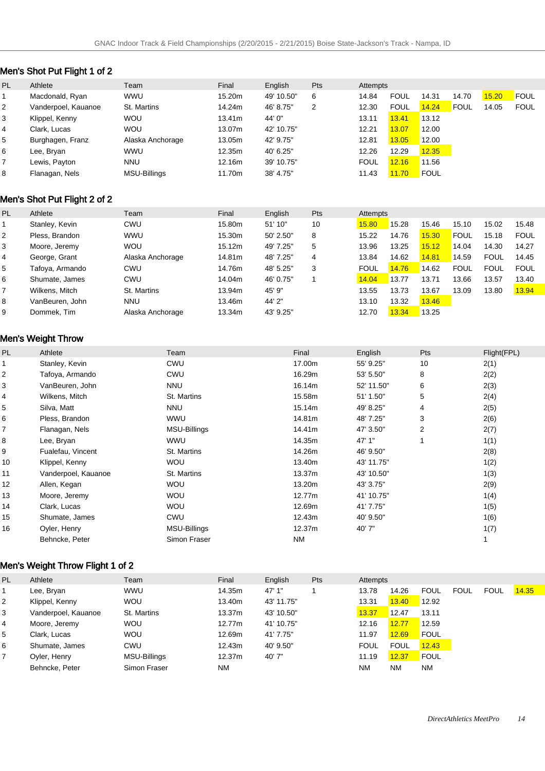# Men's Shot Put Flight 1 of 2

| PL | Athlete             | Team                | Final  | English    | <b>Pts</b> | Attempts    |             |             |             |       |             |
|----|---------------------|---------------------|--------|------------|------------|-------------|-------------|-------------|-------------|-------|-------------|
|    | Macdonald, Ryan     | <b>WWU</b>          | 15.20m | 49' 10.50" | 6          | 14.84       | <b>FOUL</b> | 14.31       | 14.70       | 15.20 | <b>FOUL</b> |
| 2  | Vanderpoel, Kauanoe | St. Martins         | 14.24m | 46' 8.75"  | 2          | 12.30       | <b>FOUL</b> | 14.24       | <b>FOUL</b> | 14.05 | <b>FOUL</b> |
| 3  | Klippel, Kenny      | <b>WOU</b>          | 13.41m | 44' 0"     |            | 13.11       | 13.41       | 13.12       |             |       |             |
| 4  | Clark. Lucas        | <b>WOU</b>          | 13.07m | 42' 10.75" |            | 12.21       | 13.07       | 12.00       |             |       |             |
| 5  | Burghagen, Franz    | Alaska Anchorage    | 13.05m | 42' 9.75"  |            | 12.81       | 13.05       | 12.00       |             |       |             |
| 6  | Lee, Bryan          | <b>WWU</b>          | 12.35m | 40' 6.25"  |            | 12.26       | 12.29       | 12.35       |             |       |             |
|    | Lewis, Payton       | <b>NNU</b>          | 12.16m | 39' 10.75" |            | <b>FOUL</b> | 12.16       | 11.56       |             |       |             |
| 8  | Flanagan, Nels      | <b>MSU-Billings</b> | 11.70m | 38' 4.75"  |            | 11.43       | 11.70       | <b>FOUL</b> |             |       |             |

### Men's Shot Put Flight 2 of 2

| <b>PL</b>      | Athlete         | Team             | Final  | English   | <b>Pts</b> | Attempts    |       |       |             |             |             |
|----------------|-----------------|------------------|--------|-----------|------------|-------------|-------|-------|-------------|-------------|-------------|
|                | Stanley, Kevin  | <b>CWU</b>       | 15.80m | 51' 10"   | 10         | 15.80       | 15.28 | 15.46 | 15.10       | 15.02       | 15.48       |
| $\overline{2}$ | Pless, Brandon  | <b>WWU</b>       | 15.30m | 50' 2.50" | 8          | 15.22       | 14.76 | 5.30  | <b>FOUL</b> | 15.18       | <b>FOUL</b> |
| 3              | Moore, Jeremy   | <b>WOU</b>       | 15.12m | 49' 7.25" | 5          | 13.96       | 13.25 | 15.12 | 14.04       | 14.30       | 14.27       |
| 4              | George, Grant   | Alaska Anchorage | 14.81m | 48' 7.25" | 4          | 13.84       | 14.62 | 14.81 | 14.59       | <b>FOUL</b> | 14.45       |
| 5              | Tafoya, Armando | CWU              | 14.76m | 48' 5.25" | 3          | <b>FOUL</b> | 14.76 | 14.62 | <b>FOUL</b> | <b>FOUL</b> | <b>FOUL</b> |
| 6              | Shumate, James  | <b>CWU</b>       | 14.04m | 46' 0.75" |            | 14.04       | 13.77 | 13.71 | 13.66       | 13.57       | 13.40       |
|                | Wilkens, Mitch  | St. Martins      | 13.94m | 45' 9"    |            | 13.55       | 13.73 | 13.67 | 13.09       | 13.80       | 13.94       |
| 8              | VanBeuren, John | <b>NNU</b>       | 13.46m | 44' 2"    |            | 13.10       | 13.32 | 13.46 |             |             |             |
| 9              | Dommek, Tim     | Alaska Anchorage | 13.34m | 43' 9.25" |            | 12.70       | 13.34 | 13.25 |             |             |             |

# Men's Weight Throw

| PL | Athlete             | Team         | Final     | English    | Pts | Flight(FPL) |
|----|---------------------|--------------|-----------|------------|-----|-------------|
|    | Stanley, Kevin      | <b>CWU</b>   | 17.00m    | 55' 9.25"  | 10  | 2(1)        |
| 2  | Tafoya, Armando     | <b>CWU</b>   | 16.29m    | 53' 5.50"  | 8   | 2(2)        |
| 3  | VanBeuren, John     | <b>NNU</b>   | 16.14m    | 52' 11.50" | 6   | 2(3)        |
| 4  | Wilkens, Mitch      | St. Martins  | 15.58m    | 51' 1.50"  | 5   | 2(4)        |
| 5  | Silva, Matt         | <b>NNU</b>   | 15.14m    | 49' 8.25"  | 4   | 2(5)        |
| 6  | Pless, Brandon      | WWU          | 14.81m    | 48' 7.25"  | 3   | 2(6)        |
| 7  | Flanagan, Nels      | MSU-Billings | 14.41m    | 47' 3.50"  | 2   | 2(7)        |
| 8  | Lee, Bryan          | WWU          | 14.35m    | 47' 1"     |     | 1(1)        |
| 9  | Fualefau, Vincent   | St. Martins  | 14.26m    | 46' 9.50"  |     | 2(8)        |
| 10 | Klippel, Kenny      | <b>WOU</b>   | 13.40m    | 43' 11.75" |     | 1(2)        |
| 11 | Vanderpoel, Kauanoe | St. Martins  | 13.37m    | 43' 10.50" |     | 1(3)        |
| 12 | Allen, Kegan        | <b>WOU</b>   | 13.20m    | 43' 3.75"  |     | 2(9)        |
| 13 | Moore, Jeremy       | <b>WOU</b>   | 12.77m    | 41' 10.75" |     | 1(4)        |
| 14 | Clark, Lucas        | <b>WOU</b>   | 12.69m    | 41' 7.75"  |     | 1(5)        |
| 15 | Shumate, James      | <b>CWU</b>   | 12.43m    | 40' 9.50"  |     | 1(6)        |
| 16 | Oyler, Henry        | MSU-Billings | 12.37m    | 40'7"      |     | 1(7)        |
|    | Behncke, Peter      | Simon Fraser | <b>NM</b> |            |     |             |
|    |                     |              |           |            |     |             |

# Men's Weight Throw Flight 1 of 2

| PL | Athlete             | Team         | Final     | English    | Pts | Attempts    |             |             |             |             |       |
|----|---------------------|--------------|-----------|------------|-----|-------------|-------------|-------------|-------------|-------------|-------|
|    | Lee, Bryan          | <b>WWU</b>   | 14.35m    | 47' 1"     |     | 13.78       | 14.26       | <b>FOUL</b> | <b>FOUL</b> | <b>FOUL</b> | 14.35 |
| 2  | Klippel, Kenny      | <b>WOU</b>   | 13.40m    | 43' 11.75" |     | 13.31       | 13.40       | 12.92       |             |             |       |
| 3  | Vanderpoel, Kauanoe | St. Martins  | 13.37m    | 43' 10.50" |     | 13.37       | 12.47       | 13.11       |             |             |       |
| 4  | Moore, Jeremy       | <b>WOU</b>   | 12.77m    | 41' 10.75" |     | 12.16       | 12.77       | 12.59       |             |             |       |
| 5  | Clark, Lucas        | <b>WOU</b>   | 12.69m    | 41' 7.75"  |     | 11.97       | 12.69       | <b>FOUL</b> |             |             |       |
| 6  | Shumate, James      | CWU          | 12.43m    | 40' 9.50"  |     | <b>FOUL</b> | <b>FOUL</b> | 12.43       |             |             |       |
|    | Oyler, Henry        | MSU-Billings | 12.37m    | 40'7"      |     | 11.19       | 12.37       | <b>FOUL</b> |             |             |       |
|    | Behncke, Peter      | Simon Fraser | <b>NM</b> |            |     | <b>NM</b>   | <b>NM</b>   | NM.         |             |             |       |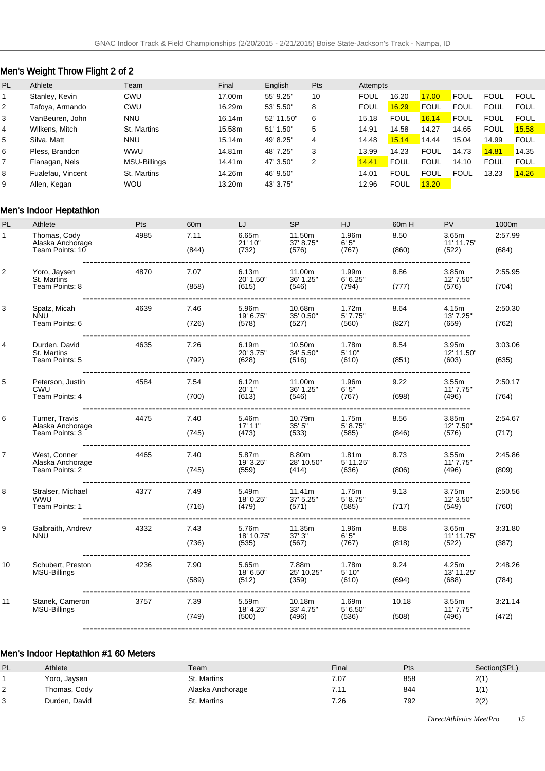# Men's Weight Throw Flight 2 of 2

| <b>PL</b> | Athlete           | Team         | Final  | English    | Pts | Attempts    |             |             |             |             |             |
|-----------|-------------------|--------------|--------|------------|-----|-------------|-------------|-------------|-------------|-------------|-------------|
|           | Stanley, Kevin    | <b>CWU</b>   | 17.00m | 55' 9.25"  | 10  | <b>FOUL</b> | 16.20       | 17.00       | <b>FOUL</b> | <b>FOUL</b> | FOUL        |
| 2         | Tafoya, Armando   | <b>CWU</b>   | 16.29m | 53' 5.50"  | 8   | <b>FOUL</b> | 16.29       | <b>FOUL</b> | <b>FOUL</b> | <b>FOUL</b> | FOUL        |
| 3         | VanBeuren, John   | <b>NNU</b>   | 16.14m | 52' 11.50" | 6   | 15.18       | <b>FOUL</b> | 16.14       | <b>FOUL</b> | <b>FOUL</b> | <b>FOUL</b> |
| 4         | Wilkens, Mitch    | St. Martins  | 15.58m | 51' 1.50"  | 5   | 14.91       | 14.58       | 14.27       | 14.65       | <b>FOUL</b> | 15.58       |
| 5         | Silva, Matt       | <b>NNU</b>   | 15.14m | 49' 8.25"  | 4   | 14.48       | 15.14       | 14.44       | 15.04       | 14.99       | <b>FOUL</b> |
| 6         | Pless, Brandon    | <b>WWU</b>   | 14.81m | 48' 7.25"  | 3   | 13.99       | 14.23       | <b>FOUL</b> | 14.73       | 14.81       | 14.35       |
|           | Flanagan, Nels    | MSU-Billings | 14.41m | 47' 3.50"  | 2   | 14.41       | <b>FOUL</b> | <b>FOUL</b> | 14.10       | <b>FOUL</b> | <b>FOUL</b> |
| 8         | Fualefau, Vincent | St. Martins  | 14.26m | 46' 9.50"  |     | 14.01       | <b>FOUL</b> | <b>FOUL</b> | <b>FOUL</b> | 13.23       | 14.26       |
| 9         | Allen, Kegan      | <b>WOU</b>   | 13.20m | 43' 3.75"  |     | 12.96       | <b>FOUL</b> | 13.20       |             |             |             |

### Men's Indoor Heptathlon

| PL | Athlete                                              | <b>Pts</b> | 60 <sub>m</sub> | LJ                           | <b>SP</b>                    | HJ                                      | 60m H          | <b>PV</b>                                 | 1000m            |
|----|------------------------------------------------------|------------|-----------------|------------------------------|------------------------------|-----------------------------------------|----------------|-------------------------------------------|------------------|
| 1  | Thomas, Cody<br>Alaska Anchorage<br>Team Points: 10  | 4985       | 7.11<br>(844)   | 6.65m<br>21' 10"<br>(732)    | 11.50m<br>37' 8.75"<br>(576) | 1.96m<br>6'5"<br>(767)                  | 8.50<br>(860)  | 3.65m<br>11' 11.75"<br>(522)<br>--------- | 2:57.99<br>(684) |
| 2  | Yoro, Jaysen<br>St. Martins<br>Team Points: 8        | 4870       | 7.07<br>(858)   | 6.13m<br>20' 1.50"<br>(615)  | 11.00m<br>36' 1.25"<br>(546) | 1.99m<br>6' 6.25"<br>(794)              | 8.86<br>(777)  | 3.85m<br>12' 7.50"<br>(576)               | 2:55.95<br>(704) |
| 3  | Spatz, Micah<br><b>NNU</b><br>Team Points: 6         | 4639       | 7.46<br>(726)   | 5.96m<br>19' 6.75"<br>(578)  | 10.68m<br>35' 0.50"<br>(527) | 1.72m<br>5'7.75"<br>(560)               | 8.64<br>(827)  | 4.15m<br>13' 7.25"<br>(659)               | 2:50.30<br>(762) |
| 4  | Durden, David<br>St. Martins<br>Team Points: 5       | 4635       | 7.26<br>(792)   | 6.19m<br>20' 3.75"<br>(628)  | 10.50m<br>34' 5.50"<br>(516) | 1.78m<br>5' 10"<br>(610)                | 8.54<br>(851)  | 3.95m<br>12' 11.50"<br>(603)              | 3:03.06<br>(635) |
| 5  | Peterson, Justin<br>CWU<br>Team Points: 4            | 4584       | 7.54<br>(700)   | 6.12m<br>20'1"<br>(613)      | 11.00m<br>36' 1.25"<br>(546) | 1.96m<br>6'5''<br>(767)                 | 9.22<br>(698)  | 3.55m<br>11' 7.75"<br>(496)               | 2:50.17<br>(764) |
| 6  | Turner, Travis<br>Alaska Anchorage<br>Team Points: 3 | 4475       | 7.40<br>(745)   | 5.46m<br>17' 11"<br>(473)    | 10.79m<br>35'5''<br>(533)    | 1.75m<br>5' 8.75"<br>(585)              | 8.56<br>(846)  | 3.85m<br>12' 7.50"<br>(576)               | 2:54.67<br>(717) |
| 7  | West, Conner<br>Alaska Anchorage<br>Team Points: 2   | 4465       | 7.40<br>(745)   | 5.87m<br>19' 3.25"<br>(559)  | 8.80m<br>28' 10.50"<br>(414) | 1.81 <sub>m</sub><br>5' 11.25"<br>(636) | 8.73<br>(806)  | 3.55m<br>11' 7.75"<br>(496)<br>--------   | 2:45.86<br>(809) |
| 8  | Stralser, Michael<br><b>WWU</b><br>Team Points: 1    | 4377       | 7.49<br>(716)   | 5.49m<br>18' 0.25"<br>(479)  | 11.41m<br>37' 5.25"<br>(571) | 1.75m<br>5' 8.75''<br>(585)             | 9.13<br>(717)  | 3.75m<br>12' 3.50"<br>(549)               | 2:50.56<br>(760) |
| 9  | Galbraith, Andrew<br><b>NNU</b>                      | 4332       | 7.43<br>(736)   | 5.76m<br>18' 10.75"<br>(535) | 11.35m<br>37'3''<br>(567)    | 1.96m<br>6'5''<br>(767)                 | 8.68<br>(818)  | 3.65m<br>11' 11.75"<br>(522)              | 3:31.80<br>(387) |
| 10 | Schubert, Preston<br>MSU-Billings                    | 4236       | 7.90<br>(589)   | 5.65m<br>18' 6.50"<br>(512)  | 7.88m<br>25' 10.25"<br>(359) | 1.78m<br>5' 10"<br>(610)                | 9.24<br>(694)  | 4.25m<br>13' 11.25"<br>(688)              | 2:48.26<br>(784) |
| 11 | Stanek, Cameron<br><b>MSU-Billings</b>               | 3757       | 7.39<br>(749)   | 5.59m<br>18' 4.25"<br>(500)  | 10.18m<br>33' 4.75"<br>(496) | 1.69m<br>5' 6.50"<br>(536)              | 10.18<br>(508) | 3.55m<br>11' 7.75"<br>(496)               | 3:21.14<br>(472) |
|    |                                                      |            |                 |                              |                              |                                         |                |                                           |                  |

### Men's Indoor Heptathlon #1 60 Meters

| PL | Athlete       | Team             | Final | Pts | Section(SPL) |
|----|---------------|------------------|-------|-----|--------------|
|    | Yoro, Jaysen  | St. Martins      | 7.07  | 858 | 2(1)         |
|    | Thomas, Cody  | Alaska Anchorage | 7.11  | 844 | 1(1)         |
|    | Durden, David | St. Martins      | 7.26  | 792 | 2(2)         |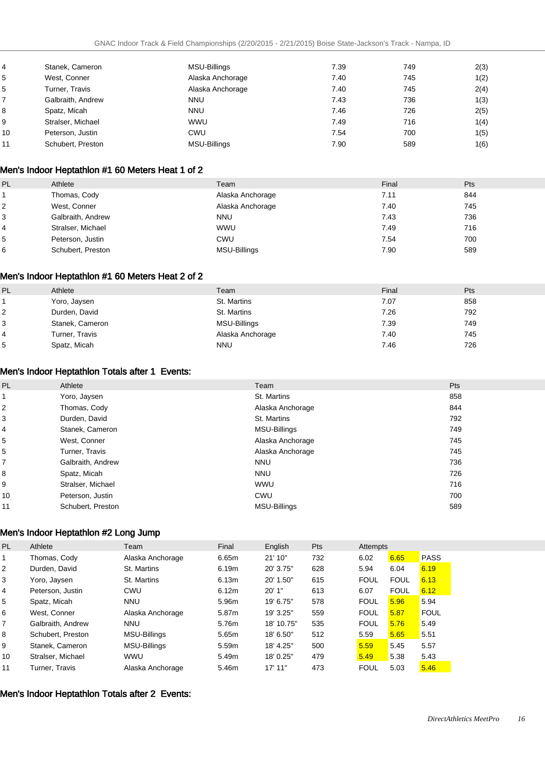| 4  | Stanek, Cameron   | MSU-Billings        | 7.39 | 749 | 2(3) |
|----|-------------------|---------------------|------|-----|------|
| 5  | West, Conner      | Alaska Anchorage    | 7.40 | 745 | 1(2) |
| 5  | Turner, Travis    | Alaska Anchorage    | 7.40 | 745 | 2(4) |
|    | Galbraith, Andrew | <b>NNU</b>          | 7.43 | 736 | 1(3) |
| 8  | Spatz, Micah      | <b>NNU</b>          | 7.46 | 726 | 2(5) |
| 9  | Stralser, Michael | <b>WWU</b>          | 7.49 | 716 | 1(4) |
| 10 | Peterson, Justin  | CWU                 | 7.54 | 700 | 1(5) |
| 11 | Schubert, Preston | <b>MSU-Billings</b> | 7.90 | 589 | 1(6) |

### Men's Indoor Heptathlon #1 60 Meters Heat 1 of 2

| PL             | Athlete           | Team             | Final | Pts |
|----------------|-------------------|------------------|-------|-----|
|                | Thomas, Cody      | Alaska Anchorage | 7.11  | 844 |
| 2              | West, Conner      | Alaska Anchorage | 7.40  | 745 |
| 3              | Galbraith, Andrew | <b>NNU</b>       | 7.43  | 736 |
| $\overline{4}$ | Stralser, Michael | <b>WWU</b>       | 7.49  | 716 |
| 5              | Peterson, Justin  | CWU              | 7.54  | 700 |
| 6              | Schubert, Preston | MSU-Billings     | 7.90  | 589 |

### Men's Indoor Heptathlon #1 60 Meters Heat 2 of 2

| PL             | Athlete         | Team             | Final | Pts |
|----------------|-----------------|------------------|-------|-----|
|                | Yoro, Jaysen    | St. Martins      | 7.07  | 858 |
| $\overline{2}$ | Durden, David   | St. Martins      | 7.26  | 792 |
| 3              | Stanek, Cameron | MSU-Billings     | 7.39  | 749 |
| $\overline{4}$ | Turner, Travis  | Alaska Anchorage | 7.40  | 745 |
| 5              | Spatz, Micah    | <b>NNU</b>       | 7.46  | 726 |

### Men's Indoor Heptathlon Totals after 1 Events:

| PL | Athlete           | Team                | Pts |
|----|-------------------|---------------------|-----|
|    | Yoro, Jaysen      | St. Martins         | 858 |
| 2  | Thomas, Cody      | Alaska Anchorage    | 844 |
| 3  | Durden, David     | St. Martins         | 792 |
| 4  | Stanek, Cameron   | MSU-Billings        | 749 |
| 5  | West, Conner      | Alaska Anchorage    | 745 |
| 5  | Turner, Travis    | Alaska Anchorage    | 745 |
| 7  | Galbraith, Andrew | <b>NNU</b>          | 736 |
| 8  | Spatz, Micah      | <b>NNU</b>          | 726 |
| 9  | Stralser, Michael | <b>WWU</b>          | 716 |
| 10 | Peterson, Justin  | <b>CWU</b>          | 700 |
| 11 | Schubert, Preston | <b>MSU-Billings</b> | 589 |

### Men's Indoor Heptathlon #2 Long Jump

| PL. | Athlete           | Team                | Final | English    | Pts | Attempts    |             |             |
|-----|-------------------|---------------------|-------|------------|-----|-------------|-------------|-------------|
|     | Thomas, Cody      | Alaska Anchorage    | 6.65m | 21'10"     | 732 | 6.02        | 6.65        | <b>PASS</b> |
| 2   | Durden, David     | St. Martins         | 6.19m | 20' 3.75"  | 628 | 5.94        | 6.04        | 6.19        |
| 3   | Yoro, Jaysen      | St. Martins         | 6.13m | 20' 1.50"  | 615 | <b>FOUL</b> | <b>FOUL</b> | 6.13        |
| 4   | Peterson, Justin  | CWU                 | 6.12m | 20'1"      | 613 | 6.07        | <b>FOUL</b> | 6.12        |
| 5   | Spatz, Micah      | <b>NNU</b>          | 5.96m | 19' 6.75"  | 578 | <b>FOUL</b> | 5.96        | 5.94        |
| 6   | West, Conner      | Alaska Anchorage    | 5.87m | 19' 3.25"  | 559 | <b>FOUL</b> | 5.87        | <b>FOUL</b> |
| 7   | Galbraith, Andrew | <b>NNU</b>          | 5.76m | 18' 10.75" | 535 | <b>FOUL</b> | 5.76        | 5.49        |
| 8   | Schubert. Preston | <b>MSU-Billings</b> | 5.65m | 18' 6.50"  | 512 | 5.59        | 5.65        | 5.51        |
| 9   | Stanek, Cameron   | <b>MSU-Billings</b> | 5.59m | 18' 4.25"  | 500 | 5.59        | 5.45        | 5.57        |
| 10  | Stralser, Michael | <b>WWU</b>          | 5.49m | 18' 0.25"  | 479 | 5.49        | 5.38        | 5.43        |
| 11  | Turner. Travis    | Alaska Anchorage    | 5.46m | 17' 11"    | 473 | <b>FOUL</b> | 5.03        | 5.46        |

#### Men's Indoor Heptathlon Totals after 2 Events: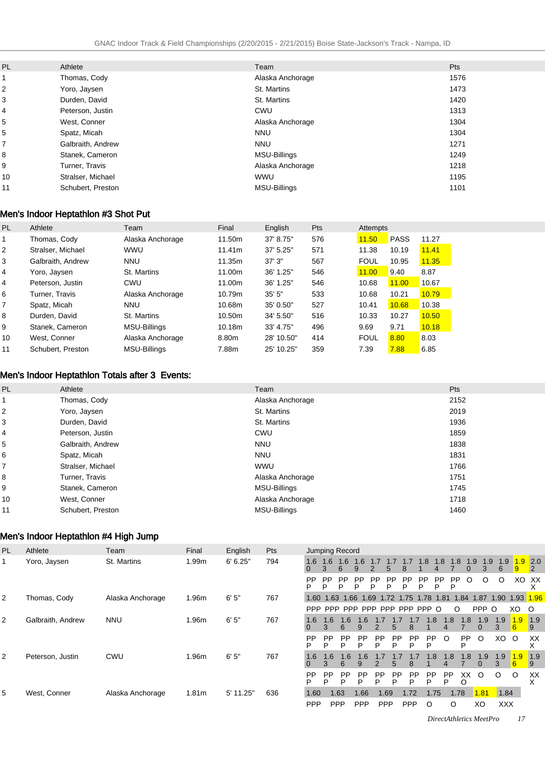| <b>PL</b> | Athlete           | Team                | <b>Pts</b> |
|-----------|-------------------|---------------------|------------|
|           | Thomas, Cody      | Alaska Anchorage    | 1576       |
| 2         | Yoro, Jaysen      | St. Martins         | 1473       |
| 3         | Durden, David     | St. Martins         | 1420       |
| 4         | Peterson, Justin  | CWU                 | 1313       |
| 5         | West, Conner      | Alaska Anchorage    | 1304       |
| 5         | Spatz, Micah      | <b>NNU</b>          | 1304       |
| 7         | Galbraith, Andrew | <b>NNU</b>          | 1271       |
| 8         | Stanek, Cameron   | <b>MSU-Billings</b> | 1249       |
| 9         | Turner, Travis    | Alaska Anchorage    | 1218       |
| 10        | Stralser, Michael | <b>WWU</b>          | 1195       |
| 11        | Schubert, Preston | <b>MSU-Billings</b> | 1101       |
|           |                   |                     |            |

### Men's Indoor Heptathlon #3 Shot Put

| <b>PL</b>      | Athlete           | Team                | Final  | English    | Pts | Attempts    |             |       |
|----------------|-------------------|---------------------|--------|------------|-----|-------------|-------------|-------|
|                | Thomas, Cody      | Alaska Anchorage    | 11.50m | 37' 8.75"  | 576 | 11.50       | <b>PASS</b> | 11.27 |
| 2              | Stralser, Michael | <b>WWU</b>          | 11.41m | 37' 5.25"  | 571 | 11.38       | 10.19       | 11.41 |
| 3              | Galbraith, Andrew | <b>NNU</b>          | 11.35m | 37'3''     | 567 | <b>FOUL</b> | 10.95       | 11.35 |
| 4              | Yoro, Jaysen      | St. Martins         | 11.00m | 36' 1.25"  | 546 | 11.00       | 9.40        | 8.87  |
| 4              | Peterson, Justin  | CWU                 | 11.00m | 36' 1.25"  | 546 | 10.68       | 11.00       | 10.67 |
| 6              | Turner. Travis    | Alaska Anchorage    | 10.79m | 35'5''     | 533 | 10.68       | 10.21       | 10.79 |
| $\overline{7}$ | Spatz, Micah      | <b>NNU</b>          | 10.68m | 35' 0.50"  | 527 | 10.41       | 10.68       | 10.38 |
| 8              | Durden, David     | St. Martins         | 10.50m | 34' 5.50"  | 516 | 10.33       | 10.27       | 10.50 |
| 9              | Stanek, Cameron   | MSU-Billings        | 10.18m | 33' 4.75"  | 496 | 9.69        | 9.71        | 10.18 |
| 10             | West, Conner      | Alaska Anchorage    | 8.80m  | 28' 10.50" | 414 | <b>FOUL</b> | 8.80        | 8.03  |
| 11             | Schubert. Preston | <b>MSU-Billings</b> | 7.88m  | 25' 10.25" | 359 | 7.39        | 7.88        | 6.85  |

### Men's Indoor Heptathlon Totals after 3 Events:

| PL | Athlete           | Team                | Pts  |
|----|-------------------|---------------------|------|
|    | Thomas, Cody      | Alaska Anchorage    | 2152 |
| 2  | Yoro, Jaysen      | St. Martins         | 2019 |
| 3  | Durden, David     | St. Martins         | 1936 |
| 4  | Peterson, Justin  | <b>CWU</b>          | 1859 |
| 5  | Galbraith, Andrew | <b>NNU</b>          | 1838 |
| 6  | Spatz, Micah      | <b>NNU</b>          | 1831 |
|    | Stralser, Michael | <b>WWU</b>          | 1766 |
| 8  | Turner, Travis    | Alaska Anchorage    | 1751 |
| 9  | Stanek, Cameron   | <b>MSU-Billings</b> | 1745 |
| 10 | West, Conner      | Alaska Anchorage    | 1718 |
| 11 | Schubert, Preston | <b>MSU-Billings</b> | 1460 |

### Men's Indoor Heptathlon #4 High Jump

| <b>PL</b> | Athlete           | Team             | Final             | English   | <b>Pts</b> |                |                | Jumping Record |                |                |                       |                |                |                |                |         |                       |            |           |                        |
|-----------|-------------------|------------------|-------------------|-----------|------------|----------------|----------------|----------------|----------------|----------------|-----------------------|----------------|----------------|----------------|----------------|---------|-----------------------|------------|-----------|------------------------|
|           | Yoro, Jaysen      | St. Martins      | 1.99m             | 6' 6.25"  | 794        | 1.6            | 1.6<br>3       | 1.6            | 1.6            |                | 5                     |                | 1.8            | .8             | 1.8            | 1.9     | 1.9                   | 1.9<br>6   | .9<br>9   | 2.0 <br>$\overline{2}$ |
|           |                   |                  |                   |           |            | PP             | <b>PP</b><br>D | PP<br>P        | <b>PP</b><br>P | <b>PP</b>      | <b>PP</b><br>P        | PP<br>ם        | <b>PP</b><br>P | <b>PP</b><br>P | <b>PP</b><br>Р | O       | O                     | O          |           | XO XX<br>⋏             |
| 2         | Thomas, Cody      | Alaska Anchorage | 1.96m             | 6'5''     | 767        |                |                | 1.60 1.63 1.66 | 1.69           |                | 1.72 1.75             |                | 1.78           | 1.81           | 1.84           |         | 1.87                  | 1.90       | 1.93 1.96 |                        |
|           |                   |                  |                   |           |            | <b>PPP</b>     | <b>PPP</b>     |                |                |                | PPP PPP PPP PPP PPP O |                |                |                | $\circ$        |         | PPP                   | $\circ$    | XO        | $\circ$                |
| 2         | Galbraith, Andrew | <b>NNU</b>       | 1.96m             | 6'5''     | 767        | 1.6            | 1.6<br>3       | 1.6<br>6       | 1.6<br>9       | 2              | 5                     | 8              |                | .8<br>4        | .8             | .8      | 1.9<br>$\overline{0}$ | 1.9<br>3   | 1.9<br>6  | $\sqrt{1.9}$<br>-9     |
|           |                   |                  |                   |           |            | PP<br>P        | PP<br>D        | <b>PP</b><br>P | <b>PP</b><br>P | <b>PP</b><br>P | <b>PP</b><br>P        | <b>PP</b><br>P | PP<br>D        | O              |                | PP<br>D | O                     | XO         | $\circ$   | XX                     |
| 2         | Peterson, Justin  | CWU              | 1.96m             | 6'5''     | 767        | 1.6            | 1.6            | 1.6<br>6       | 1.6<br>9       | $\mathcal{P}$  | $5^{\circ}$           | 8              |                | $\mathsf{.8}$  | 1.8            | .8      | 1.9<br>0              | 1.9<br>3   | 1.9<br>6  | 1.9<br>-9              |
|           |                   |                  |                   |           |            | <b>PP</b><br>P | <b>PP</b><br>Þ | <b>PP</b><br>P | <b>PP</b><br>P | <b>PP</b><br>P | <b>PP</b><br>D        | <b>PP</b><br>P | <b>PP</b><br>P | <b>PP</b><br>P |                | XX<br>O | $\circ$               | $\circ$    | $\circ$   | XX<br>х                |
| 5         | West, Conner      | Alaska Anchorage | 1.81 <sub>m</sub> | 5' 11.25" | 636        | 1.60           |                | 1.63           | 1.66           |                | 1.69                  | 1.72           |                | 1.75           | 1.78           |         | 1.81                  | 1.84       |           |                        |
|           |                   |                  |                   |           |            | <b>PPP</b>     |                | <b>PPP</b>     | <b>PPP</b>     |                | <b>PPP</b>            | <b>PPP</b>     | O              |                | O              |         | XO                    | <b>XXX</b> |           |                        |

*DirectAthletics MeetPro 17*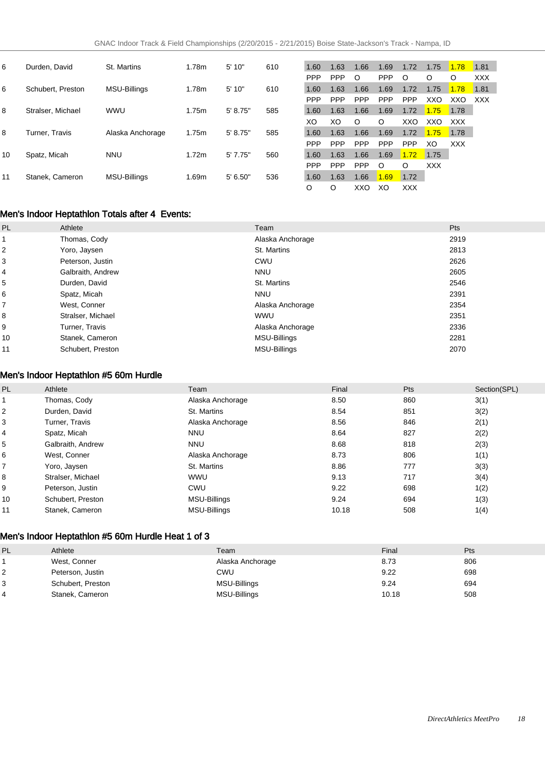| 6  | Durden, David     | St. Martins      | 1.78m | 5'10"    | 610 | 1.60       | 1.63       | 1.66       | 1.69       | 1.72       | 1.75    | 1.78       | 1.81       |
|----|-------------------|------------------|-------|----------|-----|------------|------------|------------|------------|------------|---------|------------|------------|
|    |                   |                  |       |          |     | <b>PPP</b> | <b>PPP</b> | $\circ$    | <b>PPP</b> | O          | $\circ$ | $\circ$    | <b>XXX</b> |
| 6  | Schubert, Preston | MSU-Billings     | 1.78m | 5'10"    | 610 | 1.60       | 1.63       | 1.66       | 1.69       | 1.72       | 1.75    | 1.78       | 1.81       |
|    |                   |                  |       |          |     | <b>PPP</b> | <b>PPP</b> | <b>PPP</b> | PPP        | <b>PPP</b> | XXO     | XXO        | XXX        |
| 8  | Stralser, Michael | <b>WWU</b>       | 1.75m | 5' 8.75" | 585 | 1.60       | 1.63       | 1.66       | 1.69       | 1.72       | 1.75    | 1.78       |            |
|    |                   |                  |       |          |     | XO         | XO         | $\circ$    | O          | XXO        | XXO     | <b>XXX</b> |            |
| 8  | Turner, Travis    | Alaska Anchorage | 1.75m | 5' 8.75" | 585 | 1.60       | 1.63       | 1.66       | 1.69       | 1.72       | 1.75    | 1.78       |            |
|    |                   |                  |       |          |     | <b>PPP</b> | <b>PPP</b> | <b>PPP</b> | <b>PPP</b> | <b>PPP</b> | XO      | <b>XXX</b> |            |
| 10 | Spatz, Micah      | <b>NNU</b>       | 1.72m | 5'7.75"  | 560 | 1.60       | 1.63       | 1.66       | 1.69       | 1.72       | 1.75    |            |            |
|    |                   |                  |       |          |     | <b>PPP</b> | <b>PPP</b> | <b>PPP</b> | $\circ$    | O          | XXX     |            |            |
| 11 | Stanek, Cameron   | MSU-Billings     | 1.69m | 5' 6.50" | 536 | 1.60       | 1.63       | 1.66       | 1.69       | 1.72       |         |            |            |
|    |                   |                  |       |          |     | O          | O          | XXO        | XO         | XXX        |         |            |            |

### Men's Indoor Heptathlon Totals after 4 Events:

| PL | Athlete           | Team                | Pts  |
|----|-------------------|---------------------|------|
| 1  | Thomas, Cody      | Alaska Anchorage    | 2919 |
| 2  | Yoro, Jaysen      | St. Martins         | 2813 |
| 3  | Peterson, Justin  | CWU                 | 2626 |
| 4  | Galbraith, Andrew | <b>NNU</b>          | 2605 |
| 5  | Durden, David     | St. Martins         | 2546 |
| 6  | Spatz, Micah      | <b>NNU</b>          | 2391 |
| 7  | West, Conner      | Alaska Anchorage    | 2354 |
| 8  | Stralser, Michael | <b>WWU</b>          | 2351 |
| 9  | Turner, Travis    | Alaska Anchorage    | 2336 |
| 10 | Stanek, Cameron   | <b>MSU-Billings</b> | 2281 |
| 11 | Schubert, Preston | <b>MSU-Billings</b> | 2070 |

### Men's Indoor Heptathlon #5 60m Hurdle

| PL | Athlete           | Team             | Final | Pts | Section(SPL) |
|----|-------------------|------------------|-------|-----|--------------|
|    | Thomas, Cody      | Alaska Anchorage | 8.50  | 860 | 3(1)         |
| 2  | Durden, David     | St. Martins      | 8.54  | 851 | 3(2)         |
| 3  | Turner, Travis    | Alaska Anchorage | 8.56  | 846 | 2(1)         |
| 4  | Spatz, Micah      | <b>NNU</b>       | 8.64  | 827 | 2(2)         |
| 5  | Galbraith, Andrew | <b>NNU</b>       | 8.68  | 818 | 2(3)         |
| 6  | West. Conner      | Alaska Anchorage | 8.73  | 806 | 1(1)         |
| ⇁  | Yoro, Jaysen      | St. Martins      | 8.86  | 777 | 3(3)         |
| 8  | Stralser, Michael | <b>WWU</b>       | 9.13  | 717 | 3(4)         |
| 9  | Peterson, Justin  | CWU              | 9.22  | 698 | 1(2)         |
| 10 | Schubert, Preston | MSU-Billings     | 9.24  | 694 | 1(3)         |
| 11 | Stanek, Cameron   | MSU-Billings     | 10.18 | 508 | 1(4)         |

### Men's Indoor Heptathlon #5 60m Hurdle Heat 1 of 3

| PL | Athlete           | Team             | Final | Pts |
|----|-------------------|------------------|-------|-----|
|    | West, Conner      | Alaska Anchorage | 8.73  | 806 |
| ∠  | Peterson, Justin  | CWU              | 9.22  | 698 |
|    | Schubert, Preston | MSU-Billings     | 9.24  | 694 |
|    | Stanek, Cameron   | MSU-Billings     | 10.18 | 508 |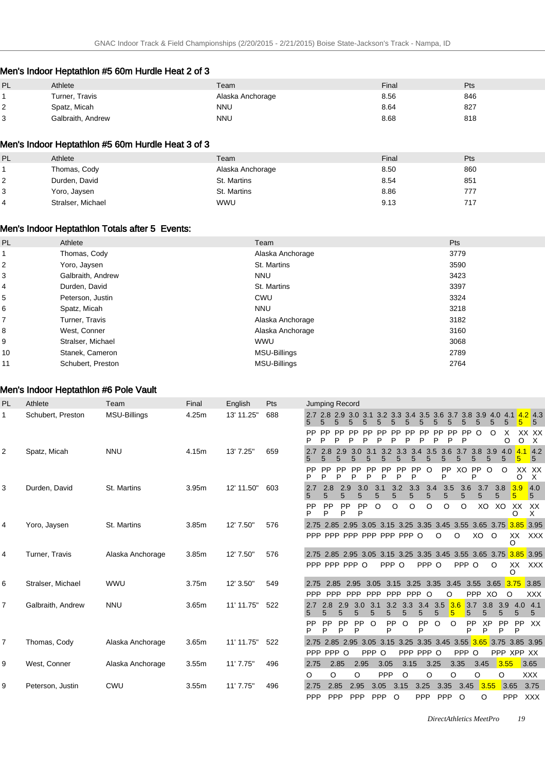### Men's Indoor Heptathlon #5 60m Hurdle Heat 2 of 3

| PL. | Athlete           | Team             | Final | Pts |
|-----|-------------------|------------------|-------|-----|
|     | Turner, Travis    | Alaska Anchorage | 8.56  | 846 |
| ∼   | Spatz, Micah      | NNU              | 8.64  | 827 |
| ີ   | Galbraith, Andrew | <b>NNU</b>       | 8.68  | 818 |

#### Men's Indoor Heptathlon #5 60m Hurdle Heat 3 of 3

| PL             | Athlete           | Team             | Final | Pts |
|----------------|-------------------|------------------|-------|-----|
|                | Thomas, Cody      | Alaska Anchorage | 8.50  | 860 |
| 2              | Durden, David     | St. Martins      | 8.54  | 851 |
| 3              | Yoro, Jaysen      | St. Martins      | 8.86  | 777 |
| $\overline{4}$ | Stralser, Michael | <b>WWU</b>       | 9.13  | 717 |

### Men's Indoor Heptathlon Totals after 5 Events:

| <b>PL</b> | Athlete           | Team             | Pts  |
|-----------|-------------------|------------------|------|
|           | Thomas, Cody      | Alaska Anchorage | 3779 |
| 2         | Yoro, Jaysen      | St. Martins      | 3590 |
| 3         | Galbraith, Andrew | <b>NNU</b>       | 3423 |
| 4         | Durden, David     | St. Martins      | 3397 |
| 5         | Peterson, Justin  | CWU              | 3324 |
| 6         | Spatz, Micah      | <b>NNU</b>       | 3218 |
| 7         | Turner, Travis    | Alaska Anchorage | 3182 |
| 8         | West, Conner      | Alaska Anchorage | 3160 |
| 9         | Stralser, Michael | <b>WWU</b>       | 3068 |
| 10        | Stanek, Cameron   | MSU-Billings     | 2789 |
| 11        | Schubert, Preston | MSU-Billings     | 2764 |

### Men's Indoor Heptathlon #6 Pole Vault

| <b>PL</b>      | Athlete           | Team                | Final | English    | Pts | Jumping Record                                                                                                                                                                                              |
|----------------|-------------------|---------------------|-------|------------|-----|-------------------------------------------------------------------------------------------------------------------------------------------------------------------------------------------------------------|
| 1              | Schubert, Preston | <b>MSU-Billings</b> | 4.25m | 13' 11.25" | 688 | 4.0 4.1 4.2 4.3<br>$2.7$ 2.8 2.9<br>3.7 3.8 3.9<br>3.0<br>3.1<br>3.3<br>3.4<br>3.5<br>3.6<br>32<br>5<br>5<br>5<br>5<br>5<br>5                                                                               |
|                |                   |                     |       |            |     | PP<br><b>PP</b><br>O<br>Х<br>XX XX<br><b>PP</b><br><b>PP</b><br><b>PP</b><br><b>PP</b><br>$\circ$<br>PP<br>РP<br>PP<br>P<br>P<br>P<br>P<br>Þ<br>P<br>P<br>P<br>P<br>P<br>P<br>D<br>O<br>$\circ$<br>$\times$ |
| $\overline{2}$ | Spatz, Micah      | <b>NNU</b>          | 4.15m | 13' 7.25"  | 659 | $4.1$ 4.2<br>3.8<br>3.7<br>3.9<br>2.9<br>3.3<br>3.4<br>3.5<br>3.6<br>2.8<br>3.0<br>3.<br>4.0<br>5<br>5<br>5<br>5<br>5<br>5                                                                                  |
|                |                   |                     |       |            |     | PP<br>PP<br><b>PP</b><br><b>PP</b><br>PP<br><b>PP</b><br>O<br>XO<br><b>PP</b><br>$\circ$<br>O<br>XX XX<br><b>PP</b><br><b>PP</b><br><b>PP</b><br>P<br>P<br>P<br>P<br>P<br>P<br>P<br>P<br>P<br>O<br>X        |
| 3              | Durden, David     | St. Martins         | 3.95m | 12' 11.50" | 603 | 3.3<br>3.9<br>4.0<br>2.8<br>2.9<br>3.0<br>3.1<br>3.2<br>3.4<br>3.5<br>3.6<br>3.7<br>3.8<br>2.7<br>5<br>5<br>5<br>5<br>5<br>5<br>5<br>5<br>5<br>5<br>5<br>5<br>5.<br>5                                       |
|                |                   |                     |       |            |     | XX<br>PP<br>PP<br>O<br>O<br><b>PP</b><br><b>PP</b><br>O<br>O<br>O<br>O<br>XO<br>XO<br>XX<br>P<br>P<br>P<br>P<br>X<br>Ω                                                                                      |
| 4              | Yoro, Jaysen      | St. Martins         | 3.85m | 12' 7.50"  | 576 | 2.75 2.85 2.95 3.05 3.15 3.25 3.35 3.45 3.55 3.65 3.75 3.85 3.95<br>PPP PPP PPP PPP PPP PPP O<br>O<br>O<br>XO.<br>XX<br>$\circ$<br>XXX                                                                      |
|                |                   |                     |       |            |     | O                                                                                                                                                                                                           |
| 4              | Turner, Travis    | Alaska Anchorage    | 3.85m | 12' 7.50"  | 576 | 2.75 2.85 2.95 3.05 3.15 3.25 3.35 3.45 3.55 3.65 3.75 3.85 3.95                                                                                                                                            |
|                |                   |                     |       |            |     | PPP PPP PPP O<br>PPP O<br>PPP O<br>PPP O<br>O<br>XX<br>XXX<br>O                                                                                                                                             |
| 6              | Stralser, Michael | <b>WWU</b>          | 3.75m | 12' 3.50"  | 549 | 3.15 3.25 3.35 3.45<br>3.55<br>3.65 3.75<br>3.85<br>3.05<br>2.85<br>2.95<br>2.75                                                                                                                            |
|                |                   |                     |       |            |     | <b>PPP</b><br>PPP<br>PPP<br><b>PPP</b><br><b>PPP</b><br>XO<br>O<br><b>XXX</b><br><b>PPP</b><br><b>PPP</b><br>$\circ$<br>O                                                                                   |
| $\overline{7}$ | Galbraith, Andrew | <b>NNU</b>          | 3.65m | 11' 11.75" | 522 | 3.3<br>3.5<br>3.6<br>3.7<br>3.8<br>4.1<br>2.8<br>2.9<br>3.0<br>3.1<br>3.2<br>3.4<br>3.9<br>4.0<br>2.7<br>$5\overline{5}$<br>5<br>5<br>5<br>$5^{\circ}$<br>5<br>5<br>5<br>5<br>5<br>5<br>5<br>5<br>5<br>5    |
|                |                   |                     |       |            |     | PP<br>PP<br>O<br>PP<br>PP<br>O<br>PP<br>$\circ$<br>O<br>XP<br>PP<br><b>PP</b><br>XX<br><b>PP</b><br><b>PP</b><br>P<br>P<br>P<br>P<br>P<br>P<br>P<br>Þ<br>P<br>P                                             |
| $\overline{7}$ | Thomas, Cody      | Alaska Anchorage    | 3.65m | 11' 11.75" | 522 | 3.05 3.15 3.25<br>3.35 3.45 3.55 3.65<br>3.75<br>2.95<br>3.85 3.95<br>2.75 2.85                                                                                                                             |
|                |                   |                     |       |            |     | PPP PPP O<br>PPP O<br>PPP PPP O<br>PPP O<br>PPP XPP XX                                                                                                                                                      |
| 9              | West, Conner      | Alaska Anchorage    | 3.55m | 11' 7.75"  | 496 | 3.65<br>3.05<br>3.35<br>3.55<br>2.75<br>2.85<br>2.95<br>3.15<br>3.25<br>3.45                                                                                                                                |
|                |                   |                     |       |            |     | PPP<br>O<br>O<br>O<br>O<br>O<br>O<br>O<br>O<br><b>XXX</b>                                                                                                                                                   |
| 9              | Peterson, Justin  | <b>CWU</b>          | 3.55m | 11' 7.75"  | 496 | 3.45<br>3.55<br>3.75<br>2.85<br>2.95<br>3.05<br>3.15<br>3.25<br>3.35<br>3.65<br>2.75                                                                                                                        |
|                |                   |                     |       |            |     | PPP<br>PPP<br>PPP<br><b>PPP</b><br>PPP<br><b>PPP</b><br>$\circ$<br>O<br><b>PPP</b><br>$\circ$<br>XXX                                                                                                        |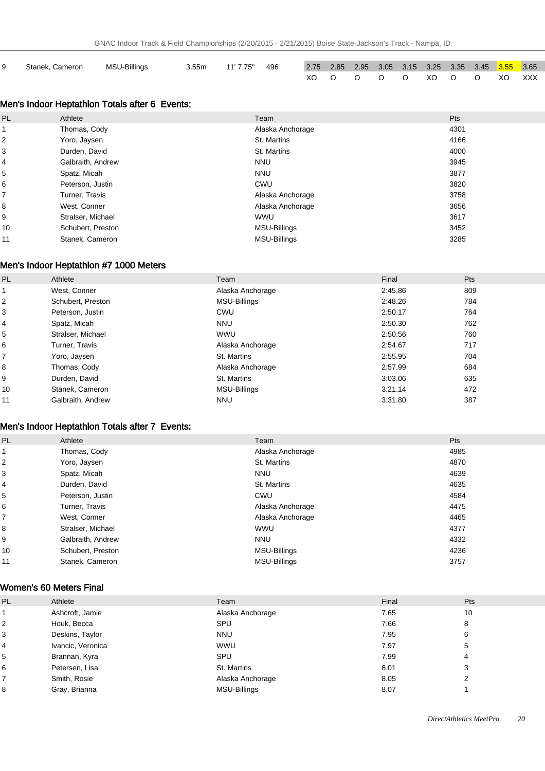| Stanek. Cameron | MSU-Billings | 3.55m | 11' 7.75" | 496 |  |  |  | 2.75  2.85  2.95  3.05  3.15  3.25  3.35  3.45 <mark>3.55  3.65</mark> |  |
|-----------------|--------------|-------|-----------|-----|--|--|--|------------------------------------------------------------------------|--|
|                 |              |       |           |     |  |  |  | XOOOOOOXOOOXOOXOXXX                                                    |  |

### Men's Indoor Heptathlon Totals after 6 Events:

| <b>PL</b>      | Athlete           | Team                | Pts  |
|----------------|-------------------|---------------------|------|
|                | Thomas, Cody      | Alaska Anchorage    | 4301 |
| 2              | Yoro, Jaysen      | St. Martins         | 4166 |
| 3              | Durden, David     | St. Martins         | 4000 |
| 4              | Galbraith, Andrew | <b>NNU</b>          | 3945 |
| 5              | Spatz, Micah      | <b>NNU</b>          | 3877 |
| 6              | Peterson, Justin  | CWU                 | 3820 |
| $\overline{7}$ | Turner, Travis    | Alaska Anchorage    | 3758 |
| 8              | West, Conner      | Alaska Anchorage    | 3656 |
| 9              | Stralser, Michael | <b>WWU</b>          | 3617 |
| 10             | Schubert, Preston | MSU-Billings        | 3452 |
| 11             | Stanek, Cameron   | <b>MSU-Billings</b> | 3285 |

#### Men's Indoor Heptathlon #7 1000 Meters

| <b>PL</b> | Athlete           | Team             | Final   | <b>Pts</b> |
|-----------|-------------------|------------------|---------|------------|
|           | West, Conner      | Alaska Anchorage | 2:45.86 | 809        |
| 2         | Schubert, Preston | MSU-Billings     | 2:48.26 | 784        |
| 3         | Peterson, Justin  | CWU              | 2:50.17 | 764        |
| 4         | Spatz, Micah      | <b>NNU</b>       | 2:50.30 | 762        |
| 5         | Stralser, Michael | <b>WWU</b>       | 2:50.56 | 760        |
| 6         | Turner, Travis    | Alaska Anchorage | 2:54.67 | 717        |
| 7         | Yoro, Jaysen      | St. Martins      | 2:55.95 | 704        |
| 8         | Thomas, Cody      | Alaska Anchorage | 2:57.99 | 684        |
| 9         | Durden, David     | St. Martins      | 3:03.06 | 635        |
| 10        | Stanek, Cameron   | MSU-Billings     | 3:21.14 | 472        |
| 11        | Galbraith, Andrew | <b>NNU</b>       | 3:31.80 | 387        |

### Men's Indoor Heptathlon Totals after 7 Events:

| PL                      | Athlete           | Team                | Pts  |
|-------------------------|-------------------|---------------------|------|
|                         | Thomas, Cody      | Alaska Anchorage    | 4985 |
| $\overline{\mathbf{c}}$ | Yoro, Jaysen      | St. Martins         | 4870 |
| 3                       | Spatz, Micah      | <b>NNU</b>          | 4639 |
| 4                       | Durden, David     | St. Martins         | 4635 |
| 5                       | Peterson, Justin  | CWU                 | 4584 |
| 6                       | Turner, Travis    | Alaska Anchorage    | 4475 |
| 7                       | West, Conner      | Alaska Anchorage    | 4465 |
| 8                       | Stralser, Michael | <b>WWU</b>          | 4377 |
| 9                       | Galbraith, Andrew | <b>NNU</b>          | 4332 |
| 10                      | Schubert, Preston | MSU-Billings        | 4236 |
| 11                      | Stanek, Cameron   | <b>MSU-Billings</b> | 3757 |

### Women's 60 Meters Final

| PL             | Athlete           | Team                | Final | <b>Pts</b> |
|----------------|-------------------|---------------------|-------|------------|
|                | Ashcroft, Jamie   | Alaska Anchorage    | 7.65  | 10         |
| $\overline{2}$ | Houk, Becca       | SPU                 | 7.66  | 8          |
| 3              | Deskins, Taylor   | <b>NNU</b>          | 7.95  | 6          |
| 4              | Ivancic, Veronica | <b>WWU</b>          | 7.97  | 5          |
| 5              | Brannan, Kyra     | SPU                 | 7.99  |            |
| 6              | Petersen, Lisa    | St. Martins         | 8.01  |            |
|                | Smith, Rosie      | Alaska Anchorage    | 8.05  |            |
| 8              | Gray, Brianna     | <b>MSU-Billings</b> | 8.07  |            |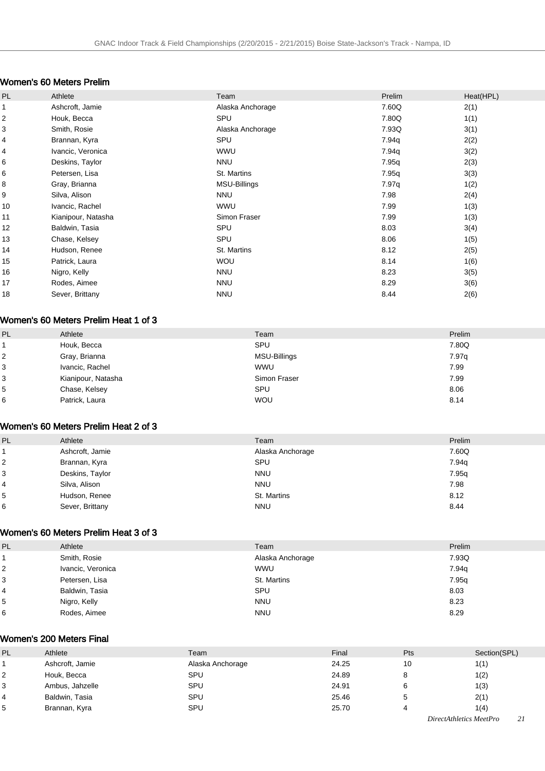### Women's 60 Meters Prelim

| PL | Athlete            | Team             | Prelim | Heat(HPL) |
|----|--------------------|------------------|--------|-----------|
| 1  | Ashcroft, Jamie    | Alaska Anchorage | 7.60Q  | 2(1)      |
| 2  | Houk, Becca        | SPU              | 7.80Q  | 1(1)      |
| 3  | Smith, Rosie       | Alaska Anchorage | 7.93Q  | 3(1)      |
| 4  | Brannan, Kyra      | SPU              | 7.94q  | 2(2)      |
| 4  | Ivancic, Veronica  | <b>WWU</b>       | 7.94q  | 3(2)      |
| 6  | Deskins, Taylor    | <b>NNU</b>       | 7.95q  | 2(3)      |
| 6  | Petersen, Lisa     | St. Martins      | 7.95q  | 3(3)      |
| 8  | Gray, Brianna      | MSU-Billings     | 7.97q  | 1(2)      |
| 9  | Silva, Alison      | <b>NNU</b>       | 7.98   | 2(4)      |
| 10 | Ivancic, Rachel    | <b>WWU</b>       | 7.99   | 1(3)      |
| 11 | Kianipour, Natasha | Simon Fraser     | 7.99   | 1(3)      |
| 12 | Baldwin, Tasia     | SPU              | 8.03   | 3(4)      |
| 13 | Chase, Kelsey      | SPU              | 8.06   | 1(5)      |
| 14 | Hudson, Renee      | St. Martins      | 8.12   | 2(5)      |
| 15 | Patrick, Laura     | <b>WOU</b>       | 8.14   | 1(6)      |
| 16 | Nigro, Kelly       | <b>NNU</b>       | 8.23   | 3(5)      |
| 17 | Rodes, Aimee       | <b>NNU</b>       | 8.29   | 3(6)      |
| 18 | Sever, Brittany    | <b>NNU</b>       | 8.44   | 2(6)      |

### Women's 60 Meters Prelim Heat 1 of 3

| PL | Athlete            | Team         | Prelim |
|----|--------------------|--------------|--------|
|    | Houk, Becca        | SPU          | 7.80Q  |
| 2  | Gray, Brianna      | MSU-Billings | 7.97q  |
| 3  | Ivancic, Rachel    | <b>WWU</b>   | 7.99   |
| 3  | Kianipour, Natasha | Simon Fraser | 7.99   |
| 5  | Chase, Kelsey      | SPU          | 8.06   |
| 6  | Patrick, Laura     | <b>WOU</b>   | 8.14   |

### Women's 60 Meters Prelim Heat 2 of 3

| PL | Athlete         | Team             | Prelim |
|----|-----------------|------------------|--------|
|    | Ashcroft, Jamie | Alaska Anchorage | 7.60Q  |
| 2  | Brannan, Kyra   | SPU              | 7.94g  |
| 3  | Deskins, Taylor | <b>NNU</b>       | 7.95q  |
| 4  | Silva, Alison   | <b>NNU</b>       | 7.98   |
| 5  | Hudson, Renee   | St. Martins      | 8.12   |
| 6  | Sever, Brittany | <b>NNU</b>       | 8.44   |
|    |                 |                  |        |

#### Women's 60 Meters Prelim Heat 3 of 3

| PL | Athlete           | Team             | Prelim |
|----|-------------------|------------------|--------|
|    | Smith, Rosie      | Alaska Anchorage | 7.93Q  |
|    | Ivancic, Veronica | <b>WWU</b>       | 7.94g  |
|    | Petersen, Lisa    | St. Martins      | 7.95g  |
|    | Baldwin, Tasia    | SPU              | 8.03   |
| 5  | Nigro, Kelly      | <b>NNU</b>       | 8.23   |
| 6  | Rodes, Aimee      | <b>NNU</b>       | 8.29   |

#### Women's 200 Meters Final

| 10    | 1(1)                             |
|-------|----------------------------------|
| 8     | 1(2)                             |
|       | 1(3)                             |
|       | 2(1)                             |
|       | 1(4)                             |
| 24.91 | 24.25<br>24.89<br>25.46<br>25.70 |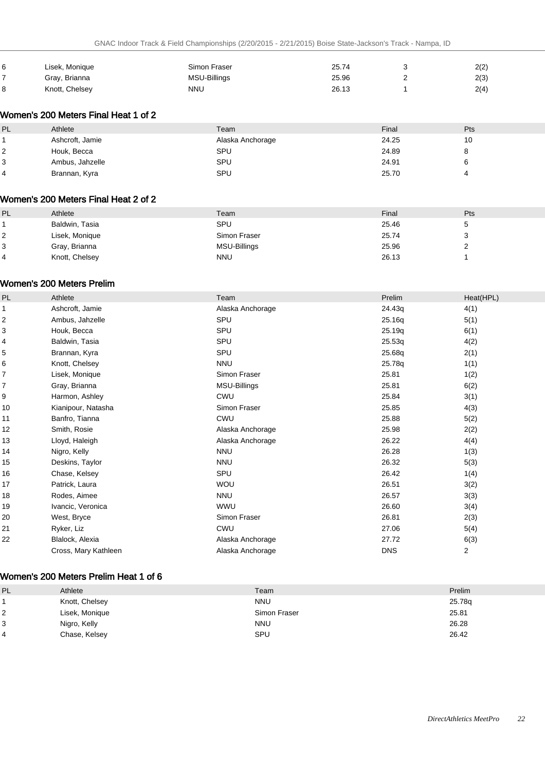| 6 | Lisek, Monique | Simon Fraser | 25.74 | 2(2) |
|---|----------------|--------------|-------|------|
|   | Gray, Brianna  | MSU-Billings | 25.96 | 2(3) |
|   | Knott, Chelsey | NNU          | 26.13 | 2(4) |

### Women's 200 Meters Final Heat 1 of 2

| PL | Athlete         | Team             | Final | Pts |
|----|-----------------|------------------|-------|-----|
|    | Ashcroft, Jamie | Alaska Anchorage | 24.25 | 10  |
|    | Houk, Becca     | SPU              | 24.89 | ັ   |
|    | Ambus, Jahzelle | SPU              | 24.91 |     |
|    | Brannan, Kyra   | SPU              | 25.70 |     |

#### Women's 200 Meters Final Heat 2 of 2

| PL | Athlete        | Team         | Final | Pts |
|----|----------------|--------------|-------|-----|
|    | Baldwin, Tasia | <b>SPU</b>   | 25.46 |     |
|    | Lisek, Monique | Simon Fraser | 25.74 |     |
| 3  | Gray, Brianna  | MSU-Billings | 25.96 |     |
|    | Knott, Chelsey | <b>NNU</b>   | 26.13 |     |
|    |                |              |       |     |

#### Women's 200 Meters Prelim

| Athlete              | Team             | Prelim     | Heat(HPL) |
|----------------------|------------------|------------|-----------|
| Ashcroft, Jamie      | Alaska Anchorage | 24.43q     | 4(1)      |
| Ambus, Jahzelle      | SPU              | 25.16q     | 5(1)      |
| Houk, Becca          | SPU              | 25.19q     | 6(1)      |
| Baldwin, Tasia       | SPU              | 25.53q     | 4(2)      |
| Brannan, Kyra        | SPU              | 25.68q     | 2(1)      |
| Knott, Chelsey       | <b>NNU</b>       | 25.78q     | 1(1)      |
| Lisek, Monique       | Simon Fraser     | 25.81      | 1(2)      |
| Gray, Brianna        | MSU-Billings     | 25.81      | 6(2)      |
| Harmon, Ashley       | <b>CWU</b>       | 25.84      | 3(1)      |
| Kianipour, Natasha   | Simon Fraser     | 25.85      | 4(3)      |
| Banfro, Tianna       | <b>CWU</b>       | 25.88      | 5(2)      |
| Smith, Rosie         | Alaska Anchorage | 25.98      | 2(2)      |
| Lloyd, Haleigh       | Alaska Anchorage | 26.22      | 4(4)      |
| Nigro, Kelly         | <b>NNU</b>       | 26.28      | 1(3)      |
| Deskins, Taylor      | <b>NNU</b>       | 26.32      | 5(3)      |
| Chase, Kelsey        | SPU              | 26.42      | 1(4)      |
| Patrick, Laura       | <b>WOU</b>       | 26.51      | 3(2)      |
| Rodes, Aimee         | <b>NNU</b>       | 26.57      | 3(3)      |
| Ivancic, Veronica    | <b>WWU</b>       | 26.60      | 3(4)      |
| West, Bryce          | Simon Fraser     | 26.81      | 2(3)      |
| Ryker, Liz           | CWU              | 27.06      | 5(4)      |
| Blalock, Alexia      | Alaska Anchorage | 27.72      | 6(3)      |
| Cross, Mary Kathleen | Alaska Anchorage | <b>DNS</b> | 2         |
|                      |                  |            |           |

#### Women's 200 Meters Prelim Heat 1 of 6

| PL             | Athlete        | Team         | Prelim |
|----------------|----------------|--------------|--------|
|                | Knott, Chelsey | <b>NNU</b>   | 25.78q |
| $\overline{2}$ | Lisek, Monique | Simon Fraser | 25.81  |
| 3              | Nigro, Kelly   | <b>NNU</b>   | 26.28  |
| $\overline{4}$ | Chase, Kelsey  | <b>SPU</b>   | 26.42  |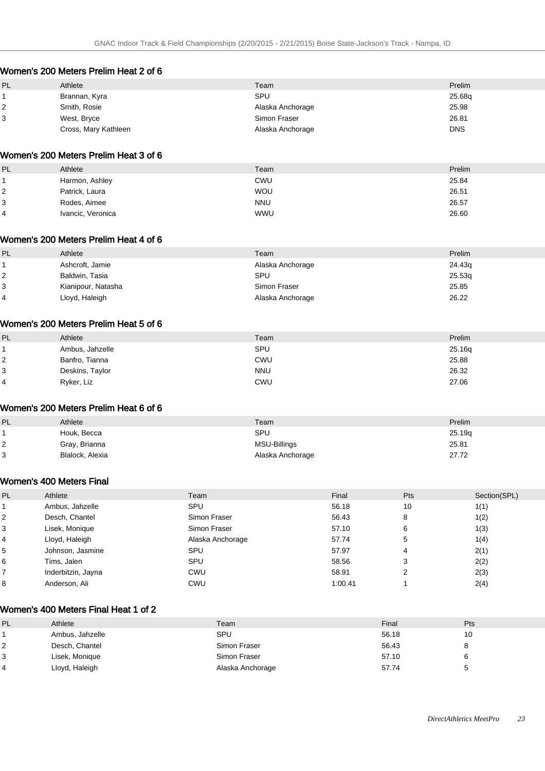### Women's 200 Meters Prelim Heat 2 of 6

| PL | Athlete              | Team             | Prelim     |
|----|----------------------|------------------|------------|
|    | Brannan, Kyra        | SPU              | 25.68g     |
|    | Smith, Rosie         | Alaska Anchorage | 25.98      |
| 3  | West, Bryce          | Simon Fraser     | 26.81      |
|    | Cross, Mary Kathleen | Alaska Anchorage | <b>DNS</b> |

#### Women's 200 Meters Prelim Heat 3 of 6

| PL             | Athlete           | Team       | Prelim |
|----------------|-------------------|------------|--------|
|                | Harmon, Ashley    | CWU        | 25.84  |
| $\overline{2}$ | Patrick, Laura    | <b>WOU</b> | 26.51  |
| Ι3             | Rodes, Aimee      | <b>NNU</b> | 26.57  |
| $\overline{4}$ | Ivancic, Veronica | <b>WWU</b> | 26.60  |

#### Women's 200 Meters Prelim Heat 4 of 6

| PL | Athlete            | Team             | Prelim |
|----|--------------------|------------------|--------|
|    | Ashcroft, Jamie    | Alaska Anchorage | 24.43g |
|    | Baldwin, Tasia     | SPU              | 25.53q |
| 3  | Kianipour, Natasha | Simon Fraser     | 25.85  |
| 4  | Lloyd, Haleigh     | Alaska Anchorage | 26.22  |

### Women's 200 Meters Prelim Heat 5 of 6

| PL | Athlete         | Team       | Prelim |
|----|-----------------|------------|--------|
|    | Ambus, Jahzelle | SPU        | 25.16q |
| 2  | Banfro, Tianna  | <b>CWU</b> | 25.88  |
| 3  | Deskins, Taylor | <b>NNU</b> | 26.32  |
| 4  | Ryker, Liz      | <b>CWU</b> | 27.06  |

#### Women's 200 Meters Prelim Heat 6 of 6

| PL | Athlete         | Team             | Prelim |
|----|-----------------|------------------|--------|
|    | Houk, Becca     | SPU              | 25.19g |
|    | Gray, Brianna   | MSU-Billings     | 25.81  |
|    | Blalock, Alexia | Alaska Anchorage | 27.72  |

#### Women's 400 Meters Final

| PL                      | Athlete            | Team             | Final   | Pts | Section(SPL) |
|-------------------------|--------------------|------------------|---------|-----|--------------|
|                         | Ambus, Jahzelle    | SPU              | 56.18   | 10  | 1(1)         |
| $\overline{\mathbf{c}}$ | Desch, Chantel     | Simon Fraser     | 56.43   | 8   | 1(2)         |
| 3                       | Lisek, Monique     | Simon Fraser     | 57.10   | 6   | 1(3)         |
| 4                       | Lloyd, Haleigh     | Alaska Anchorage | 57.74   | 5   | 1(4)         |
| 5                       | Johnson, Jasmine   | SPU              | 57.97   | 4   | 2(1)         |
| 6                       | Tims, Jalen        | SPU              | 58.56   | 3   | 2(2)         |
|                         | Inderbitzin, Jayna | CWU              | 58.91   | ົ   | 2(3)         |
| 8                       | Anderson, Ali      | CWU              | 1:00.41 |     | 2(4)         |

#### Women's 400 Meters Final Heat 1 of 2

| PL | Athlete         | Team             | Final | Pts |
|----|-----------------|------------------|-------|-----|
|    | Ambus, Jahzelle | SPU              | 56.18 |     |
|    | Desch, Chantel  | Simon Fraser     | 56.43 |     |
| 3  | Lisek, Monique  | Simon Fraser     | 57.10 |     |
|    | Lloyd, Haleigh  | Alaska Anchorage | 57.74 |     |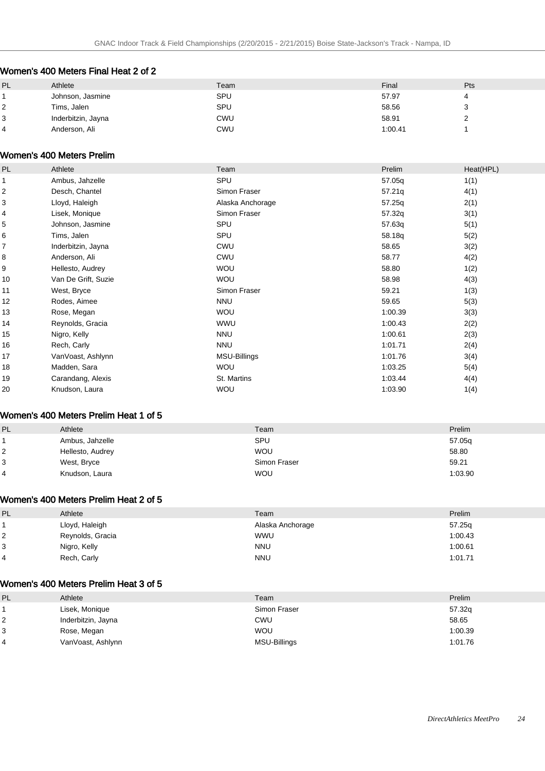### Women's 400 Meters Final Heat 2 of 2

| <b>PL</b> | Athlete            | Team       | Final   | Pts    |
|-----------|--------------------|------------|---------|--------|
|           | Johnson, Jasmine   | SPU        | 57.97   | 4      |
| 2         | Tims, Jalen        | SPU        | 58.56   | ว<br>ັ |
| 3         | Inderbitzin, Jayna | <b>CWU</b> | 58.91   | ∼      |
| 4         | Anderson, Ali      | <b>CWU</b> | 1:00.41 |        |

#### Women's 400 Meters Prelim

| PL                      | Athlete             | Team             | Prelim  | Heat(HPL) |
|-------------------------|---------------------|------------------|---------|-----------|
|                         | Ambus, Jahzelle     | SPU              | 57.05q  | 1(1)      |
| $\overline{\mathbf{c}}$ | Desch, Chantel      | Simon Fraser     | 57.21q  | 4(1)      |
| 3                       | Lloyd, Haleigh      | Alaska Anchorage | 57.25q  | 2(1)      |
| 4                       | Lisek, Monique      | Simon Fraser     | 57.32q  | 3(1)      |
| 5                       | Johnson, Jasmine    | SPU              | 57.63q  | 5(1)      |
| 6                       | Tims, Jalen         | SPU              | 58.18q  | 5(2)      |
| 7                       | Inderbitzin, Jayna  | <b>CWU</b>       | 58.65   | 3(2)      |
| 8                       | Anderson, Ali       | <b>CWU</b>       | 58.77   | 4(2)      |
| 9                       | Hellesto, Audrey    | <b>WOU</b>       | 58.80   | 1(2)      |
| 10                      | Van De Grift, Suzie | <b>WOU</b>       | 58.98   | 4(3)      |
| 11                      | West, Bryce         | Simon Fraser     | 59.21   | 1(3)      |
| 12                      | Rodes, Aimee        | <b>NNU</b>       | 59.65   | 5(3)      |
| 13                      | Rose, Megan         | <b>WOU</b>       | 1:00.39 | 3(3)      |
| 14                      | Reynolds, Gracia    | WWU              | 1:00.43 | 2(2)      |
| 15                      | Nigro, Kelly        | <b>NNU</b>       | 1:00.61 | 2(3)      |
| 16                      | Rech, Carly         | <b>NNU</b>       | 1:01.71 | 2(4)      |
| 17                      | VanVoast, Ashlynn   | MSU-Billings     | 1:01.76 | 3(4)      |
| 18                      | Madden, Sara        | <b>WOU</b>       | 1:03.25 | 5(4)      |
| 19                      | Carandang, Alexis   | St. Martins      | 1:03.44 | 4(4)      |
| 20                      | Knudson, Laura      | <b>WOU</b>       | 1:03.90 | 1(4)      |

#### Women's 400 Meters Prelim Heat 1 of 5

| PL | Athlete          | Team         | Prelim  |
|----|------------------|--------------|---------|
|    | Ambus, Jahzelle  | SPU          | 57.05q  |
| 2  | Hellesto, Audrey | <b>WOU</b>   | 58.80   |
| 3  | West, Bryce      | Simon Fraser | 59.21   |
| 4  | Knudson, Laura   | <b>WOU</b>   | 1:03.90 |

### Women's 400 Meters Prelim Heat 2 of 5

| PL     | Athlete          | Team             | Prelim  |
|--------|------------------|------------------|---------|
|        | Lloyd, Haleigh   | Alaska Anchorage | 57.25q  |
| ົ<br>∠ | Reynolds, Gracia | <b>WWU</b>       | 1:00.43 |
| 3      | Nigro, Kelly     | <b>NNU</b>       | 1:00.61 |
| 4      | Rech, Carly      | <b>NNU</b>       | 1:01.71 |

#### Women's 400 Meters Prelim Heat 3 of 5

| PL | Athlete            | Team         | Prelim  |
|----|--------------------|--------------|---------|
|    | Lisek, Monique     | Simon Fraser | 57.32q  |
|    | Inderbitzin, Jayna | CWU          | 58.65   |
| 3  | Rose, Megan        | <b>WOU</b>   | 1:00.39 |
| 4  | VanVoast, Ashlynn  | MSU-Billings | 1:01.76 |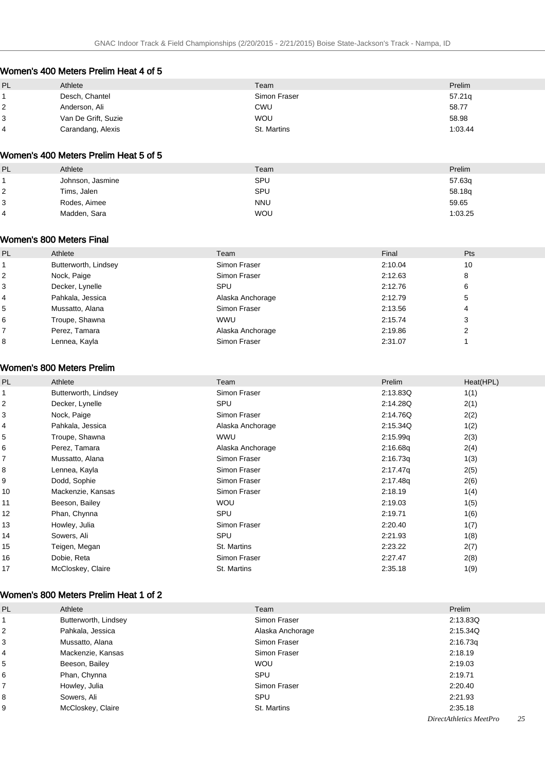### Women's 400 Meters Prelim Heat 4 of 5

| PL | Athlete             | Team         | Prelim  |
|----|---------------------|--------------|---------|
|    | Desch, Chantel      | Simon Fraser | 57.21q  |
|    | Anderson, Ali       | CWU          | 58.77   |
| 3  | Van De Grift, Suzie | <b>WOU</b>   | 58.98   |
| 4  | Carandang, Alexis   | St. Martins  | 1:03.44 |

### Women's 400 Meters Prelim Heat 5 of 5

| PL             | Athlete          | Team       | Prelim  |
|----------------|------------------|------------|---------|
|                | Johnson, Jasmine | SPU        | 57.63q  |
| 2 ا            | Tims, Jalen      | SPU        | 58.18g  |
| 3              | Rodes, Aimee     | <b>NNU</b> | 59.65   |
| $\overline{4}$ | Madden, Sara     | <b>WOU</b> | 1:03.25 |

#### Women's 800 Meters Final

| Athlete              | Team             | Final   | <b>Pts</b>     |
|----------------------|------------------|---------|----------------|
| Butterworth, Lindsey | Simon Fraser     | 2:10.04 | 10             |
| Nock, Paige          | Simon Fraser     | 2:12.63 | 8              |
| Decker, Lynelle      | SPU              | 2:12.76 | 6              |
| Pahkala, Jessica     | Alaska Anchorage | 2:12.79 | 5              |
| Mussatto, Alana      | Simon Fraser     | 2:13.56 | $\overline{4}$ |
| Troupe, Shawna       | <b>WWU</b>       | 2:15.74 | 3              |
| Perez, Tamara        | Alaska Anchorage | 2:19.86 | 2              |
| Lennea, Kayla        | Simon Fraser     | 2:31.07 |                |
|                      |                  |         |                |

### Women's 800 Meters Prelim

| Athlete              | Team             | Prelim   | Heat(HPL) |
|----------------------|------------------|----------|-----------|
| Butterworth, Lindsey | Simon Fraser     | 2:13.83Q | 1(1)      |
| Decker, Lynelle      | <b>SPU</b>       | 2:14.28Q | 2(1)      |
| Nock, Paige          | Simon Fraser     | 2:14.76Q | 2(2)      |
| Pahkala, Jessica     | Alaska Anchorage | 2:15.34Q | 1(2)      |
| Troupe, Shawna       | <b>WWU</b>       | 2:15.99q | 2(3)      |
| Perez, Tamara        | Alaska Anchorage | 2:16.68q | 2(4)      |
| Mussatto, Alana      | Simon Fraser     | 2:16.73q | 1(3)      |
| Lennea, Kayla        | Simon Fraser     | 2:17.47q | 2(5)      |
| Dodd, Sophie         | Simon Fraser     | 2:17.48q | 2(6)      |
| Mackenzie, Kansas    | Simon Fraser     | 2:18.19  | 1(4)      |
| Beeson, Bailey       | <b>WOU</b>       | 2:19.03  | 1(5)      |
| Phan, Chynna         | <b>SPU</b>       | 2:19.71  | 1(6)      |
| Howley, Julia        | Simon Fraser     | 2:20.40  | 1(7)      |
| Sowers, Ali          | SPU              | 2:21.93  | 1(8)      |
| Teigen, Megan        | St. Martins      | 2:23.22  | 2(7)      |
| Dobie, Reta          | Simon Fraser     | 2:27.47  | 2(8)      |
| McCloskey, Claire    | St. Martins      | 2:35.18  | 1(9)      |
|                      |                  |          |           |

#### Women's 800 Meters Prelim Heat 1 of 2

| <b>PL</b>               | Athlete              | Team             | Prelim   |
|-------------------------|----------------------|------------------|----------|
|                         | Butterworth, Lindsey | Simon Fraser     | 2:13.83Q |
| $\overline{\mathbf{c}}$ | Pahkala, Jessica     | Alaska Anchorage | 2:15.34Q |
| 3                       | Mussatto, Alana      | Simon Fraser     | 2:16.73q |
| 4                       | Mackenzie, Kansas    | Simon Fraser     | 2:18.19  |
| 5                       | Beeson, Bailey       | <b>WOU</b>       | 2:19.03  |
| 6                       | Phan, Chynna         | SPU              | 2:19.71  |
| 7                       | Howley, Julia        | Simon Fraser     | 2:20.40  |
| 8                       | Sowers, Ali          | SPU              | 2:21.93  |
| 9                       | McCloskey, Claire    | St. Martins      | 2:35.18  |
|                         |                      |                  |          |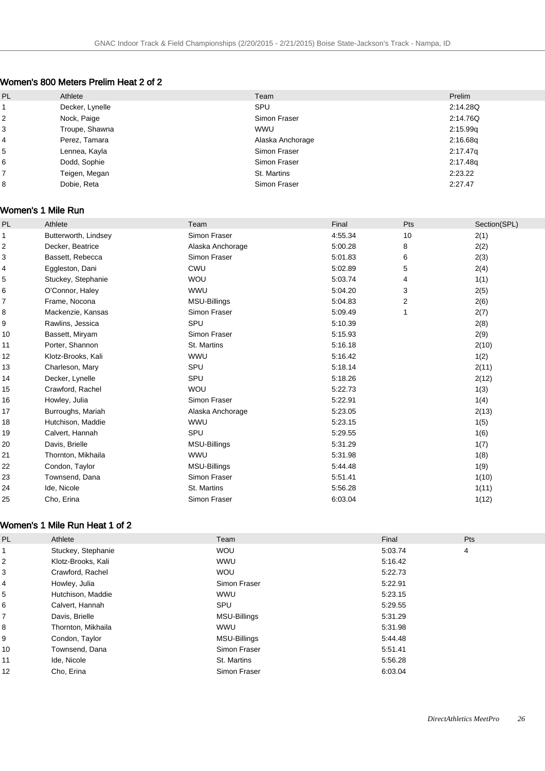### Women's 800 Meters Prelim Heat 2 of 2

| PL | Athlete         | Team             | Prelim   |
|----|-----------------|------------------|----------|
|    | Decker, Lynelle | SPU              | 2:14.28Q |
| 2  | Nock, Paige     | Simon Fraser     | 2:14.76Q |
| 3  | Troupe, Shawna  | <b>WWU</b>       | 2:15.99q |
| 4  | Perez, Tamara   | Alaska Anchorage | 2:16.68q |
| 5  | Lennea, Kayla   | Simon Fraser     | 2:17.47q |
| 6  | Dodd, Sophie    | Simon Fraser     | 2:17.48q |
|    | Teigen, Megan   | St. Martins      | 2:23.22  |
| 8  | Dobie, Reta     | Simon Fraser     | 2:27.47  |

#### Women's 1 Mile Run

| PL           | Athlete              | Team                | Final   | Pts            | Section(SPL) |
|--------------|----------------------|---------------------|---------|----------------|--------------|
| $\mathbf{1}$ | Butterworth, Lindsey | Simon Fraser        | 4:55.34 | 10             | 2(1)         |
| 2            | Decker, Beatrice     | Alaska Anchorage    | 5:00.28 | 8              | 2(2)         |
| 3            | Bassett, Rebecca     | Simon Fraser        | 5:01.83 | 6              | 2(3)         |
| 4            | Eggleston, Dani      | CWU                 | 5:02.89 | 5              | 2(4)         |
| 5            | Stuckey, Stephanie   | WOU                 | 5:03.74 | 4              | 1(1)         |
| 6            | O'Connor, Haley      | <b>WWU</b>          | 5:04.20 | 3              | 2(5)         |
| 7            | Frame, Nocona        | <b>MSU-Billings</b> | 5:04.83 | $\overline{2}$ | 2(6)         |
| 8            | Mackenzie, Kansas    | Simon Fraser        | 5:09.49 |                | 2(7)         |
| 9            | Rawlins, Jessica     | SPU                 | 5:10.39 |                | 2(8)         |
| 10           | Bassett, Miryam      | Simon Fraser        | 5:15.93 |                | 2(9)         |
| 11           | Porter, Shannon      | St. Martins         | 5:16.18 |                | 2(10)        |
| 12           | Klotz-Brooks, Kali   | <b>WWU</b>          | 5:16.42 |                | 1(2)         |
| 13           | Charleson, Mary      | SPU                 | 5:18.14 |                | 2(11)        |
| 14           | Decker, Lynelle      | SPU                 | 5:18.26 |                | 2(12)        |
| 15           | Crawford, Rachel     | <b>WOU</b>          | 5:22.73 |                | 1(3)         |
| 16           | Howley, Julia        | Simon Fraser        | 5.22.91 |                | 1(4)         |
| 17           | Burroughs, Mariah    | Alaska Anchorage    | 5:23.05 |                | 2(13)        |
| 18           | Hutchison, Maddie    | <b>WWU</b>          | 5:23.15 |                | 1(5)         |
| 19           | Calvert, Hannah      | SPU                 | 5:29.55 |                | 1(6)         |
| 20           | Davis, Brielle       | <b>MSU-Billings</b> | 5:31.29 |                | 1(7)         |
| 21           | Thornton, Mikhaila   | <b>WWU</b>          | 5:31.98 |                | 1(8)         |
| 22           | Condon, Taylor       | <b>MSU-Billings</b> | 5:44.48 |                | 1(9)         |
| 23           | Townsend, Dana       | Simon Fraser        | 5.51.41 |                | 1(10)        |
| 24           | Ide, Nicole          | St. Martins         | 5:56.28 |                | 1(11)        |
| 25           | Cho, Erina           | Simon Fraser        | 6:03.04 |                | 1(12)        |
|              |                      |                     |         |                |              |

### Women's 1 Mile Run Heat 1 of 2

| <b>PL</b> | Athlete            | Team                | Final   | Pts |
|-----------|--------------------|---------------------|---------|-----|
|           | Stuckey, Stephanie | <b>WOU</b>          | 5:03.74 | 4   |
| 2         | Klotz-Brooks, Kali | <b>WWU</b>          | 5:16.42 |     |
| 3         | Crawford, Rachel   | <b>WOU</b>          | 5:22.73 |     |
| 4         | Howley, Julia      | Simon Fraser        | 5:22.91 |     |
| 5         | Hutchison, Maddie  | <b>WWU</b>          | 5:23.15 |     |
| 6         | Calvert, Hannah    | SPU                 | 5:29.55 |     |
|           | Davis, Brielle     | <b>MSU-Billings</b> | 5:31.29 |     |
| 8         | Thornton, Mikhaila | <b>WWU</b>          | 5:31.98 |     |
| 9         | Condon, Taylor     | <b>MSU-Billings</b> | 5:44.48 |     |
| 10        | Townsend, Dana     | Simon Fraser        | 5:51.41 |     |
| 11        | Ide, Nicole        | St. Martins         | 5:56.28 |     |
| 12        | Cho, Erina         | Simon Fraser        | 6:03.04 |     |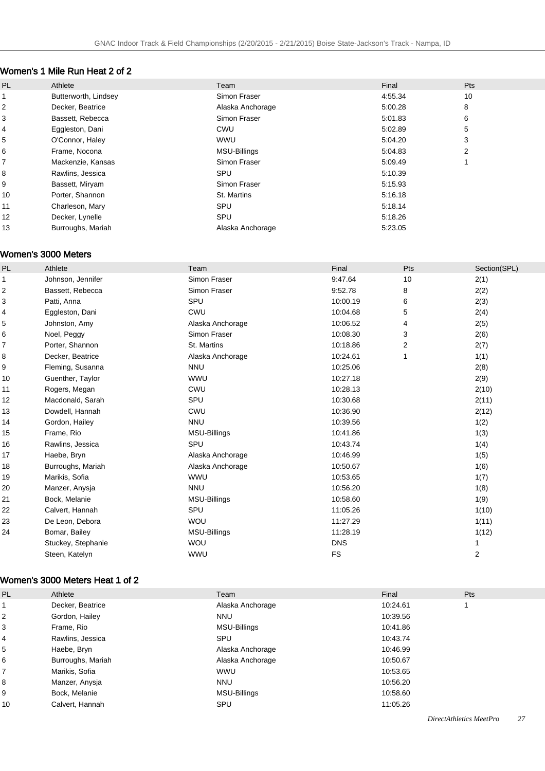### Women's 1 Mile Run Heat 2 of 2

| PL | Athlete              | Team             | Final   | Pts |
|----|----------------------|------------------|---------|-----|
|    | Butterworth, Lindsey | Simon Fraser     | 4:55.34 | 10  |
| 2  | Decker, Beatrice     | Alaska Anchorage | 5:00.28 | 8   |
| 3  | Bassett, Rebecca     | Simon Fraser     | 5:01.83 | 6   |
| 4  | Eggleston, Dani      | <b>CWU</b>       | 5:02.89 | 5   |
| 5  | O'Connor, Haley      | <b>WWU</b>       | 5:04.20 | 3   |
| 6  | Frame, Nocona        | MSU-Billings     | 5:04.83 | 2   |
|    | Mackenzie, Kansas    | Simon Fraser     | 5:09.49 |     |
| 8  | Rawlins, Jessica     | SPU              | 5:10.39 |     |
| 9  | Bassett, Miryam      | Simon Fraser     | 5:15.93 |     |
| 10 | Porter, Shannon      | St. Martins      | 5:16.18 |     |
| 11 | Charleson, Mary      | SPU              | 5:18.14 |     |
| 12 | Decker, Lynelle      | SPU              | 5:18.26 |     |
| 13 | Burroughs, Mariah    | Alaska Anchorage | 5:23.05 |     |
|    |                      |                  |         |     |

#### Women's 3000 Meters

| PL | Athlete            | Team                | Final      | Pts | Section(SPL)            |
|----|--------------------|---------------------|------------|-----|-------------------------|
| 1  | Johnson, Jennifer  | Simon Fraser        | 9:47.64    | 10  | 2(1)                    |
| 2  | Bassett, Rebecca   | Simon Fraser        | 9:52.78    | 8   | 2(2)                    |
| 3  | Patti, Anna        | SPU                 | 10:00.19   | 6   | 2(3)                    |
| 4  | Eggleston, Dani    | CWU                 | 10:04.68   | 5   | 2(4)                    |
| 5  | Johnston, Amy      | Alaska Anchorage    | 10:06.52   | 4   | 2(5)                    |
| 6  | Noel, Peggy        | Simon Fraser        | 10:08.30   | 3   | 2(6)                    |
| 7  | Porter, Shannon    | St. Martins         | 10:18.86   | 2   | 2(7)                    |
| 8  | Decker, Beatrice   | Alaska Anchorage    | 10:24.61   |     | 1(1)                    |
| 9  | Fleming, Susanna   | <b>NNU</b>          | 10:25.06   |     | 2(8)                    |
| 10 | Guenther, Taylor   | WWU                 | 10:27.18   |     | 2(9)                    |
| 11 | Rogers, Megan      | CWU                 | 10:28.13   |     | 2(10)                   |
| 12 | Macdonald, Sarah   | SPU                 | 10:30.68   |     | 2(11)                   |
| 13 | Dowdell, Hannah    | <b>CWU</b>          | 10:36.90   |     | 2(12)                   |
| 14 | Gordon, Hailey     | <b>NNU</b>          | 10:39.56   |     | 1(2)                    |
| 15 | Frame, Rio         | <b>MSU-Billings</b> | 10:41.86   |     | 1(3)                    |
| 16 | Rawlins, Jessica   | SPU                 | 10:43.74   |     | 1(4)                    |
| 17 | Haebe, Bryn        | Alaska Anchorage    | 10:46.99   |     | 1(5)                    |
| 18 | Burroughs, Mariah  | Alaska Anchorage    | 10:50.67   |     | 1(6)                    |
| 19 | Marikis, Sofia     | <b>WWU</b>          | 10:53.65   |     | 1(7)                    |
| 20 | Manzer, Anysja     | <b>NNU</b>          | 10:56.20   |     | 1(8)                    |
| 21 | Bock, Melanie      | <b>MSU-Billings</b> | 10:58.60   |     | 1(9)                    |
| 22 | Calvert, Hannah    | SPU                 | 11:05.26   |     | 1(10)                   |
| 23 | De Leon, Debora    | <b>WOU</b>          | 11:27.29   |     | 1(11)                   |
| 24 | Bomar, Bailey      | <b>MSU-Billings</b> | 11:28.19   |     | 1(12)                   |
|    | Stuckey, Stephanie | <b>WOU</b>          | <b>DNS</b> |     |                         |
|    | Steen, Katelyn     | WWU                 | FS         |     | $\overline{\mathbf{c}}$ |

### Women's 3000 Meters Heat 1 of 2

| PL | Athlete           | Team             | Final    | Pts |
|----|-------------------|------------------|----------|-----|
|    | Decker, Beatrice  | Alaska Anchorage | 10:24.61 |     |
| 2  | Gordon, Hailey    | <b>NNU</b>       | 10:39.56 |     |
| 3  | Frame, Rio        | MSU-Billings     | 10:41.86 |     |
| 4  | Rawlins, Jessica  | SPU              | 10:43.74 |     |
| 5  | Haebe, Bryn       | Alaska Anchorage | 10:46.99 |     |
| 6  | Burroughs, Mariah | Alaska Anchorage | 10:50.67 |     |
|    | Marikis, Sofia    | <b>WWU</b>       | 10:53.65 |     |
| 8  | Manzer, Anysja    | <b>NNU</b>       | 10:56.20 |     |
| 9  | Bock, Melanie     | MSU-Billings     | 10:58.60 |     |
| 10 | Calvert, Hannah   | SPU              | 11:05.26 |     |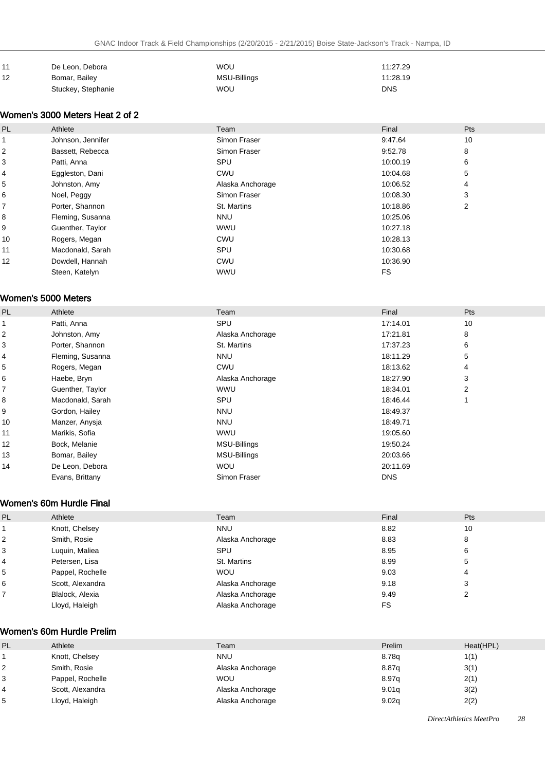| l 11 | De Leon, Debora    | <b>WOU</b>   | 11:27.29   |
|------|--------------------|--------------|------------|
| 12   | Bomar, Bailey      | MSU-Billings | 11:28.19   |
|      | Stuckey, Stephanie | <b>WOU</b>   | <b>DNS</b> |

### Women's 3000 Meters Heat 2 of 2

| <b>PL</b> | Athlete           | Team             | Final     | Pts |
|-----------|-------------------|------------------|-----------|-----|
|           | Johnson, Jennifer | Simon Fraser     | 9:47.64   | 10  |
| 2         | Bassett, Rebecca  | Simon Fraser     | 9:52.78   | 8   |
| 3         | Patti, Anna       | SPU              | 10:00.19  | 6   |
| 4         | Eggleston, Dani   | <b>CWU</b>       | 10:04.68  | 5   |
| 5         | Johnston, Amy     | Alaska Anchorage | 10:06.52  | 4   |
| 6         | Noel, Peggy       | Simon Fraser     | 10:08.30  | 3   |
| 7         | Porter, Shannon   | St. Martins      | 10:18.86  | 2   |
| 8         | Fleming, Susanna  | <b>NNU</b>       | 10:25.06  |     |
| 9         | Guenther, Taylor  | <b>WWU</b>       | 10:27.18  |     |
| 10        | Rogers, Megan     | <b>CWU</b>       | 10:28.13  |     |
| 11        | Macdonald, Sarah  | SPU              | 10:30.68  |     |
| 12        | Dowdell, Hannah   | <b>CWU</b>       | 10:36.90  |     |
|           | Steen, Katelyn    | <b>WWU</b>       | <b>FS</b> |     |

#### Women's 5000 Meters

| PL | Athlete          | Team                | Final      | Pts |
|----|------------------|---------------------|------------|-----|
|    | Patti, Anna      | SPU                 | 17:14.01   | 10  |
| 2  | Johnston, Amy    | Alaska Anchorage    | 17:21.81   | 8   |
| 3  | Porter, Shannon  | St. Martins         | 17:37.23   | 6   |
| 4  | Fleming, Susanna | <b>NNU</b>          | 18:11.29   | 5   |
| 5  | Rogers, Megan    | CWU                 | 18:13.62   | 4   |
| 6  | Haebe, Bryn      | Alaska Anchorage    | 18:27.90   | 3   |
| 7  | Guenther, Taylor | <b>WWU</b>          | 18:34.01   | 2   |
| 8  | Macdonald, Sarah | SPU                 | 18:46.44   |     |
| 9  | Gordon, Hailey   | <b>NNU</b>          | 18:49.37   |     |
| 10 | Manzer, Anysja   | <b>NNU</b>          | 18:49.71   |     |
| 11 | Marikis, Sofia   | <b>WWU</b>          | 19:05.60   |     |
| 12 | Bock, Melanie    | MSU-Billings        | 19:50.24   |     |
| 13 | Bomar, Bailey    | <b>MSU-Billings</b> | 20:03.66   |     |
| 14 | De Leon, Debora  | <b>WOU</b>          | 20:11.69   |     |
|    | Evans, Brittany  | Simon Fraser        | <b>DNS</b> |     |

### Women's 60m Hurdle Final

| PL             | Athlete          | Team             | Final | Pts    |
|----------------|------------------|------------------|-------|--------|
|                | Knott, Chelsey   | <b>NNU</b>       | 8.82  | 10     |
| $\overline{2}$ | Smith, Rosie     | Alaska Anchorage | 8.83  | 8      |
| 3              | Luguin, Maliea   | SPU              | 8.95  | 6      |
| $\overline{4}$ | Petersen, Lisa   | St. Martins      | 8.99  | 5      |
| 5              | Pappel, Rochelle | <b>WOU</b>       | 9.03  | 4      |
| 6              | Scott, Alexandra | Alaska Anchorage | 9.18  | 3      |
|                | Blalock, Alexia  | Alaska Anchorage | 9.49  | ົ<br>∠ |
|                | Lloyd, Haleigh   | Alaska Anchorage | FS    |        |

### Women's 60m Hurdle Prelim

| PL | Athlete          | Team             | Prelim | Heat(HPL) |
|----|------------------|------------------|--------|-----------|
|    | Knott, Chelsey   | <b>NNU</b>       | 8.78g  | 1(1)      |
|    | Smith, Rosie     | Alaska Anchorage | 8.87g  | 3(1)      |
|    | Pappel, Rochelle | <b>WOU</b>       | 8.97q  | 2(1)      |
|    | Scott, Alexandra | Alaska Anchorage | 9.01q  | 3(2)      |
|    | Lloyd, Haleigh   | Alaska Anchorage | 9.02q  | 2(2)      |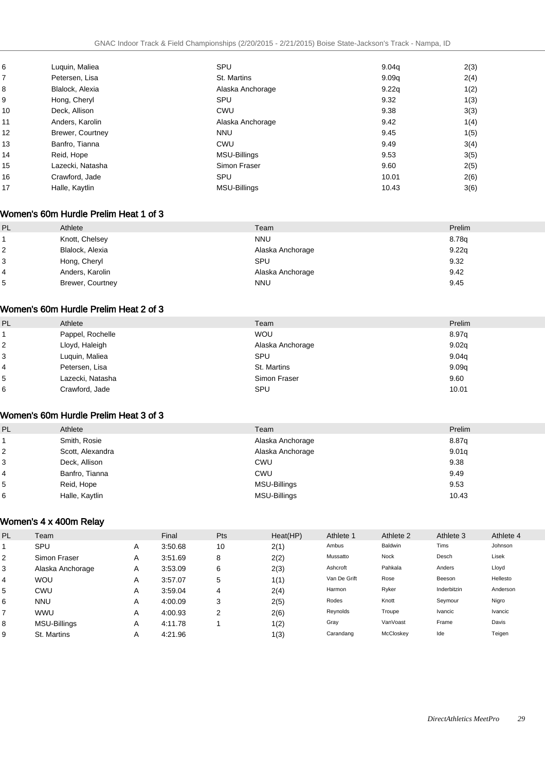| 6  | Luguin, Maliea   | SPU              | 9.04q | 2(3) |
|----|------------------|------------------|-------|------|
| 7  | Petersen, Lisa   | St. Martins      | 9.09q | 2(4) |
| 8  | Blalock, Alexia  | Alaska Anchorage | 9.22q | 1(2) |
| 9  | Hong, Cheryl     | SPU              | 9.32  | 1(3) |
| 10 | Deck, Allison    | CWU              | 9.38  | 3(3) |
| 11 | Anders, Karolin  | Alaska Anchorage | 9.42  | 1(4) |
| 12 | Brewer, Courtney | <b>NNU</b>       | 9.45  | 1(5) |
| 13 | Banfro, Tianna   | CWU              | 9.49  | 3(4) |
| 14 | Reid, Hope       | MSU-Billings     | 9.53  | 3(5) |
| 15 | Lazecki, Natasha | Simon Fraser     | 9.60  | 2(5) |
| 16 | Crawford, Jade   | SPU              | 10.01 | 2(6) |
| 17 | Halle, Kaytlin   | MSU-Billings     | 10.43 | 3(6) |
|    |                  |                  |       |      |

#### Women's 60m Hurdle Prelim Heat 1 of 3

| PL. | Athlete          | Team             | Prelim |
|-----|------------------|------------------|--------|
|     | Knott, Chelsey   | <b>NNU</b>       | 8.78g  |
|     | Blalock, Alexia  | Alaska Anchorage | 9.22q  |
| 3   | Hong, Cheryl     | SPU              | 9.32   |
| 4   | Anders, Karolin  | Alaska Anchorage | 9.42   |
| 5   | Brewer, Courtney | <b>NNU</b>       | 9.45   |

#### Women's 60m Hurdle Prelim Heat 2 of 3

| PL | Athlete          | Team             | Prelim |
|----|------------------|------------------|--------|
|    | Pappel, Rochelle | <b>WOU</b>       | 8.97q  |
| 2  | Lloyd, Haleigh   | Alaska Anchorage | 9.02q  |
| 3  | Luquin, Maliea   | SPU              | 9.04q  |
| 4  | Petersen, Lisa   | St. Martins      | 9.09q  |
| 5  | Lazecki, Natasha | Simon Fraser     | 9.60   |
| 6  | Crawford, Jade   | SPU              | 10.01  |

#### Women's 60m Hurdle Prelim Heat 3 of 3

| <b>PL</b> | Athlete          | Team             | Prelim |
|-----------|------------------|------------------|--------|
|           | Smith, Rosie     | Alaska Anchorage | 8.87g  |
| 2         | Scott, Alexandra | Alaska Anchorage | 9.01q  |
| 3         | Deck, Allison    | CWU              | 9.38   |
| 4         | Banfro, Tianna   | <b>CWU</b>       | 9.49   |
| 5         | Reid, Hope       | MSU-Billings     | 9.53   |
| 6         | Halle, Kaytlin   | MSU-Billings     | 10.43  |

### Women's 4 x 400m Relay

| <b>PL</b> | Team                |   | Final   | <b>Pts</b> | Heat(HP) | Athlete 1    | Athlete 2 | Athlete 3   | Athlete 4 |
|-----------|---------------------|---|---------|------------|----------|--------------|-----------|-------------|-----------|
|           | SPU                 | A | 3:50.68 | 10         | 2(1)     | Ambus        | Baldwin   | Tims        | Johnson   |
| 2         | Simon Fraser        | A | 3:51.69 | 8          | 2(2)     | Mussatto     | Nock      | Desch       | Lisek     |
| 3         | Alaska Anchorage    | A | 3:53.09 | 6          | 2(3)     | Ashcroft     | Pahkala   | Anders      | Lloyd     |
| 4         | <b>WOU</b>          | A | 3:57.07 | 5          | 1(1)     | Van De Grift | Rose      | Beeson      | Hellesto  |
| 5         | CWU                 | A | 3:59.04 | 4          | 2(4)     | Harmon       | Ryker     | Inderbitzin | Anderson  |
| 6         | <b>NNU</b>          | Α | 4:00.09 | 3          | 2(5)     | Rodes        | Knott     | Seymour     | Nigro     |
|           | <b>WWU</b>          | Α | 4:00.93 | 2          | 2(6)     | Reynolds     | Troupe    | Ivancic     | Ivancic   |
| 8         | <b>MSU-Billings</b> | A | 4:11.78 |            | 1(2)     | Gray         | VanVoast  | Frame       | Davis     |
| 9         | St. Martins         | A | 4:21.96 |            | 1(3)     | Carandang    | McCloskey | Ide         | Teigen    |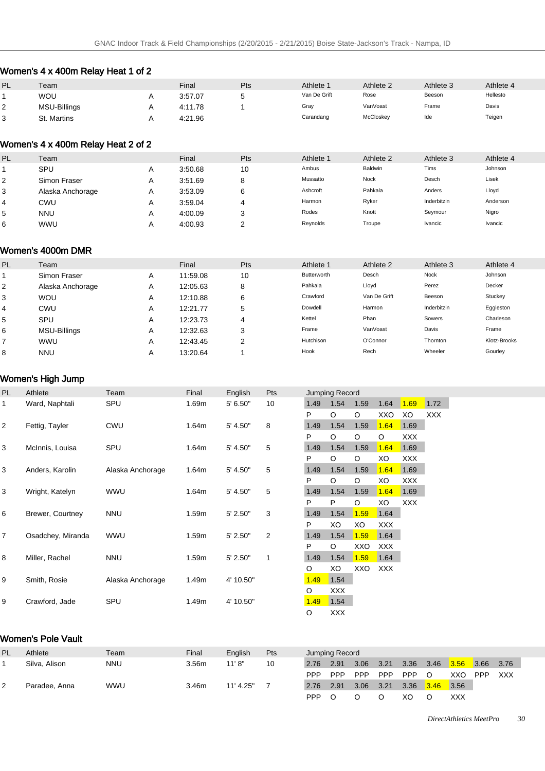# Women's 4 x 400m Relay Heat 1 of 2

| PL       | Team         | Final   | Pts | Athlete <sup>-</sup> | Athlete 2 | Athlete 3 | Athlete 4 |
|----------|--------------|---------|-----|----------------------|-----------|-----------|-----------|
|          | WOU          | 3:57.07 | ∼   | Van De Grift         | Rose      | Beeson    | Hellesto  |
| <u>_</u> | MSU-Billings | 4:11.78 |     | Gray                 | VanVoast  | Frame     | Davis     |
| າ<br>ບ   | St. Martins  | 4:21.96 |     | Carandang            | McCloskey | Ide       | Teigen    |

#### Women's 4 x 400m Relay Heat 2 of 2

| PL | Team             |              | Final   | Pts    | Athlete 1 | Athlete 2 | Athlete 3   | Athlete 4 |
|----|------------------|--------------|---------|--------|-----------|-----------|-------------|-----------|
|    | SPU              |              | 3:50.68 | 10     | Ambus     | Baldwin   | Tims        | Johnson   |
| 2  | Simon Fraser     | Α            | 3:51.69 | 8      | Mussatto  | Nock      | Desch       | Lisek     |
| 3  | Alaska Anchorage | $\mathsf{m}$ | 3:53.09 | 6      | Ashcroft  | Pahkala   | Anders      | Lloyd     |
| 4  | CWU              |              | 3:59.04 |        | Harmon    | Ryker     | Inderbitzin | Anderson  |
| 5  | <b>NNU</b>       | A            | 4:00.09 | я<br>Ñ | Rodes     | Knott     | Seymour     | Nigro     |
| 6  | <b>WWU</b>       |              | 4:00.93 | r      | Reynolds  | Troupe    | Ivancic     | Ivancic   |

### Women's 4000m DMR

| PL | Team                |   | Final    | Pts | Athlete 1   | Athlete 2    | Athlete 3   | Athlete 4    |
|----|---------------------|---|----------|-----|-------------|--------------|-------------|--------------|
|    | Simon Fraser        | A | 11:59.08 | 10  | Butterworth | Desch        | Nock        | Johnson      |
| 2  | Alaska Anchorage    | Α | 12:05.63 | 8   | Pahkala     | Lloyd        | Perez       | Decker       |
| 3  | <b>WOU</b>          | Α | 12:10.88 | 6   | Crawford    | Van De Grift | Beeson      | Stuckey      |
| 4  | CWU                 | Α | 12:21.77 | 5   | Dowdell     | Harmon       | Inderbitzin | Eggleston    |
| 5  | SPU                 | Α | 12:23.73 | 4   | Kettel      | Phan         | Sowers      | Charleson    |
| 6  | <b>MSU-Billings</b> | Α | 12:32.63 | З   | Frame       | VanVoast     | Davis       | Frame        |
|    | <b>WWU</b>          | Α | 12:43.45 | c   | Hutchison   | O'Connor     | Thornton    | Klotz-Brooks |
| 8  | <b>NNU</b>          | А | 13:20.64 |     | Hook        | Rech         | Wheeler     | Gourley      |

### Women's High Jump

| PL | Athlete           | Team             | Final | English   | <b>Pts</b>     |         | Jumping Record |      |            |            |            |
|----|-------------------|------------------|-------|-----------|----------------|---------|----------------|------|------------|------------|------------|
| 1  | Ward, Naphtali    | SPU              | 1.69m | 5' 6.50"  | 10             | 1.49    | 1.54           | 1.59 | 1.64       | 1.69       | 1.72       |
|    |                   |                  |       |           |                | P       | O              | O    | XXO        | XO         | <b>XXX</b> |
| 2  | Fettig, Tayler    | <b>CWU</b>       | 1.64m | 5' 4.50"  | 8              | 1.49    | 1.54           | 1.59 | 1.64       | 1.69       |            |
|    |                   |                  |       |           |                | P       | O              | O    | O          | <b>XXX</b> |            |
| 3  | McInnis, Louisa   | SPU              | 1.64m | 5' 4.50"  | 5              | 1.49    | 1.54           | 1.59 | 1.64       | 1.69       |            |
|    |                   |                  |       |           |                | P       | O              | O    | XO         | <b>XXX</b> |            |
| 3  | Anders, Karolin   | Alaska Anchorage | 1.64m | 5' 4.50"  | 5              | 1.49    | 1.54           | 1.59 | 1.64       | 1.69       |            |
|    |                   |                  |       |           |                | P       | O              | O    | XO         | <b>XXX</b> |            |
| 3  | Wright, Katelyn   | <b>WWU</b>       | 1.64m | 5' 4.50"  | 5              | 1.49    | 1.54           | 1.59 | 1.64       | 1.69       |            |
|    |                   |                  |       |           |                | P       | P              | O    | XO         | <b>XXX</b> |            |
| 6  | Brewer, Courtney  | <b>NNU</b>       | 1.59m | 5' 2.50"  | 3              | 1.49    | 1.54           | 1.59 | 1.64       |            |            |
|    |                   |                  |       |           |                | P       | XO             | XO   | <b>XXX</b> |            |            |
| 7  | Osadchey, Miranda | <b>WWU</b>       | 1.59m | 5' 2.50"  | $\overline{2}$ | 1.49    | 1.54           | 1.59 | 1.64       |            |            |
|    |                   |                  |       |           |                | P       | $\circ$        | XXO  | <b>XXX</b> |            |            |
| 8  | Miller, Rachel    | <b>NNU</b>       | 1.59m | 5' 2.50"  | 1              | 1.49    | 1.54           | 1.59 | 1.64       |            |            |
|    |                   |                  |       |           |                | O       | XO             | XXO  | <b>XXX</b> |            |            |
| 9  | Smith, Rosie      | Alaska Anchorage | 1.49m | 4' 10.50" |                | 1.49    | 1.54           |      |            |            |            |
|    |                   |                  |       |           |                | O       | <b>XXX</b>     |      |            |            |            |
| 9  | Crawford, Jade    | SPU              | 1.49m | 4' 10.50" |                | 1.49    | 1.54           |      |            |            |            |
|    |                   |                  |       |           |                | $\circ$ | <b>XXX</b>     |      |            |            |            |

### Women's Pole Vault

| PL. | Athlete       | Team       | Final | English   | Pts |      | Jumping Record |            |      |            |      |      |            |      |
|-----|---------------|------------|-------|-----------|-----|------|----------------|------------|------|------------|------|------|------------|------|
|     | Silva, Alison | <b>NNU</b> | 3.56m | 11'8"     | 10  | 2.76 | 2.91           | 3.06       | 3.21 | 3.36       | 3.46 | 3.56 | 3.66       | 3.76 |
|     |               |            |       |           |     | PPP  | <b>PPP</b>     | <b>PPP</b> | PPP  | <b>PPP</b> |      | XXO  | <b>PPP</b> | XXX  |
| ▵   | Paradee, Anna | <b>WWU</b> | 3.46m | 11' 4.25" |     | 2.76 | 2.91           | 3.06       | 3.21 | 3.36       | 3.46 | 3.56 |            |      |
|     |               |            |       |           |     | PPP  |                |            |      | XО         |      | XXX  |            |      |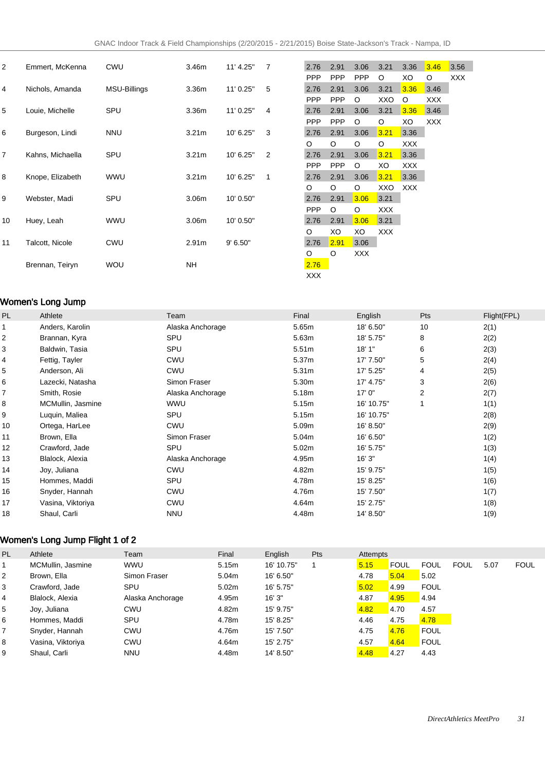| 2              | Emmert, McKenna  | <b>CWU</b>   | 3.46m             | 11' 4.25" | $\overline{7}$ | 2.76       | 2.91       | 3.06       | 3.21       | 3.36       | 3.46       | 3.56 |
|----------------|------------------|--------------|-------------------|-----------|----------------|------------|------------|------------|------------|------------|------------|------|
|                |                  |              |                   |           |                | <b>PPP</b> | <b>PPP</b> | <b>PPP</b> | O          | XO         | O          | XXX. |
| 4              | Nichols, Amanda  | MSU-Billings | 3.36 <sub>m</sub> | 11' 0.25" | 5              | 2.76       | 2.91       | 3.06       | 3.21       | 3.36       | 3.46       |      |
|                |                  |              |                   |           |                | <b>PPP</b> | <b>PPP</b> | $\circ$    | XXO        | $\circ$    | <b>XXX</b> |      |
| 5              | Louie, Michelle  | SPU          | 3.36m             | 11' 0.25" | 4              | 2.76       | 2.91       | 3.06       | 3.21       | 3.36       | 3.46       |      |
|                |                  |              |                   |           |                | <b>PPP</b> | <b>PPP</b> | $\circ$    | O          | XO         | <b>XXX</b> |      |
| 6              | Burgeson, Lindi  | <b>NNU</b>   | 3.21 <sub>m</sub> | 10' 6.25" | 3              | 2.76       | 2.91       | 3.06       | 3.21       | 3.36       |            |      |
|                |                  |              |                   |           |                | O          | O          | $\circ$    | $\circ$    | <b>XXX</b> |            |      |
| $\overline{7}$ | Kahns, Michaella | SPU          | 3.21 <sub>m</sub> | 10' 6.25" | 2              | 2.76       | 2.91       | 3.06       | 3.21       | 3.36       |            |      |
|                |                  |              |                   |           |                | <b>PPP</b> | <b>PPP</b> | $\circ$    | XO         | <b>XXX</b> |            |      |
| 8              | Knope, Elizabeth | <b>WWU</b>   | 3.21 <sub>m</sub> | 10' 6.25" | 1              | 2.76       | 2.91       | 3.06       | 3.21       | 3.36       |            |      |
|                |                  |              |                   |           |                | $\circ$    | O          | $\circ$    | XXO        | <b>XXX</b> |            |      |
| 9              | Webster, Madi    | SPU          | 3.06m             | 10' 0.50" |                | 2.76       | 2.91       | 3.06       | 3.21       |            |            |      |
|                |                  |              |                   |           |                | <b>PPP</b> | O          | $\circ$    | <b>XXX</b> |            |            |      |
| 10             | Huey, Leah       | <b>WWU</b>   | 3.06 <sub>m</sub> | 10' 0.50" |                | 2.76       | 2.91       | 3.06       | 3.21       |            |            |      |
|                |                  |              |                   |           |                | O          | XO         | XO         | <b>XXX</b> |            |            |      |
| 11             | Talcott, Nicole  | <b>CWU</b>   | 2.91 <sub>m</sub> | 9' 6.50"  |                | 2.76       | 2.91       | 3.06       |            |            |            |      |
|                |                  |              |                   |           |                | O          | O          | XXX        |            |            |            |      |
|                | Brennan, Teiryn  | <b>WOU</b>   | <b>NH</b>         |           |                | 2.76       |            |            |            |            |            |      |
|                |                  |              |                   |           |                | <b>XXX</b> |            |            |            |            |            |      |

### Women's Long Jump

| PL | Athlete           | Team             | Final             | English    | Pts            | Flight(FPL) |
|----|-------------------|------------------|-------------------|------------|----------------|-------------|
|    | Anders, Karolin   | Alaska Anchorage | 5.65m             | 18' 6.50"  | 10             | 2(1)        |
| 2  | Brannan, Kyra     | SPU              | 5.63m             | 18' 5.75"  | 8              | 2(2)        |
| 3  | Baldwin, Tasia    | SPU              | 5.51 <sub>m</sub> | 18'1"      | 6              | 2(3)        |
| 4  | Fettig, Tayler    | <b>CWU</b>       | 5.37m             | 17' 7.50"  | 5              | 2(4)        |
| 5  | Anderson, Ali     | <b>CWU</b>       | 5.31m             | 17' 5.25"  | 4              | 2(5)        |
| 6  | Lazecki, Natasha  | Simon Fraser     | 5.30m             | 17' 4.75"  | 3              | 2(6)        |
| 7  | Smith, Rosie      | Alaska Anchorage | 5.18m             | 17'0''     | $\overline{2}$ | 2(7)        |
| 8  | MCMullin, Jasmine | WWU              | 5.15m             | 16' 10.75" | 1              | 1(1)        |
| 9  | Luquin, Maliea    | SPU              | 5.15m             | 16' 10.75" |                | 2(8)        |
| 10 | Ortega, HarLee    | CWU              | 5.09m             | 16' 8.50"  |                | 2(9)        |
| 11 | Brown, Ella       | Simon Fraser     | 5.04m             | 16' 6.50"  |                | 1(2)        |
| 12 | Crawford, Jade    | SPU              | 5.02m             | 16' 5.75"  |                | 1(3)        |
| 13 | Blalock, Alexia   | Alaska Anchorage | 4.95m             | 16'3''     |                | 1(4)        |
| 14 | Joy, Juliana      | <b>CWU</b>       | 4.82m             | 15' 9.75"  |                | 1(5)        |
| 15 | Hommes, Maddi     | SPU              | 4.78m             | 15' 8.25"  |                | 1(6)        |
| 16 | Snyder, Hannah    | CWU              | 4.76m             | 15' 7.50"  |                | 1(7)        |
| 17 | Vasina, Viktoriya | CWU              | 4.64m             | 15' 2.75"  |                | 1(8)        |
| 18 | Shaul, Carli      | <b>NNU</b>       | 4.48m             | 14' 8.50"  |                | 1(9)        |

# Women's Long Jump Flight 1 of 2

| <b>PL</b>      | Athlete           | Team             | Final | English    | Pts | Attempts |             |             |             |      |             |
|----------------|-------------------|------------------|-------|------------|-----|----------|-------------|-------------|-------------|------|-------------|
|                | MCMullin, Jasmine | <b>WWU</b>       | 5.15m | 16' 10.75" |     | 5.15     | <b>FOUL</b> | <b>FOUL</b> | <b>FOUL</b> | 5.07 | <b>FOUL</b> |
| 2              | Brown, Ella       | Simon Fraser     | 5.04m | 16' 6.50"  |     | 4.78     | 5.04        | 5.02        |             |      |             |
| 3              | Crawford, Jade    | SPU              | 5.02m | 16' 5.75"  |     | 5.02     | 4.99        | <b>FOUL</b> |             |      |             |
| $\overline{4}$ | Blalock, Alexia   | Alaska Anchorage | 4.95m | 16'3''     |     | 4.87     | 4.95        | 4.94        |             |      |             |
| 5              | Joy, Juliana      | CWU              | 4.82m | 15' 9.75"  |     | 4.82     | 4.70        | 4.57        |             |      |             |
| 6              | Hommes, Maddi     | SPU              | 4.78m | 15' 8.25"  |     | 4.46     | 4.75        | 4.78        |             |      |             |
| $\overline{7}$ | Snyder, Hannah    | CWU              | 4.76m | 15' 7.50"  |     | 4.75     | 4.76        | <b>FOUL</b> |             |      |             |
| 8              | Vasina, Viktoriya | CWU              | 4.64m | 15' 2.75"  |     | 4.57     | 4.64        | <b>FOUL</b> |             |      |             |
| 9              | Shaul, Carli      | <b>NNU</b>       | 4.48m | 14' 8.50"  |     | 4.48     | 4.27        | 4.43        |             |      |             |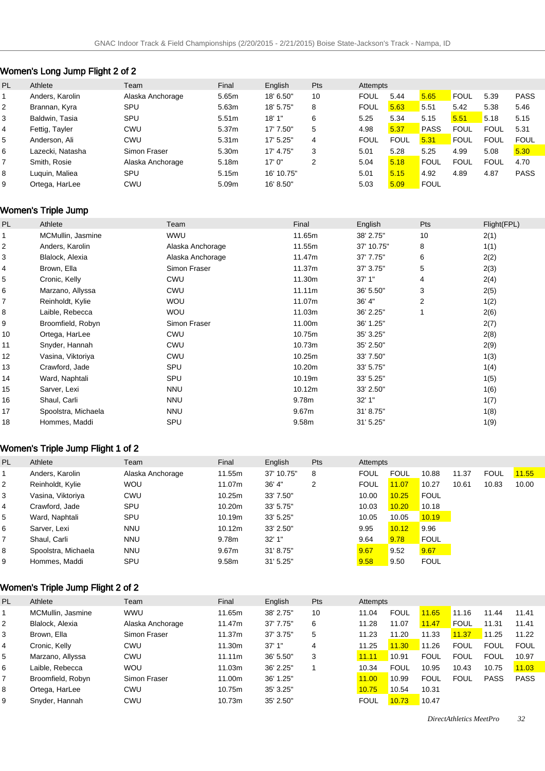# Women's Long Jump Flight 2 of 2

| <b>PL</b>      | Athlete          | Team             | Final             | English    | Pts | Attempts    |             |             |             |             |             |
|----------------|------------------|------------------|-------------------|------------|-----|-------------|-------------|-------------|-------------|-------------|-------------|
|                | Anders, Karolin  | Alaska Anchorage | 5.65m             | 18' 6.50"  | 10  | <b>FOUL</b> | 5.44        | 5.65        | <b>FOUL</b> | 5.39        | <b>PASS</b> |
| $\overline{2}$ | Brannan, Kyra    | SPU              | 5.63m             | 18' 5.75"  | 8   | <b>FOUL</b> | 5.63        | 5.51        | 5.42        | 5.38        | 5.46        |
| 3              | Baldwin, Tasia   | SPU              | 5.51m             | 18'1"      | 6   | 5.25        | 5.34        | 5.15        | 5.51        | 5.18        | 5.15        |
| $\overline{4}$ | Fettig, Tayler   | <b>CWU</b>       | 5.37m             | 17' 7.50"  | 5   | 4.98        | 5.37        | <b>PASS</b> | <b>FOUL</b> | <b>FOUL</b> | 5.31        |
| 5              | Anderson, Ali    | CWU              | 5.31 <sub>m</sub> | 17' 5.25"  | 4   | <b>FOUL</b> | <b>FOUL</b> | 5.31        | <b>FOUL</b> | <b>FOUL</b> | <b>FOUL</b> |
| 6              | Lazecki. Natasha | Simon Fraser     | 5.30m             | 17' 4.75"  | 3   | 5.01        | 5.28        | 5.25        | 4.99        | 5.08        | 5.30        |
| $\overline{7}$ | Smith, Rosie     | Alaska Anchorage | 5.18m             | 17'0''     | 2   | 5.04        | 5.18        | <b>FOUL</b> | <b>FOUL</b> | <b>FOUL</b> | 4.70        |
| 8              | Luguin, Maliea   | SPU              | 5.15m             | 16' 10.75" |     | 5.01        | 5.15        | 4.92        | 4.89        | 4.87        | <b>PASS</b> |
| 9              | Ortega, HarLee   | <b>CWU</b>       | 5.09m             | 16' 8.50"  |     | 5.03        | 5.09        | FOUL        |             |             |             |

# Women's Triple Jump

| PL | Athlete             | Team             | Final             | English    | Pts            | Flight(FPL) |
|----|---------------------|------------------|-------------------|------------|----------------|-------------|
|    | MCMullin, Jasmine   | <b>WWU</b>       | 11.65m            | 38' 2.75"  | 10             | 2(1)        |
| 2  | Anders, Karolin     | Alaska Anchorage | 11.55m            | 37' 10.75" | 8              | 1(1)        |
| 3  | Blalock, Alexia     | Alaska Anchorage | 11.47m            | 37' 7.75"  | 6              | 2(2)        |
| 4  | Brown, Ella         | Simon Fraser     | 11.37m            | 37' 3.75"  | 5              | 2(3)        |
| 5  | Cronic, Kelly       | <b>CWU</b>       | 11.30m            | 37'1''     | 4              | 2(4)        |
| 6  | Marzano, Allyssa    | <b>CWU</b>       | 11.11m            | 36' 5.50"  | 3              | 2(5)        |
| 7  | Reinholdt, Kylie    | <b>WOU</b>       | 11.07m            | 36' 4"     | $\overline{2}$ | 1(2)        |
| 8  | Laible, Rebecca     | <b>WOU</b>       | 11.03m            | 36' 2.25"  |                | 2(6)        |
| 9  | Broomfield, Robyn   | Simon Fraser     | 11.00m            | 36' 1.25"  |                | 2(7)        |
| 10 | Ortega, HarLee      | <b>CWU</b>       | 10.75m            | 35' 3.25"  |                | 2(8)        |
| 11 | Snyder, Hannah      | <b>CWU</b>       | 10.73m            | 35' 2.50"  |                | 2(9)        |
| 12 | Vasina, Viktoriya   | <b>CWU</b>       | 10.25m            | 33' 7.50"  |                | 1(3)        |
| 13 | Crawford, Jade      | SPU              | 10.20m            | 33' 5.75"  |                | 1(4)        |
| 14 | Ward, Naphtali      | SPU              | 10.19m            | 33' 5.25"  |                | 1(5)        |
| 15 | Sarver, Lexi        | <b>NNU</b>       | 10.12m            | 33' 2.50"  |                | 1(6)        |
| 16 | Shaul, Carli        | <b>NNU</b>       | 9.78m             | 32'1''     |                | 1(7)        |
| 17 | Spoolstra, Michaela | <b>NNU</b>       | 9.67 <sub>m</sub> | 31' 8.75"  |                | 1(8)        |
| 18 | Hommes, Maddi       | SPU              | 9.58m             | 31' 5.25"  |                | 1(9)        |

# Women's Triple Jump Flight 1 of 2

| PL             | Athlete             | Team             | Final  | English    | Pts | Attempts    |             |             |       |             |       |
|----------------|---------------------|------------------|--------|------------|-----|-------------|-------------|-------------|-------|-------------|-------|
|                | Anders, Karolin     | Alaska Anchorage | 11.55m | 37' 10.75" | 8   | <b>FOUL</b> | <b>FOUL</b> | 10.88       | 11.37 | <b>FOUL</b> | 11.55 |
| 2              | Reinholdt, Kylie    | <b>WOU</b>       | 11.07m | 36' 4"     | 2   | <b>FOUL</b> | 11.07       | 10.27       | 10.61 | 10.83       | 10.00 |
| 3              | Vasina, Viktoriya   | CWU              | 10.25m | 33' 7.50"  |     | 10.00       | 10.25       | <b>FOUL</b> |       |             |       |
| 4              | Crawford, Jade      | SPU              | 10.20m | 33' 5.75"  |     | 10.03       | 10.20       | 10.18       |       |             |       |
| 5              | Ward, Naphtali      | SPU              | 10.19m | 33' 5.25"  |     | 10.05       | 10.05       | 10.19       |       |             |       |
| 6              | Sarver, Lexi        | <b>NNU</b>       | 10.12m | 33' 2.50"  |     | 9.95        | 10.12       | 9.96        |       |             |       |
| $\overline{7}$ | Shaul, Carli        | <b>NNU</b>       | 9.78m  | 32'1''     |     | 9.64        | 9.78        | <b>FOUL</b> |       |             |       |
| 8              | Spoolstra, Michaela | <b>NNU</b>       | 9.67m  | 31' 8.75"  |     | 9.67        | 9.52        | 9.67        |       |             |       |
| 9              | Hommes, Maddi       | SPU              | 9.58m  | 31' 5.25'' |     | 9.58        | 9.50        | <b>FOUL</b> |       |             |       |

### Women's Triple Jump Flight 2 of 2

| PL             | Athlete           | Team             | Final  | English   | Pts | Attempts    |             |             |             |             |             |
|----------------|-------------------|------------------|--------|-----------|-----|-------------|-------------|-------------|-------------|-------------|-------------|
|                | MCMullin, Jasmine | <b>WWU</b>       | 11.65m | 38' 2.75" | 10  | 11.04       | <b>FOUL</b> | 11.65       | 11.16       | 11.44       | 11.41       |
| 2              | Blalock, Alexia   | Alaska Anchorage | 11.47m | 37' 7.75" | 6   | 11.28       | 11.07       | 11.47       | <b>FOUL</b> | 11.31       | 11.41       |
| 3              | Brown, Ella       | Simon Fraser     | 11.37m | 37' 3.75" | 5   | 11.23       | 11.20       | 11.33       | 11.37       | 11.25       | 11.22       |
| 4              | Cronic, Kelly     | CWU              | 11.30m | 37'1''    | 4   | 11.25       | 11.30       | 11.26       | <b>FOUL</b> | <b>FOUL</b> | <b>FOUL</b> |
| 5              | Marzano, Allyssa  | CWU              | 11.11m | 36' 5.50" | 3   | 11.11       | 10.91       | <b>FOUL</b> | <b>FOUL</b> | <b>FOUL</b> | 10.97       |
| 6              | Laible, Rebecca   | <b>WOU</b>       | 11.03m | 36' 2.25" |     | 10.34       | <b>FOUL</b> | 10.95       | 10.43       | 10.75       | 11.03       |
| $\overline{7}$ | Broomfield, Robyn | Simon Fraser     | 11.00m | 36' 1.25" |     | 11.00       | 10.99       | <b>FOUL</b> | <b>FOUL</b> | <b>PASS</b> | <b>PASS</b> |
| 8              | Ortega, HarLee    | CWU              | 10.75m | 35' 3.25" |     | 10.75       | 10.54       | 10.31       |             |             |             |
| 9              | Snyder, Hannah    | CWU              | 10.73m | 35' 2.50" |     | <b>FOUL</b> | 10.73       | 10.47       |             |             |             |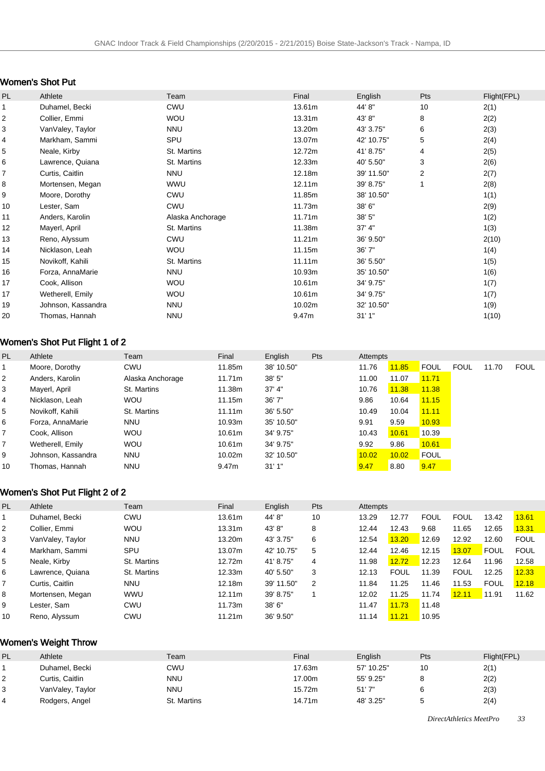# Women's Shot Put

| PL               | Athlete            | Team             | Final  | English    | Pts            | Flight(FPL) |
|------------------|--------------------|------------------|--------|------------|----------------|-------------|
| $\mathbf{1}$     | Duhamel, Becki     | <b>CWU</b>       | 13.61m | 44' 8"     | 10             | 2(1)        |
| $\boldsymbol{2}$ | Collier, Emmi      | <b>WOU</b>       | 13.31m | 43'8"      | 8              | 2(2)        |
| 3                | VanValey, Taylor   | <b>NNU</b>       | 13.20m | 43' 3.75"  | 6              | 2(3)        |
| 4                | Markham, Sammi     | SPU              | 13.07m | 42' 10.75" | 5              | 2(4)        |
| 5                | Neale, Kirby       | St. Martins      | 12.72m | 41' 8.75"  | 4              | 2(5)        |
| 6                | Lawrence, Quiana   | St. Martins      | 12.33m | 40' 5.50"  | 3              | 2(6)        |
| $\overline{7}$   | Curtis, Caitlin    | <b>NNU</b>       | 12.18m | 39' 11.50" | $\overline{2}$ | 2(7)        |
| 8                | Mortensen, Megan   | <b>WWU</b>       | 12.11m | 39' 8.75"  |                | 2(8)        |
| 9                | Moore, Dorothy     | <b>CWU</b>       | 11.85m | 38' 10.50" |                | 1(1)        |
| 10               | Lester, Sam        | <b>CWU</b>       | 11.73m | 38' 6"     |                | 2(9)        |
| 11               | Anders, Karolin    | Alaska Anchorage | 11.71m | 38' 5"     |                | 1(2)        |
| 12               | Mayerl, April      | St. Martins      | 11.38m | 37' 4"     |                | 1(3)        |
| 13               | Reno, Alyssum      | <b>CWU</b>       | 11.21m | 36' 9.50"  |                | 2(10)       |
| 14               | Nicklason, Leah    | <b>WOU</b>       | 11.15m | 36'7"      |                | 1(4)        |
| 15               | Novikoff, Kahili   | St. Martins      | 11.11m | 36' 5.50"  |                | 1(5)        |
| 16               | Forza, AnnaMarie   | <b>NNU</b>       | 10.93m | 35' 10.50" |                | 1(6)        |
| 17               | Cook, Allison      | <b>WOU</b>       | 10.61m | 34' 9.75"  |                | 1(7)        |
| 17               | Wetherell, Emily   | <b>WOU</b>       | 10.61m | 34' 9.75"  |                | 1(7)        |
| 19               | Johnson, Kassandra | <b>NNU</b>       | 10.02m | 32' 10.50" |                | 1(9)        |
| 20               | Thomas, Hannah     | <b>NNU</b>       | 9.47m  | 31'1''     |                | 1(10)       |

# Women's Shot Put Flight 1 of 2

| PL.            | Athlete            | Team             | Final              | English    | Pts | Attempts |       |             |             |       |             |
|----------------|--------------------|------------------|--------------------|------------|-----|----------|-------|-------------|-------------|-------|-------------|
|                | Moore, Dorothy     | CWU              | 11.85m             | 38' 10.50" |     | 11.76    | 11.85 | <b>FOUL</b> | <b>FOUL</b> | 11.70 | <b>FOUL</b> |
| 2              | Anders, Karolin    | Alaska Anchorage | 11.71m             | 38'5''     |     | 11.00    | 11.07 | 11.71       |             |       |             |
| 3              | Mayerl, April      | St. Martins      | 11.38m             | 37' 4''    |     | 10.76    | 11.38 | 11.38       |             |       |             |
| 4              | Nicklason, Leah    | <b>WOU</b>       | 11.15m             | 36'7''     |     | 9.86     | 10.64 | 11.15       |             |       |             |
| 5              | Novikoff, Kahili   | St. Martins      | 11.11m             | 36' 5.50"  |     | 10.49    | 10.04 | 11.11       |             |       |             |
| 6              | Forza, AnnaMarie   | <b>NNU</b>       | 10.93m             | 35' 10.50" |     | 9.91     | 9.59  | 10.93       |             |       |             |
| $\overline{7}$ | Cook, Allison      | <b>WOU</b>       | 10.61 <sub>m</sub> | 34' 9.75"  |     | 10.43    | 10.61 | 10.39       |             |       |             |
| $\overline{7}$ | Wetherell, Emily   | <b>WOU</b>       | 10.61m             | 34' 9.75"  |     | 9.92     | 9.86  | 10.61       |             |       |             |
| 9              | Johnson, Kassandra | <b>NNU</b>       | 10.02m             | 32' 10.50" |     | 10.02    | 10.02 | <b>FOUL</b> |             |       |             |
| 10             | Thomas, Hannah     | <b>NNU</b>       | 9.47m              | 31'1''     |     | 9.47     | 8.80  | 9.47        |             |       |             |

### Women's Shot Put Flight 2 of 2

| PL | Athlete          | Team        | Final  | English    | Pts | Attempts |             |             |             |             |             |
|----|------------------|-------------|--------|------------|-----|----------|-------------|-------------|-------------|-------------|-------------|
|    | Duhamel, Becki   | <b>CWU</b>  | 13.61m | 44'8"      | 10  | 13.29    | 12.77       | <b>FOUL</b> | <b>FOUL</b> | 13.42       | 13.61       |
| 2  | Collier, Emmi    | <b>WOU</b>  | 13.31m | 43'8"      | 8   | 12.44    | 12.43       | 9.68        | 11.65       | 12.65       | 13.31       |
| 3  | VanValey, Taylor | <b>NNU</b>  | 13.20m | 43' 3.75"  | 6   | 12.54    | 13.20       | 12.69       | 12.92       | 12.60       | <b>FOUL</b> |
| 4  | Markham, Sammi   | SPU         | 13.07m | 42' 10.75" | 5   | 12.44    | 12.46       | 12.15       | 13.07       | <b>FOUL</b> | <b>FOUL</b> |
| 5  | Neale, Kirby     | St. Martins | 12.72m | 41' 8.75"  | 4   | 11.98    | 12.72       | 12.23       | 12.64       | 11.96       | 12.58       |
| 6  | Lawrence, Quiana | St. Martins | 12.33m | 40' 5.50"  | 3   | 12.13    | <b>FOUL</b> | 11.39       | <b>FOUL</b> | 12.25       | 12.33       |
| 7  | Curtis, Caitlin  | <b>NNU</b>  | 12.18m | 39' 11.50" | 2   | 11.84    | 11.25       | 11.46       | 11.53       | <b>FOUL</b> | 12.18       |
| 8  | Mortensen, Megan | <b>WWU</b>  | 12.11m | 39' 8.75"  |     | 12.02    | 11.25       | 11.74       | 12.11       | 11.91       | 11.62       |
| 9  | Lester, Sam      | <b>CWU</b>  | 11.73m | 38'6''     |     | 11.47    | 11.73       | 11.48       |             |             |             |
| 10 | Reno, Alyssum    | CWU         | 11.21m | 36' 9.50"  |     | 11.14    | 11.21       | 10.95       |             |             |             |

# Women's Weight Throw

| PL. | Athlete          | Team        | Final  | English    | Pts | Flight(FPL) |
|-----|------------------|-------------|--------|------------|-----|-------------|
|     | Duhamel, Becki   | CWU         | 17.63m | 57' 10.25" | 10  | 2(1)        |
| ∼   | Curtis, Caitlin  | nnu         | 17.00m | 55' 9.25"  |     | 2(2)        |
| 3   | VanValey, Taylor | nnu         | 15.72m | 51'7''     |     | 2(3)        |
| 4   | Rodgers, Angel   | St. Martins | 14.71m | 48' 3.25"  |     | 2(4)        |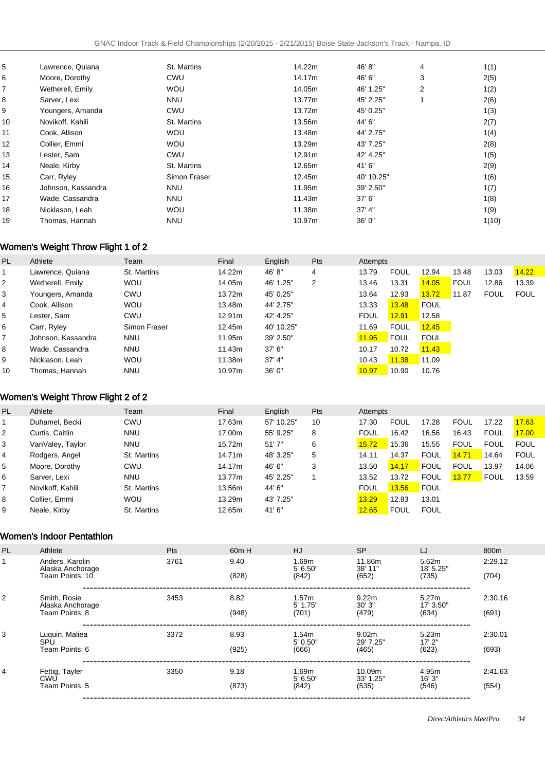|                    |                  |             |            |        | 1(1)  |
|--------------------|------------------|-------------|------------|--------|-------|
| Moore, Dorothy     | <b>CWU</b>       | 14.17m      | 46' 6"     | 3      | 2(5)  |
| Wetherell, Emily   | <b>WOU</b>       | 14.05m      | 46' 1.25"  | 2      | 1(2)  |
| Sarver, Lexi       | <b>NNU</b>       | 13.77m      | 45' 2.25"  |        | 2(6)  |
| Youngers, Amanda   | <b>CWU</b>       | 13.72m      | 45' 0.25"  |        | 1(3)  |
| Novikoff, Kahili   | St. Martins      | 13.56m      | 44' 6"     |        | 2(7)  |
| Cook, Allison      | WOU              | 13.48m      | 44' 2.75"  |        | 1(4)  |
| Collier, Emmi      | <b>WOU</b>       | 13.29m      | 43' 7.25"  |        | 2(8)  |
| Lester, Sam        | <b>CWU</b>       | 12.91m      | 42' 4.25"  |        | 1(5)  |
| Neale, Kirby       | St. Martins      | 12.65m      | 41'6"      |        | 2(9)  |
| Carr, Ryley        | Simon Fraser     | 12.45m      | 40' 10.25" |        | 1(6)  |
| Johnson, Kassandra | <b>NNU</b>       | 11.95m      | 39' 2.50"  |        | 1(7)  |
| Wade, Cassandra    | <b>NNU</b>       | 11.43m      | 37'6''     |        | 1(8)  |
| Nicklason, Leah    | <b>WOU</b>       | 11.38m      | 37' 4''    |        | 1(9)  |
| Thomas, Hannah     | <b>NNU</b>       | 10.97m      | 36'0''     |        | 1(10) |
|                    | Lawrence, Quiana | St. Martins | 14.22m     | 46' 8" | 4     |

# Women's Weight Throw Flight 1 of 2

| PL | Athlete            | Team         | Final  | English    | <b>Pts</b> | Attempts    |             |             |             |             |             |
|----|--------------------|--------------|--------|------------|------------|-------------|-------------|-------------|-------------|-------------|-------------|
|    | Lawrence, Quiana   | St. Martins  | 14.22m | 46'8"      | 4          | 13.79       | <b>FOUL</b> | 12.94       | 13.48       | 13.03       | 14.22       |
| 2  | Wetherell, Emily   | <b>WOU</b>   | 14.05m | 46' 1.25"  | 2          | 13.46       | 13.31       | 14.05       | <b>FOUL</b> | 12.86       | 13.39       |
| 3  | Youngers, Amanda   | <b>CWU</b>   | 13.72m | 45' 0.25"  |            | 13.64       | 12.93       | 13.72       | 11.87       | <b>FOUL</b> | <b>FOUL</b> |
| 4  | Cook, Allison      | <b>WOU</b>   | 13.48m | 44' 2.75"  |            | 13.33       | 13.48       | <b>FOUL</b> |             |             |             |
| 5  | Lester. Sam        | <b>CWU</b>   | 12.91m | 42' 4.25"  |            | <b>FOUL</b> | 12.91       | 12.58       |             |             |             |
| 6  | Carr, Ryley        | Simon Fraser | 12.45m | 40' 10.25" |            | 11.69       | <b>FOUL</b> | 12.45       |             |             |             |
| 7  | Johnson, Kassandra | <b>NNU</b>   | 11.95m | 39' 2.50"  |            | 11.95       | <b>FOUL</b> | <b>FOUL</b> |             |             |             |
| 8  | Wade, Cassandra    | <b>NNU</b>   | 11.43m | 37'6''     |            | 10.17       | 10.72       | 11.43       |             |             |             |
| 9  | Nicklason, Leah    | <b>WOU</b>   | 11.38m | 37' 4''    |            | 10.43       | 11.38       | 11.09       |             |             |             |
| 10 | Thomas, Hannah     | <b>NNU</b>   | 10.97m | 36'0''     |            | 10.97       | 10.90       | 10.76       |             |             |             |

# Women's Weight Throw Flight 2 of 2

| PL | Athlete          | Team        | Final  | English    | Pts | Attempts    |             |             |             |             |             |
|----|------------------|-------------|--------|------------|-----|-------------|-------------|-------------|-------------|-------------|-------------|
|    | Duhamel, Becki   | <b>CWU</b>  | 17.63m | 57' 10.25" | 10  | 17.30       | <b>FOUL</b> | 17.28       | <b>FOUL</b> | 17.22       | 17.63       |
| 2  | Curtis, Caitlin  | <b>NNU</b>  | 17.00m | 55' 9.25"  | 8   | <b>FOUL</b> | 16.42       | 16.56       | 16.43       | <b>FOUL</b> | 17.00       |
| 3  | VanValey, Taylor | <b>NNU</b>  | 15.72m | 51'7''     | 6   | 15.72       | 15.36       | 15.55       | <b>FOUL</b> | <b>FOUL</b> | <b>FOUL</b> |
| 4  | Rodgers, Angel   | St. Martins | 14.71m | 48' 3.25"  | 5   | 14.11       | 14.37       | <b>FOUL</b> | 14.71       | 14.64       | <b>FOUL</b> |
| 5  | Moore, Dorothy   | CWU         | 14.17m | 46'6"      | 3   | 13.50       | 14.17       | <b>FOUL</b> | <b>FOUL</b> | 13.97       | 14.06       |
| 6  | Sarver, Lexi     | <b>NNU</b>  | 13.77m | 45' 2.25"  |     | 13.52       | 13.72       | <b>FOUL</b> | 13.77       | FOUL        | 13.59       |
|    | Novikoff, Kahili | St. Martins | 13.56m | 44' 6"     |     | <b>FOUL</b> | 13.56       | <b>FOUL</b> |             |             |             |
| 8  | Collier, Emmi    | <b>WOU</b>  | 13.29m | 43' 7.25"  |     | 13.29       | 12.83       | 13.01       |             |             |             |
| 9  | Neale, Kirby     | St. Martins | 12.65m | 41'6"      |     | 12.65       | FOUL        | <b>FOUL</b> |             |             |             |

### Women's Indoor Pentathlon

| PL             | Athlete                                                | Pts  | 60 <sub>m</sub> H | HJ                           | <b>SP</b>                                                 | LJ                          | 800m             |
|----------------|--------------------------------------------------------|------|-------------------|------------------------------|-----------------------------------------------------------|-----------------------------|------------------|
|                | Anders, Karolin<br>Alaska Anchorage<br>Team Points: 10 | 3761 | 9.40<br>(828)     | 1.69m<br>$5'$ 6.50"<br>(842) | 5.62m<br>11.86m<br>38' 11"<br>18' 5.25"<br>(652)<br>(735) |                             | 2:29.12<br>(704) |
| $\overline{2}$ | Smith, Rosie<br>Alaska Anchorage<br>Team Points: 8     | 3453 | 8.82<br>(948)     | 1.57m<br>$5'$ 1.75"<br>(701) | 9.22m<br>30'3''<br>(479)                                  | 5.27m<br>17' 3.50"<br>(634) | 2:30.16<br>(691) |
| 3              | Luquin, Maliea<br>SPU<br>Team Points: 6                | 3372 | 8.93<br>(925)     | 1.54m<br>5'0.50"<br>(666)    | 9.02 <sub>m</sub><br>29' 7.25"<br>(465)                   | 5.23m<br>17'2"<br>(623)     | 2:30.01<br>(693) |
| 4              | Fettig, Tayler<br><b>CWU</b><br>Team Points: 5         | 3350 | 9.18<br>(873)     | 1.69m<br>5' 6.50"<br>(842)   | 10.09m<br>33' 1.25"<br>(535)                              | 4.95m<br>16'3''<br>(546)    | 2:41.63<br>(554) |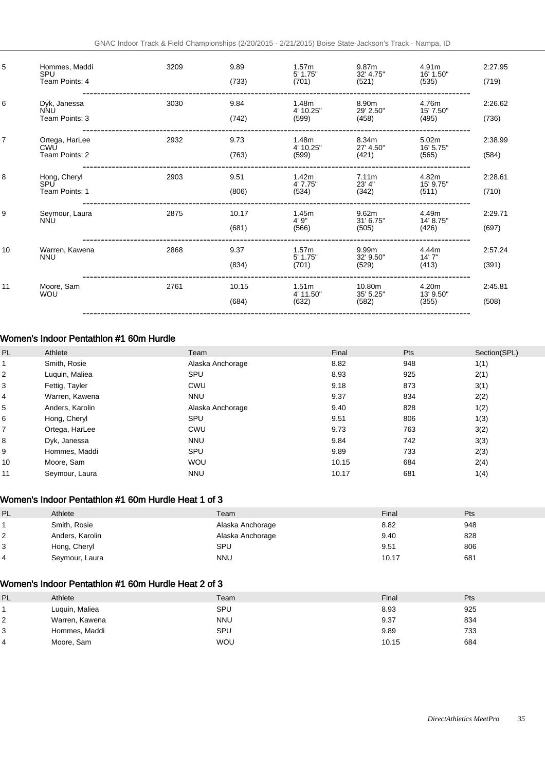| 5              | Hommes, Maddi<br>SPU<br>Team Points: 4       | 3209 | 9.89<br>(733)  | 1.57 <sub>m</sub><br>5' 1.75"<br>(701)  | 9.87m<br>32' 4.75"<br>(521)  | 4.91m<br>16' 1.50"<br>(535)             | 2:27.95<br>(719) |
|----------------|----------------------------------------------|------|----------------|-----------------------------------------|------------------------------|-----------------------------------------|------------------|
| 6              | Dyk, Janessa<br><b>NNU</b><br>Team Points: 3 | 3030 | 9.84<br>(742)  | 1.48m<br>4' 10.25"<br>(599)             | 8.90m<br>29' 2.50"<br>(458)  | 4.76m<br>15' 7.50"<br>(495)             | 2:26.62<br>(736) |
| $\overline{7}$ | Ortega, HarLee<br>CWU<br>Team Points: 2      | 2932 | 9.73<br>(763)  | 1.48m<br>4' 10.25"<br>(599)             | 8.34m<br>27' 4.50"<br>(421)  | 5.02 <sub>m</sub><br>16' 5.75"<br>(565) | 2:38.99<br>(584) |
| 8              | Hong, Cheryl<br>SPU<br>Team Points: 1        | 2903 | 9.51<br>(806)  | 1.42m<br>4' 7.75"<br>(534)              | 7.11m<br>23' 4"<br>(342)     | 4.82m<br>15' 9.75"<br>(511)             | 2:28.61<br>(710) |
| 9              | Seymour, Laura<br><b>NNU</b>                 | 2875 | 10.17<br>(681) | 1.45m<br>4'9''<br>(566)                 | 9.62m<br>31' 6.75"<br>(505)  | 4.49m<br>14' 8.75"<br>(426)             | 2:29.71<br>(697) |
| 10             | Warren, Kawena<br><b>NNU</b>                 | 2868 | 9.37<br>(834)  | 1.57 <sub>m</sub><br>5' 1.75"<br>(701)  | 9.99m<br>32' 9.50"<br>(529)  | 4.44m<br>14'7''<br>(413)                | 2:57.24<br>(391) |
| 11             | Moore, Sam<br><b>WOU</b>                     | 2761 | 10.15<br>(684) | 1.51 <sub>m</sub><br>4' 11.50"<br>(632) | 10.80m<br>35' 5.25"<br>(582) | 4.20m<br>13' 9.50"<br>(355)             | 2:45.81<br>(508) |

### Women's Indoor Pentathlon #1 60m Hurdle

| PL | Athlete         | Team             | Final | Pts | Section(SPL) |
|----|-----------------|------------------|-------|-----|--------------|
|    | Smith, Rosie    | Alaska Anchorage | 8.82  | 948 | 1(1)         |
| 2  | Luquin, Maliea  | SPU              | 8.93  | 925 | 2(1)         |
| 3  | Fettig, Tayler  | CWU              | 9.18  | 873 | 3(1)         |
| 4  | Warren, Kawena  | <b>NNU</b>       | 9.37  | 834 | 2(2)         |
| 5  | Anders, Karolin | Alaska Anchorage | 9.40  | 828 | 1(2)         |
| 6  | Hong, Cheryl    | SPU              | 9.51  | 806 | 1(3)         |
| 7  | Ortega, HarLee  | CWU              | 9.73  | 763 | 3(2)         |
| 8  | Dyk, Janessa    | <b>NNU</b>       | 9.84  | 742 | 3(3)         |
| 9  | Hommes, Maddi   | SPU              | 9.89  | 733 | 2(3)         |
| 10 | Moore, Sam      | <b>WOU</b>       | 10.15 | 684 | 2(4)         |
| 11 | Seymour, Laura  | <b>NNU</b>       | 10.17 | 681 | 1(4)         |

### Women's Indoor Pentathlon #1 60m Hurdle Heat 1 of 3

| PL | Athlete         | Team             | Final | Pts |
|----|-----------------|------------------|-------|-----|
|    | Smith, Rosie    | Alaska Anchorage | 8.82  | 948 |
|    | Anders, Karolin | Alaska Anchorage | 9.40  | 828 |
| 3  | Hong, Cheryl    | SPU              | 9.51  | 806 |
| 4  | Seymour, Laura  | <b>NNU</b>       | 10.17 | 681 |

#### Women's Indoor Pentathlon #1 60m Hurdle Heat 2 of 3

| PL             | Athlete        | Team       | Final | Pts |
|----------------|----------------|------------|-------|-----|
|                | Luquin, Maliea | SPU        | 8.93  | 925 |
| $^{\prime}$ 2  | Warren, Kawena | <b>NNU</b> | 9.37  | 834 |
| 3              | Hommes, Maddi  | SPU        | 9.89  | 733 |
| $\overline{4}$ | Moore, Sam     | <b>WOU</b> | 10.15 | 684 |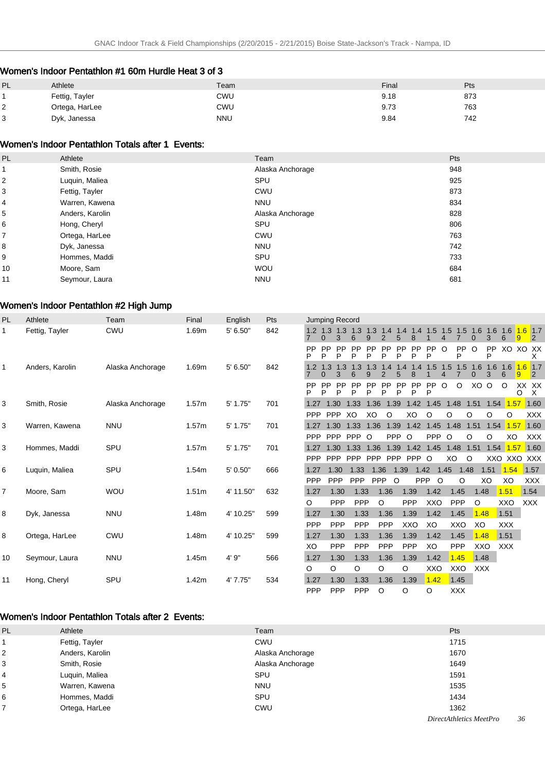### Women's Indoor Pentathlon #1 60m Hurdle Heat 3 of 3

| PL     | Athlete        | Team | Final | Pts |
|--------|----------------|------|-------|-----|
|        | Fettig, Tayler | CWU  | 9.18  | 873 |
| ◠<br>∠ | Ortega, HarLee | CWU  | 9.73  | 763 |
| 3      | Dyk, Janessa   | NNU  | 9.84  | 742 |

#### Women's Indoor Pentathlon Totals after 1 Events:

| PL                      | Athlete         | Team             | Pts |
|-------------------------|-----------------|------------------|-----|
|                         | Smith, Rosie    | Alaska Anchorage | 948 |
| $\overline{\mathbf{c}}$ | Luquin, Maliea  | SPU              | 925 |
| 3                       | Fettig, Tayler  | <b>CWU</b>       | 873 |
| 4                       | Warren, Kawena  | <b>NNU</b>       | 834 |
| 5                       | Anders, Karolin | Alaska Anchorage | 828 |
| 6                       | Hong, Cheryl    | SPU              | 806 |
| $\overline{7}$          | Ortega, HarLee  | <b>CWU</b>       | 763 |
| 8                       | Dyk, Janessa    | <b>NNU</b>       | 742 |
| 9                       | Hommes, Maddi   | SPU              | 733 |
| 10                      | Moore, Sam      | <b>WOU</b>       | 684 |
| 11                      | Seymour, Laura  | <b>NNU</b>       | 681 |

#### Women's Indoor Pentathlon #2 High Jump

| <b>PL</b>      | Athlete         | Team             | Final             | English   | Pts | <b>Jumping Record</b> |                |                |                |                |                     |                                         |                |           |            |                 |          |            |            |                |
|----------------|-----------------|------------------|-------------------|-----------|-----|-----------------------|----------------|----------------|----------------|----------------|---------------------|-----------------------------------------|----------------|-----------|------------|-----------------|----------|------------|------------|----------------|
| 1              | Fettig, Tayler  | <b>CWU</b>       | 1.69m             | 5' 6.50"  | 842 |                       | 1.3            | 3              | 6              |                |                     | 1.3 1.3 1.3 1.4 1.4 1.4 1.5 1.5 1.5 1.6 |                |           |            | O               | 1.6<br>3 | 1.6<br>6   | $1.6$ 1.7  | $\overline{2}$ |
|                |                 |                  |                   |           |     | PP                    | <b>PP</b><br>P | <b>PP</b><br>P | <b>PP</b><br>P | <b>PP</b><br>P | PP<br>P<br>P        | <b>PP</b><br>PP<br>P                    | <b>PP</b><br>P | O         | PP<br>P    | $\circ$         | PP<br>P  | XO XO XX   |            | X              |
| $\mathbf{1}$   | Anders, Karolin | Alaska Anchorage | 1.69m             | 5' 6.50"  | 842 |                       | 1.3            |                | 1.3<br>6       |                | $\overline{4}$      | $\overline{A}$                          | 1.5            | 1.5<br>4  | 1.5        | 1.6<br>$\Omega$ | 1.6<br>3 | 1.6<br>6   | $1.6$ 1.7  | 2              |
|                |                 |                  |                   |           |     | PP                    | PP             | <b>PP</b><br>P | <b>PP</b><br>P | <b>PP</b><br>P | <b>PP</b><br>P<br>P | <b>PP</b><br><b>PP</b><br>P             | PP<br>P        | $\circ$   | O          | XO              | $\circ$  | $\circ$    | XX XX<br>O | X              |
| 3              | Smith, Rosie    | Alaska Anchorage | 1.57m             | 5' 1.75"  | 701 |                       | 1.30           |                | 1.33           |                | 1.36 1.39           | 1.42 1.45                               |                |           | 1.48       | 1.51            |          | 1.54 1.57  |            | 1.60           |
|                |                 |                  |                   |           |     | <b>PPP</b>            | <b>PPP</b>     |                | XO             | XO             | O                   | XO                                      | O              | O         |            | O               | O        | O          |            | <b>XXX</b>     |
| 3              | Warren, Kawena  | <b>NNU</b>       | 1.57m             | 5' 1.75"  | 701 |                       |                |                | 1.30 1.33      | 1.36           |                     | 1.39 1.42                               |                | 1.45 1.48 |            | 1.51            |          | 1.54 1.57  |            | 1.60           |
|                |                 |                  |                   |           |     | <b>PPP</b>            |                |                | PPP PPP O      |                | <b>PPP</b>          | $\circ$                                 | PPP            | $\circ$   |            | O               | O        | XO         |            | <b>XXX</b>     |
| 3              | Hommes, Maddi   | SPU              | 1.57m             | 5' 1.75"  | 701 |                       | 1.30           |                | 1.33           | 1.36           | 1.39                | 1.42                                    | 1.45           |           | 1.48       | 1.51            |          | 1.54 1.57  |            | 1.60           |
|                |                 |                  |                   |           |     | PPP                   | <b>PPP</b>     |                | <b>PPP</b>     | <b>PPP</b>     | PPP                 | PPP O                                   |                |           | XO         | $\circ$         |          | XXO XXO    |            | XXX            |
| 6              | Luquin, Maliea  | SPU              | 1.54m             | 5' 0.50"  | 666 | 1.27                  |                | 1.30           | 1.33           | 1.36           |                     | 1.39                                    | 1.42           | 1.45      | 1.48       |                 | 1.51     | 1.54       |            | 1.57           |
|                |                 |                  |                   |           |     | PPP                   |                | PPP            | PPP            | PPP            | $\circ$             |                                         | PPP            | $\circ$   | O          |                 | XO       | XO         |            | <b>XXX</b>     |
| $\overline{7}$ | Moore, Sam      | <b>WOU</b>       | 1.51 <sub>m</sub> | 4' 11.50" | 632 | 1.27                  |                | 1.30           | 1.33           |                | 1.36                | 1.39                                    | 1.42           |           | 1.45       | 1.48            |          | 1.51       | 1.54       |                |
|                |                 |                  |                   |           |     | $\circ$               |                | PPP            | PPP            | $\circ$        |                     | PPP                                     | XXO            |           | PPP        | $\circ$         |          | XXO        | <b>XXX</b> |                |
| 8              | Dyk, Janessa    | <b>NNU</b>       | 1.48m             | 4' 10.25" | 599 | 1.27                  |                | 1.30           | 1.33           |                | 1.36                | 1.39                                    | 1.42           |           | 1.45       | 1.48            |          | 1.51       |            |                |
|                |                 |                  |                   |           |     | PPP                   |                | PPP            | PPP            |                | PPP                 | XXO                                     | XO             |           | XXO        | XO              |          | <b>XXX</b> |            |                |
| 8              | Ortega, HarLee  | <b>CWU</b>       | 1.48m             | 4' 10.25" | 599 | 1.27                  |                | 1.30           | 1.33           |                | 1.36                | 1.39                                    | 1.42           |           | 1.45       | 1.48            |          | 1.51       |            |                |
|                |                 |                  |                   |           |     | XO                    |                | PPP            | PPP            |                | PPP                 | PPP                                     | XO             |           | PPP        | XXO             |          | <b>XXX</b> |            |                |
| 10             | Seymour, Laura  | <b>NNU</b>       | 1.45m             | 4' 9"     | 566 | 1.27                  |                | 1.30           | 1.33           |                | 1.36                | 1.39                                    | 1.42           |           | 1.45       | 1.48            |          |            |            |                |
|                |                 |                  |                   |           |     | $\circ$               | O              |                | O              | O              |                     | O                                       | XXO            |           | XXO        | <b>XXX</b>      |          |            |            |                |
| 11             | Hong, Cheryl    | SPU              | 1.42m             | 4' 7.75"  | 534 | 1.27                  |                | 1.30           | 1.33           |                | 1.36                | 1.39                                    | 1.42           |           | 1.45       |                 |          |            |            |                |
|                |                 |                  |                   |           |     | PPP                   |                | PPP            | PPP            | $\circ$        |                     | O                                       | O              |           | <b>XXX</b> |                 |          |            |            |                |

### Women's Indoor Pentathlon Totals after 2 Events:

| PL | Athlete         | Team             | Pts  |
|----|-----------------|------------------|------|
|    | Fettig, Tayler  | CWU              | 1715 |
| 2  | Anders, Karolin | Alaska Anchorage | 1670 |
| 3  | Smith, Rosie    | Alaska Anchorage | 1649 |
| 4  | Luquin, Maliea  | SPU              | 1591 |
| 5  | Warren, Kawena  | <b>NNU</b>       | 1535 |
| 6  | Hommes, Maddi   | SPU              | 1434 |
|    | Ortega, HarLee  | CWU              | 1362 |
|    |                 |                  |      |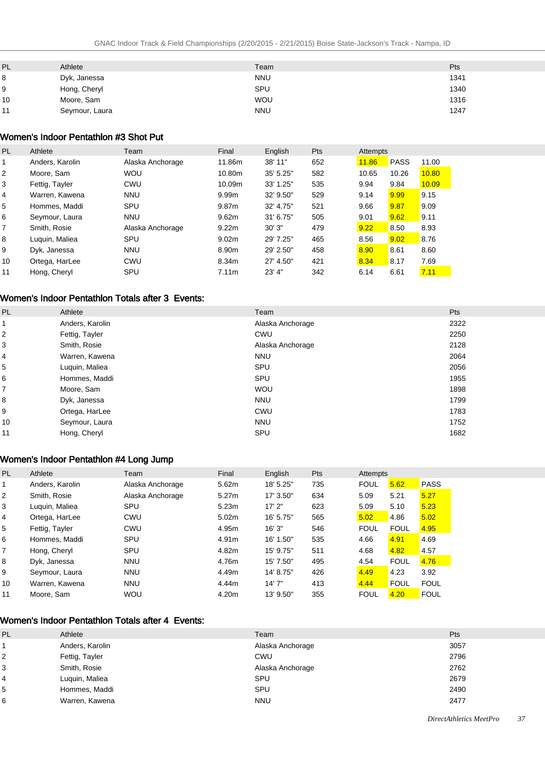| PL | Athlete        | Team       | Pts  |
|----|----------------|------------|------|
| 8  | Dyk, Janessa   | <b>NNU</b> | 1341 |
| 9  | Hong, Cheryl   | SPU        | 1340 |
| 10 | Moore, Sam     | <b>WOU</b> | 1316 |
| 11 | Seymour, Laura | <b>NNU</b> | 1247 |

### Women's Indoor Pentathlon #3 Shot Put

| PL | Athlete         | Team             | Final             | English    | Pts | Attempts |             |       |
|----|-----------------|------------------|-------------------|------------|-----|----------|-------------|-------|
| 1  | Anders, Karolin | Alaska Anchorage | 11.86m            | 38' 11"    | 652 | 11.86    | <b>PASS</b> | 11.00 |
| 2  | Moore, Sam      | <b>WOU</b>       | 10.80m            | 35' 5.25"  | 582 | 10.65    | 10.26       | 10.80 |
| 3  | Fettig, Tayler  | CWU              | 10.09m            | 33' 1.25"  | 535 | 9.94     | 9.84        | 10.09 |
| 4  | Warren, Kawena  | <b>NNU</b>       | 9.99m             | 32' 9.50"  | 529 | 9.14     | 9.99        | 9.15  |
| 5  | Hommes, Maddi   | SPU              | 9.87m             | 32' 4.75"  | 521 | 9.66     | 9.87        | 9.09  |
| 6  | Seymour, Laura  | <b>NNU</b>       | 9.62m             | 31' 6.75'' | 505 | 9.01     | 9.62        | 9.11  |
| 7  | Smith, Rosie    | Alaska Anchorage | 9.22m             | 30'3''     | 479 | 9.22     | 8.50        | 8.93  |
| 8  | Luguin, Maliea  | SPU              | 9.02 <sub>m</sub> | 29' 7.25"  | 465 | 8.56     | 9.02        | 8.76  |
| 9  | Dyk, Janessa    | <b>NNU</b>       | 8.90m             | 29' 2.50"  | 458 | 8.90     | 8.61        | 8.60  |
| 10 | Ortega, HarLee  | CWU              | 8.34m             | 27' 4.50"  | 421 | 8.34     | 8.17        | 7.69  |
| 11 | Hong, Cheryl    | SPU              | 7.11m             | 23' 4''    | 342 | 6.14     | 6.61        | 7.11  |

# Women's Indoor Pentathlon Totals after 3 Events:

| <b>PL</b> | Athlete         | Team             | Pts  |
|-----------|-----------------|------------------|------|
|           | Anders, Karolin | Alaska Anchorage | 2322 |
| 2         | Fettig, Tayler  | CWU              | 2250 |
| 3         | Smith, Rosie    | Alaska Anchorage | 2128 |
| 4         | Warren, Kawena  | <b>NNU</b>       | 2064 |
| 5         | Luquin, Maliea  | SPU              | 2056 |
| 6         | Hommes, Maddi   | SPU              | 1955 |
| 7         | Moore, Sam      | <b>WOU</b>       | 1898 |
| 8         | Dyk, Janessa    | <b>NNU</b>       | 1799 |
| 9         | Ortega, HarLee  | <b>CWU</b>       | 1783 |
| 10        | Seymour, Laura  | <b>NNU</b>       | 1752 |
| 11        | Hong, Cheryl    | SPU              | 1682 |

# Women's Indoor Pentathlon #4 Long Jump

| PL             | Athlete         | Team             | Final | English   | Pts | Attempts    |             |             |
|----------------|-----------------|------------------|-------|-----------|-----|-------------|-------------|-------------|
| 1              | Anders, Karolin | Alaska Anchorage | 5.62m | 18' 5.25" | 735 | <b>FOUL</b> | 5.62        | <b>PASS</b> |
| 2              | Smith, Rosie    | Alaska Anchorage | 5.27m | 17' 3.50" | 634 | 5.09        | 5.21        | 5.27        |
| 3              | Luguin, Maliea  | <b>SPU</b>       | 5.23m | 17'2"     | 623 | 5.09        | 5.10        | 5.23        |
| 4              | Ortega, HarLee  | CWU              | 5.02m | 16' 5.75" | 565 | 5.02        | 4.86        | 5.02        |
| 5              | Fettig, Tayler  | <b>CWU</b>       | 4.95m | 16'3''    | 546 | <b>FOUL</b> | <b>FOUL</b> | 4.95        |
| 6              | Hommes, Maddi   | SPU              | 4.91m | 16' 1.50" | 535 | 4.66        | 4.91        | 4.69        |
| $\overline{7}$ | Hong, Cheryl    | <b>SPU</b>       | 4.82m | 15' 9.75" | 511 | 4.68        | 4.82        | 4.57        |
| 8              | Dyk, Janessa    | <b>NNU</b>       | 4.76m | 15' 7.50" | 495 | 4.54        | <b>FOUL</b> | 4.76        |
| 9              | Seymour, Laura  | <b>NNU</b>       | 4.49m | 14' 8.75" | 426 | 4.49        | 4.23        | 3.92        |
| 10             | Warren, Kawena  | <b>NNU</b>       | 4.44m | 14'7''    | 413 | 4.44        | <b>FOUL</b> | <b>FOUL</b> |
| 11             | Moore, Sam      | <b>WOU</b>       | 4.20m | 13' 9.50" | 355 | <b>FOUL</b> | 4.20        | <b>FOUL</b> |

### Women's Indoor Pentathlon Totals after 4 Events:

| <b>PL</b> | Athlete         | Team             | Pts  |
|-----------|-----------------|------------------|------|
|           | Anders, Karolin | Alaska Anchorage | 3057 |
| 2         | Fettig, Tayler  | CWU              | 2796 |
| 3         | Smith, Rosie    | Alaska Anchorage | 2762 |
| 4         | Luquin, Maliea  | SPU              | 2679 |
| 5         | Hommes, Maddi   | SPU              | 2490 |
| 6         | Warren, Kawena  | <b>NNU</b>       | 2477 |